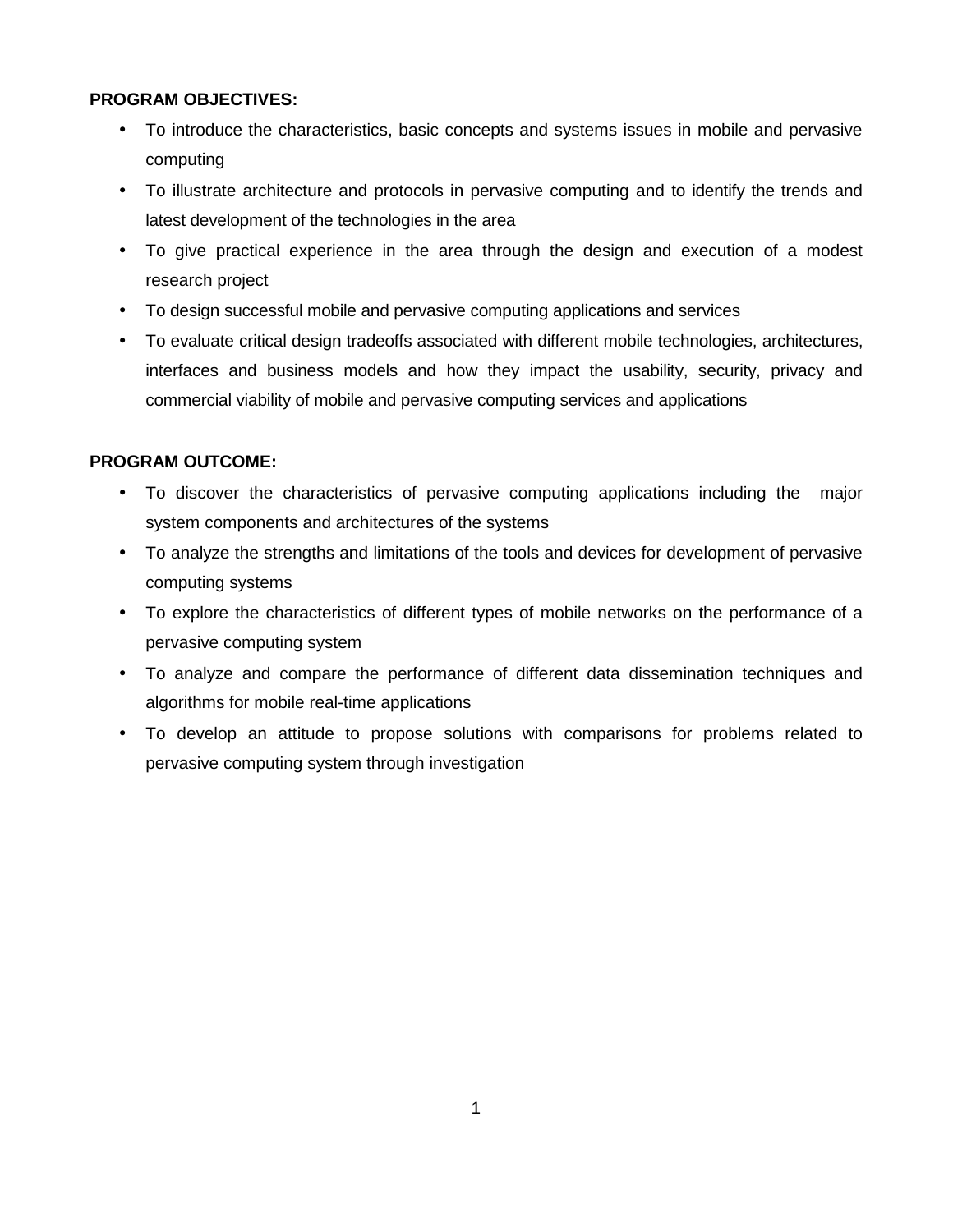# **PROGRAM OBJECTIVES:**

- To introduce the characteristics, basic concepts and systems issues in mobile and pervasive computing
- To illustrate architecture and protocols in pervasive computing and to identify the trends and latest development of the technologies in the area
- To give practical experience in the area through the design and execution of a modest research project
- To design successful mobile and pervasive computing applications and services
- To evaluate critical design tradeoffs associated with different mobile technologies, architectures, interfaces and business models and how they impact the usability, security, privacy and commercial viability of mobile and pervasive computing services and applications

# **PROGRAM OUTCOME:**

- To discover the characteristics of pervasive computing applications including the major system components and architectures of the systems
- To analyze the strengths and limitations of the tools and devices for development of pervasive computing systems
- To explore the characteristics of different types of mobile networks on the performance of a pervasive computing system
- To analyze and compare the performance of different data dissemination techniques and algorithms for mobile real-time applications
- To develop an attitude to propose solutions with comparisons for problems related to pervasive computing system through investigation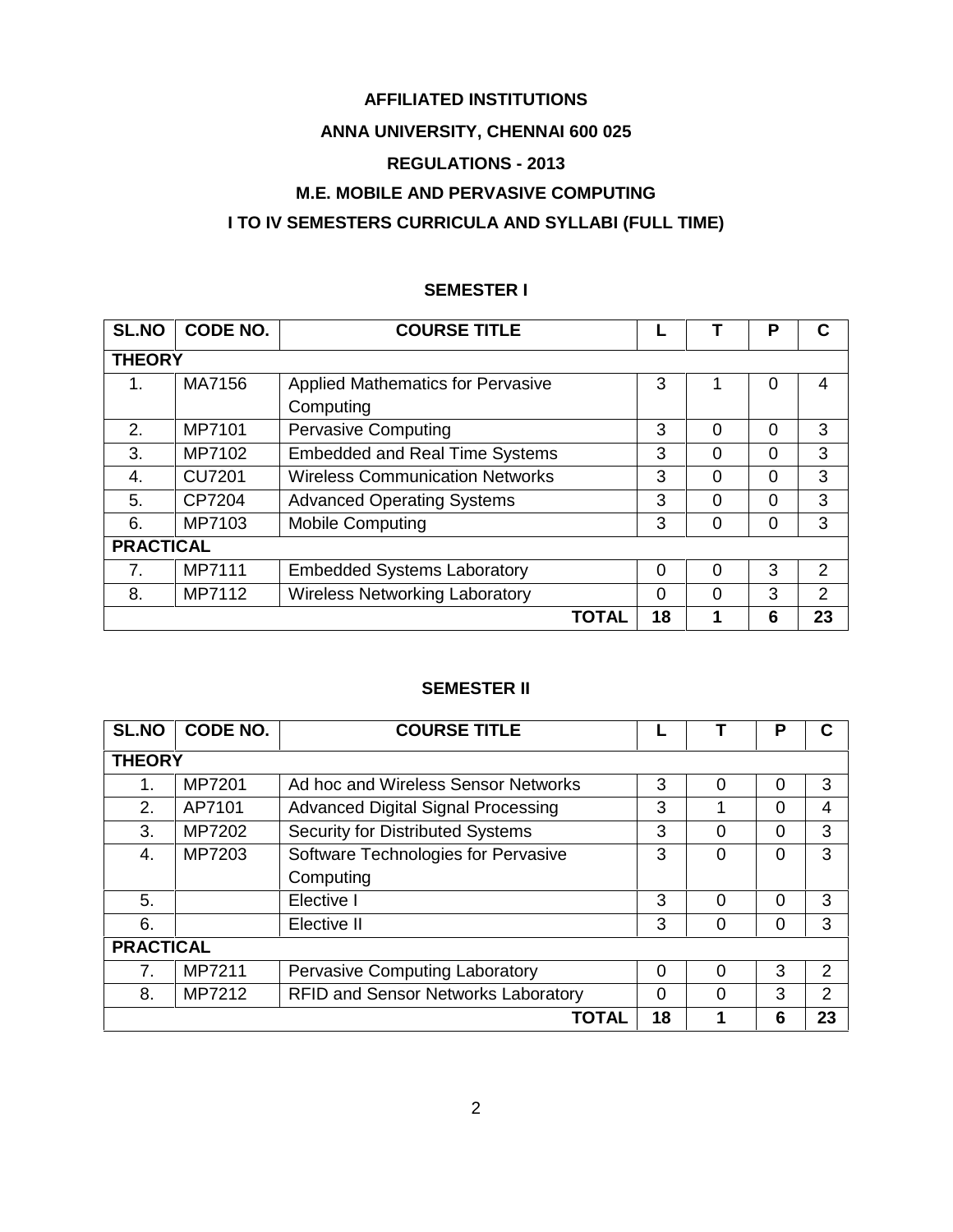# **AFFILIATED INSTITUTIONS**

# **ANNA UNIVERSITY, CHENNAI 600 025**

# **REGULATIONS - 2013**

# **M.E. MOBILE AND PERVASIVE COMPUTING**

# **I TO IV SEMESTERS CURRICULA AND SYLLABI (FULL TIME)**

# **SEMESTER I**

| <b>SL.NO</b>     | CODE NO.      | <b>COURSE TITLE</b>                      |    |   | P        | С  |
|------------------|---------------|------------------------------------------|----|---|----------|----|
| <b>THEORY</b>    |               |                                          |    |   |          |    |
| 1.               | MA7156        | <b>Applied Mathematics for Pervasive</b> | 3  |   | 0        | 4  |
|                  |               | Computing                                |    |   |          |    |
| 2.               | MP7101        | <b>Pervasive Computing</b>               | 3  | 0 | 0        | 3  |
| 3.               | MP7102        | <b>Embedded and Real Time Systems</b>    | 3  | 0 | $\Omega$ | 3  |
| 4.               | <b>CU7201</b> | <b>Wireless Communication Networks</b>   | 3  | 0 | $\Omega$ | 3  |
| 5.               | CP7204        | <b>Advanced Operating Systems</b>        | 3  | 0 | $\Omega$ | 3  |
| 6.               | MP7103        | <b>Mobile Computing</b>                  | 3  | 0 | $\Omega$ | 3  |
| <b>PRACTICAL</b> |               |                                          |    |   |          |    |
| 7.               | MP7111        | <b>Embedded Systems Laboratory</b>       | 0  | 0 | 3        | 2  |
| 8.               | MP7112        | <b>Wireless Networking Laboratory</b>    | 0  | 0 | 3        | 2  |
|                  |               | TOTAL                                    | 18 | 1 | 6        | 23 |

# **SEMESTER II**

| <b>SL.NO</b>     | CODE NO. | <b>COURSE TITLE</b>                        |          |          | P        | C              |
|------------------|----------|--------------------------------------------|----------|----------|----------|----------------|
| <b>THEORY</b>    |          |                                            |          |          |          |                |
| 1.               | MP7201   | Ad hoc and Wireless Sensor Networks        | 3        | $\Omega$ | 0        | 3              |
| 2.               | AP7101   | <b>Advanced Digital Signal Processing</b>  | 3        |          | $\Omega$ | 4              |
| 3.               | MP7202   | Security for Distributed Systems           | 3        | 0        | $\Omega$ | 3              |
| 4.               | MP7203   | Software Technologies for Pervasive        | 3        | $\Omega$ | 0        | 3              |
|                  |          | Computing                                  |          |          |          |                |
| 5.               |          | Elective I                                 | 3        | $\Omega$ | $\Omega$ | 3              |
| 6.               |          | Elective II                                | 3        | 0        | 0        | 3              |
| <b>PRACTICAL</b> |          |                                            |          |          |          |                |
| 7 <sub>1</sub>   | MP7211   | <b>Pervasive Computing Laboratory</b>      | $\Omega$ | $\Omega$ | 3        | $\mathcal{P}$  |
| 8.               | MP7212   | <b>RFID and Sensor Networks Laboratory</b> | $\Omega$ | $\Omega$ | 3        | $\overline{2}$ |
|                  |          | TOTAL                                      | 18       |          | 6        | 23             |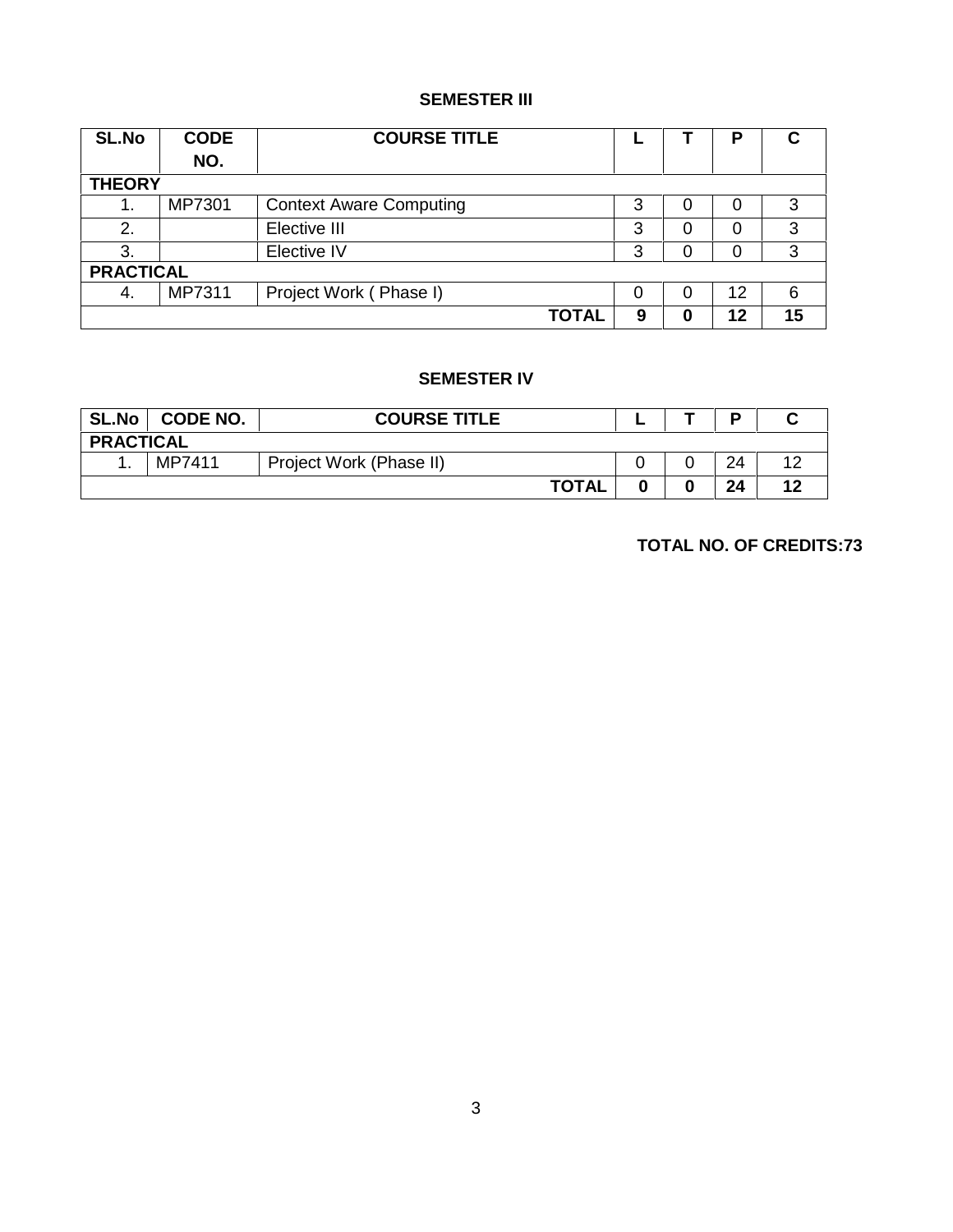# **SEMESTER III**

| <b>SL.No</b>     | <b>CODE</b><br>NO. | <b>COURSE TITLE</b>            |   |   | Р  | C  |
|------------------|--------------------|--------------------------------|---|---|----|----|
| <b>THEORY</b>    |                    |                                |   |   |    |    |
| 1.               | MP7301             | <b>Context Aware Computing</b> | 3 | 0 | 0  | 3  |
| 2.               |                    | Elective III                   | 3 | 0 | 0  | 3  |
| 3.               |                    | Elective IV                    | 3 | 0 | 0  | 3  |
| <b>PRACTICAL</b> |                    |                                |   |   |    |    |
| 4.               | MP7311             | Project Work (Phase I)         | 0 | 0 | 12 | 6  |
|                  |                    | <b>TOTAL</b>                   | 9 | 0 | 12 | 15 |

# **SEMESTER IV**

| <b>SL.No</b>     | <b>CODE NO.</b> | <b>COURSE TITLE</b>     |  |  | D  |    |  |
|------------------|-----------------|-------------------------|--|--|----|----|--|
| <b>PRACTICAL</b> |                 |                         |  |  |    |    |  |
|                  | MP7411          | Project Work (Phase II) |  |  | 24 | 12 |  |
|                  |                 | <b>TOTAL</b>            |  |  | 24 | 12 |  |

**TOTAL NO. OF CREDITS:73**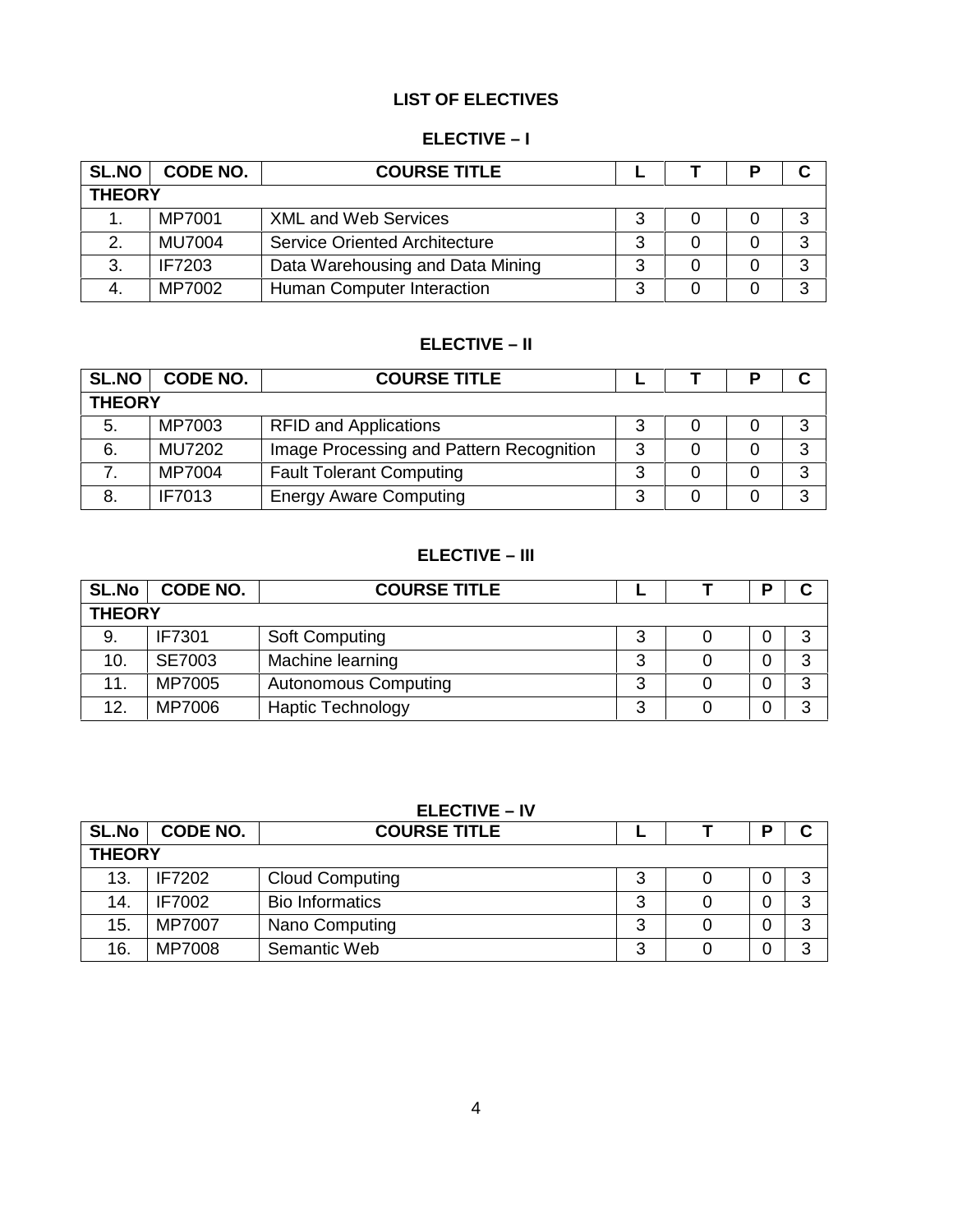# **LIST OF ELECTIVES**

# **ELECTIVE –I**

| <b>SL.NO</b>  | CODE NO.      | <b>COURSE TITLE</b>                  |   |  |  | C |  |
|---------------|---------------|--------------------------------------|---|--|--|---|--|
| <b>THEORY</b> |               |                                      |   |  |  |   |  |
|               | MP7001        | <b>XML and Web Services</b>          |   |  |  | 3 |  |
| 2.            | <b>MU7004</b> | <b>Service Oriented Architecture</b> | າ |  |  | ີ |  |
| 3.            | <b>IF7203</b> | Data Warehousing and Data Mining     | 2 |  |  | ર |  |
| 4.            | MP7002        | Human Computer Interaction           |   |  |  | ີ |  |

# **ELECTIVE – II**

| <b>SL.NO</b>  | <b>CODE NO.</b> | <b>COURSE TITLE</b>                      |   |  | С |
|---------------|-----------------|------------------------------------------|---|--|---|
| <b>THEORY</b> |                 |                                          |   |  |   |
| 5.            | MP7003          | <b>RFID and Applications</b>             |   |  |   |
| 6.            | <b>MU7202</b>   | Image Processing and Pattern Recognition |   |  | 3 |
|               | MP7004          | <b>Fault Tolerant Computing</b>          | ◠ |  | 3 |
| 8.            | <b>IF7013</b>   | <b>Energy Aware Computing</b>            |   |  | 2 |

# **ELECTIVE –III**

| <b>SL.No</b>  | <b>CODE NO.</b> | <b>COURSE TITLE</b>         |  |  | D | С |  |
|---------------|-----------------|-----------------------------|--|--|---|---|--|
| <b>THEORY</b> |                 |                             |  |  |   |   |  |
| 9.            | <b>IF7301</b>   | <b>Soft Computing</b>       |  |  |   | 3 |  |
| 10.           | <b>SE7003</b>   | Machine learning            |  |  | 0 | 3 |  |
| 11.           | MP7005          | <b>Autonomous Computing</b> |  |  | 0 | 3 |  |
| 12.           | MP7006          | <b>Haptic Technology</b>    |  |  | 0 | 3 |  |

# **ELECTIVE – IV**

| <b>SL.No</b>  | <b>CODE NO.</b> | <b>COURSE TITLE</b>    |        |  | D | C |  |
|---------------|-----------------|------------------------|--------|--|---|---|--|
| <b>THEORY</b> |                 |                        |        |  |   |   |  |
| 13.           | <b>IF7202</b>   | <b>Cloud Computing</b> | ື      |  | 0 | 3 |  |
| 14.           | <b>IF7002</b>   | <b>Bio Informatics</b> | ື      |  | 0 | 3 |  |
| 15.           | MP7007          | Nano Computing         | ື      |  | 0 | 3 |  |
| 16.           | MP7008          | Semantic Web           | ⌒<br>ື |  | 0 | 3 |  |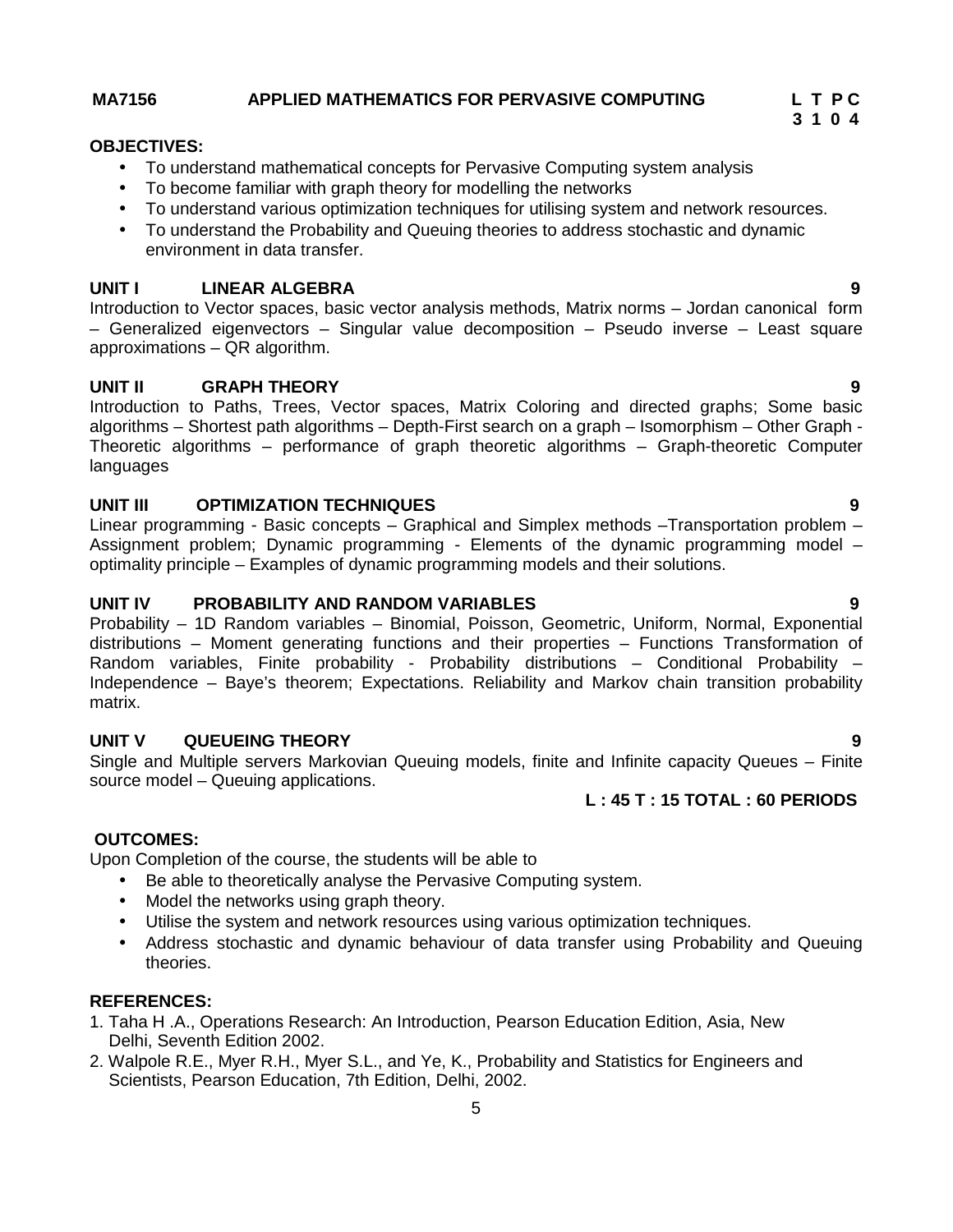### **MA7156 APPLIED MATHEMATICS FOR PERVASIVE COMPUTING L T P C**

#### **OBJECTIVES:**

- To understand mathematical concepts for Pervasive Computing system analysis
- To become familiar with graph theory for modelling the networks
- To understand various optimization techniques for utilising system and network resources.
- To understand the Probability and Queuing theories to address stochastic and dynamic environment in data transfer.

### **UNIT I LINEAR ALGEBRA 9**

Introduction to Vector spaces, basic vector analysis methods, Matrix norms – Jordan canonical form – Generalized eigenvectors – Singular value decomposition – Pseudo inverse – Least square approximations – QR algorithm.

### **UNIT II GRAPH THEORY 9**

Introduction to Paths, Trees, Vector spaces, Matrix Coloring and directed graphs; Some basic algorithms – Shortest path algorithms – Depth-First search on a graph – Isomorphism – Other Graph - Theoretic algorithms – performance of graph theoretic algorithms – Graph-theoretic Computer languages

## **UNIT III OPTIMIZATION TECHNIQUES 9**

Linear programming - Basic concepts – Graphical and Simplex methods –Transportation problem – Assignment problem; Dynamic programming - Elements of the dynamic programming model – optimality principle – Examples of dynamic programming models and their solutions.

### **UNIT IV PROBABILITY AND RANDOM VARIABLES 9**

Probability – 1D Random variables – Binomial, Poisson, Geometric, Uniform, Normal, Exponential distributions – Moment generating functions and their properties – Functions Transformation of Random variables, Finite probability - Probability distributions – Conditional Probability – Independence – Baye's theorem; Expectations. Reliability and Markov chain transition probability matrix.

### **UNIT V QUEUEING THEORY 9**

Single and Multiple servers Markovian Queuing models, finite and Infinite capacity Queues – Finite source model – Queuing applications.

### **L : 45 T : 15 TOTAL : 60 PERIODS**

### **OUTCOMES:**

Upon Completion of the course, the students will be able to

- Be able to theoretically analyse the Pervasive Computing system.
- Model the networks using graph theory.
- Utilise the system and network resources using various optimization techniques.
- Address stochastic and dynamic behaviour of data transfer using Probability and Queuing theories.

# **REFERENCES:**

- 1. Taha H .A., Operations Research: An Introduction, Pearson Education Edition, Asia, New Delhi, Seventh Edition 2002.
- 2. Walpole R.E., Myer R.H., Myer S.L., and Ye, K., Probability and Statistics for Engineers and Scientists, Pearson Education, 7th Edition, Delhi, 2002.

**3 1 0 4**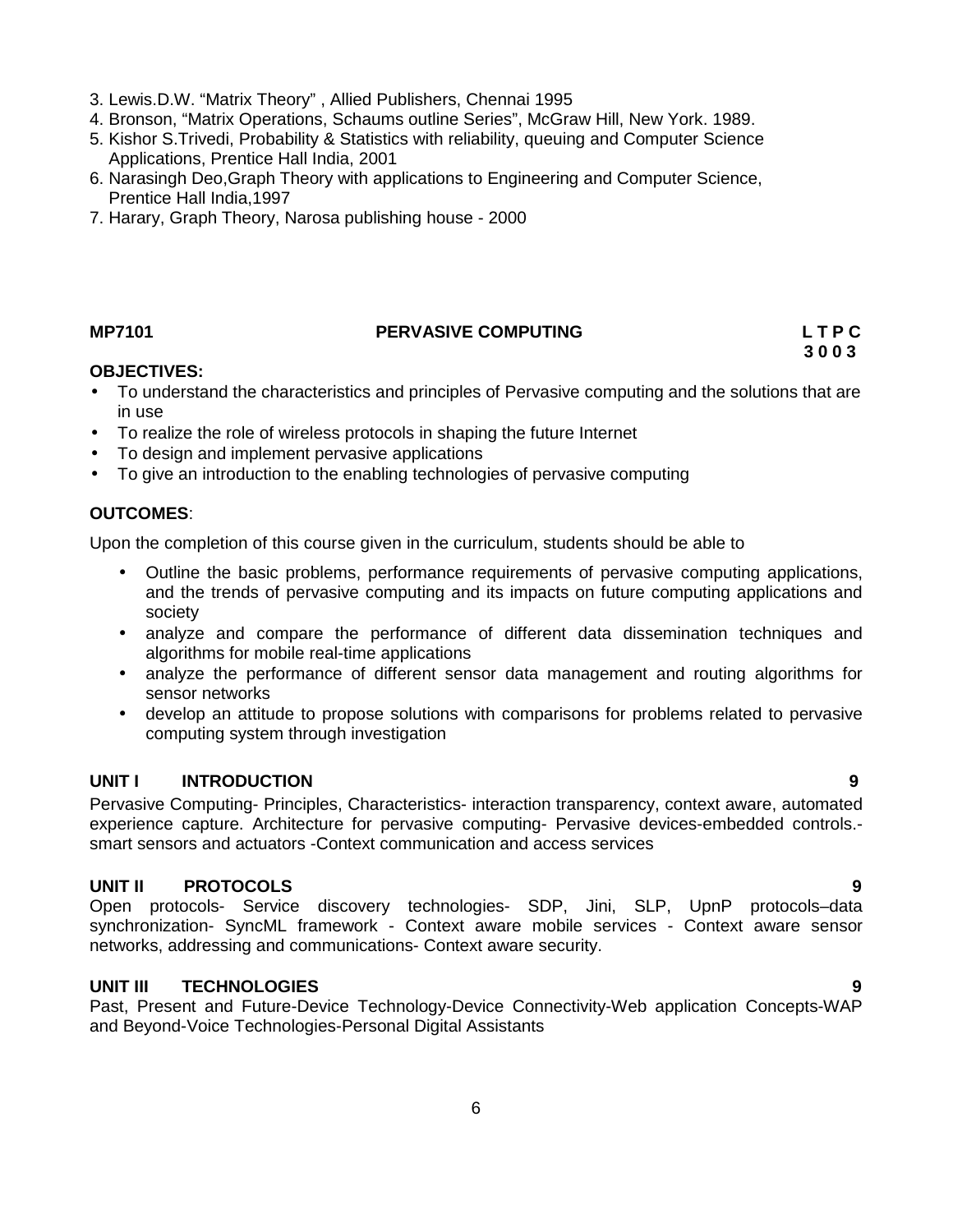- 3. Lewis.D.W. "Matrix Theory" , Allied Publishers, Chennai 1995
- 4. Bronson, "Matrix Operations, Schaums outline Series", McGraw Hill, New York. 1989.
- 5. Kishor S.Trivedi, Probability & Statistics with reliability, queuing and Computer Science Applications, Prentice Hall India, 2001
- 6. Narasingh Deo,Graph Theory with applications to Engineering and Computer Science, Prentice Hall India,1997
- 7. Harary, Graph Theory, Narosa publishing house 2000

# **MP7101 PERVASIVE COMPUTING L T P C**

**3 0 0 3**

# **OBJECTIVES:**

- To understand the characteristics and principles of Pervasive computing and the solutions that are in use
- To realize the role of wireless protocols in shaping the future Internet
- To design and implement pervasive applications
- To give an introduction to the enabling technologies of pervasive computing

# **OUTCOMES**:

Upon the completion of this course given in the curriculum, students should be able to

- Outline the basic problems, performance requirements of pervasive computing applications, and the trends of pervasive computing and its impacts on future computing applications and society
- analyze and compare the performance of different data dissemination techniques and algorithms for mobile real-time applications
- analyze the performance of different sensor data management and routing algorithms for sensor networks
- develop an attitude to propose solutions with comparisons for problems related to pervasive computing system through investigation

# **UNIT I INTRODUCTION 9**

Pervasive Computing- Principles, Characteristics- interaction transparency, context aware, automated experience capture. Architecture for pervasive computing- Pervasive devices-embedded controls. smart sensors and actuators -Context communication and access services

# **UNIT II PROTOCOLS 9**

Open protocols- Service discovery technologies- SDP, Jini, SLP, UpnP protocols–data synchronization- SyncML framework - Context aware mobile services - Context aware sensor networks, addressing and communications- Context aware security.

# **UNIT III TECHNOLOGIES 9**

Past, Present and Future-Device Technology-Device Connectivity-Web application Concepts-WAP and Beyond-Voice Technologies-Personal Digital Assistants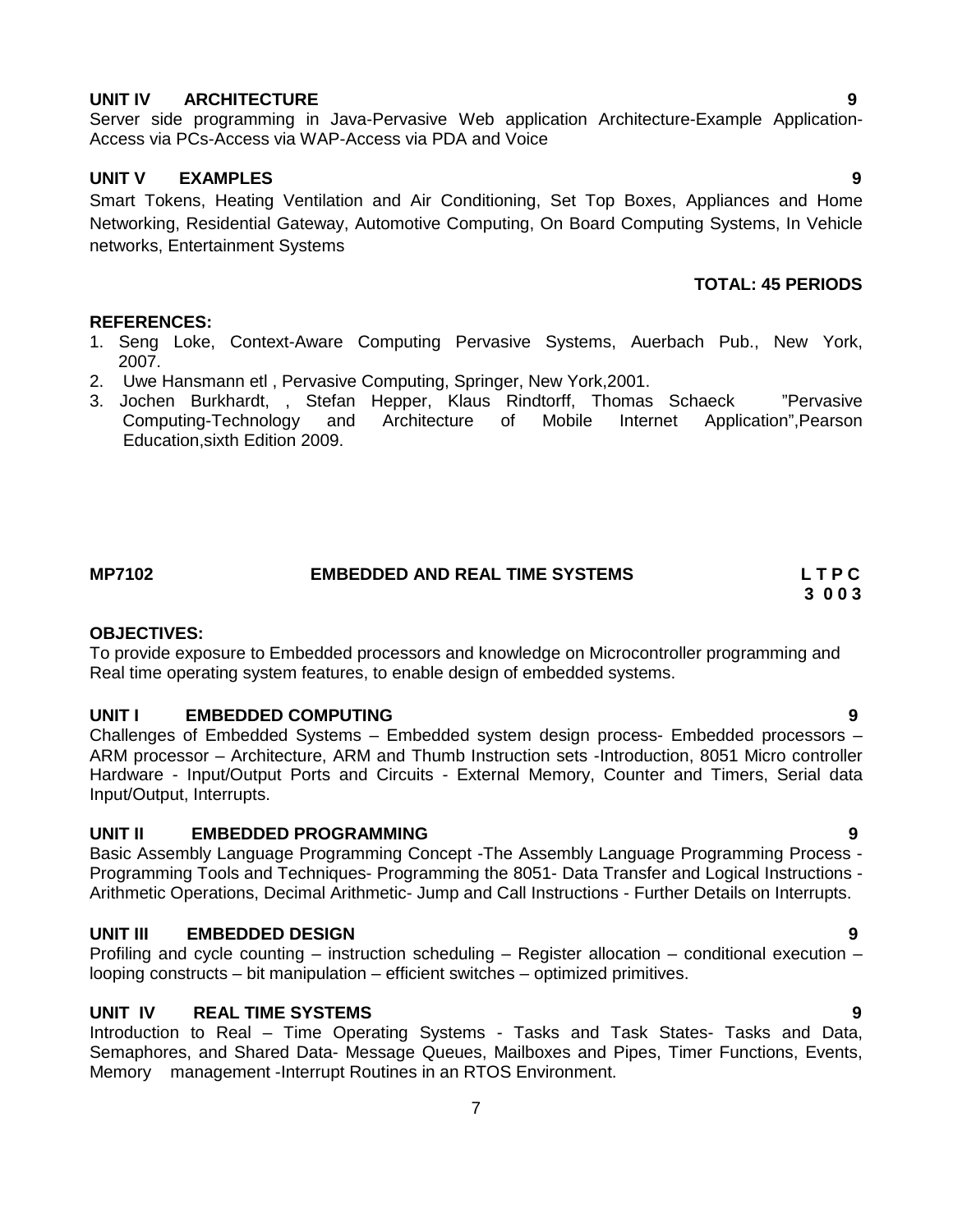#### **UNIT IV ARCHITECTURE 9**

Server side programming in Java-Pervasive Web application Architecture-Example Application- Access via PCs-Access via WAP-Access via PDA and Voice

### **UNIT V EXAMPLES 9**

Smart Tokens, Heating Ventilation and Air Conditioning, Set Top Boxes, Appliances and Home Networking, Residential Gateway, Automotive Computing, On Board Computing Systems, In Vehicle networks, Entertainment Systems

# **TOTAL: 45 PERIODS**

#### **REFERENCES:**

- 1. Seng Loke, Context-Aware Computing Pervasive Systems, Auerbach Pub., New York, 2007.
- 2. Uwe Hansmann etl , Pervasive Computing, Springer, New York,2001.
- 3. Jochen Burkhardt, , Stefan Hepper, Klaus Rindtorff, Thomas Schaeck "Pervasive Computing-Technology and Architecture of Mobile Internet Application",Pearson Education,sixth Edition 2009.

# **MP7102 EMBEDDED AND REAL TIME SYSTEMS L T P C**

#### **OBJECTIVES:**

To provide exposure to Embedded processors and knowledge on Microcontroller programming and Real time operating system features, to enable design of embedded systems.

#### **UNIT I EMBEDDED COMPUTING 9**

Challenges of Embedded Systems – Embedded system design process- Embedded processors – ARM processor – Architecture, ARM and Thumb Instruction sets -Introduction, 8051 Micro controller Hardware - Input/Output Ports and Circuits - External Memory, Counter and Timers, Serial data Input/Output, Interrupts.

### **UNIT II EMBEDDED PROGRAMMING 9**

Basic Assembly Language Programming Concept -The Assembly Language Programming Process - Programming Tools and Techniques- Programming the 8051- Data Transfer and Logical Instructions - Arithmetic Operations, Decimal Arithmetic- Jump and Call Instructions - Further Details on Interrupts.

#### **UNIT III EMBEDDED DESIGN 9**

Profiling and cycle counting – instruction scheduling – Register allocation – conditional execution – looping constructs – bit manipulation – efficient switches – optimized primitives.

### **UNIT IV REAL TIME SYSTEMS 9**

Introduction to Real – Time Operating Systems - Tasks and Task States- Tasks and Data, Semaphores, and Shared Data- Message Queues, Mailboxes and Pipes, Timer Functions, Events, Memory management -Interrupt Routines in an RTOS Environment.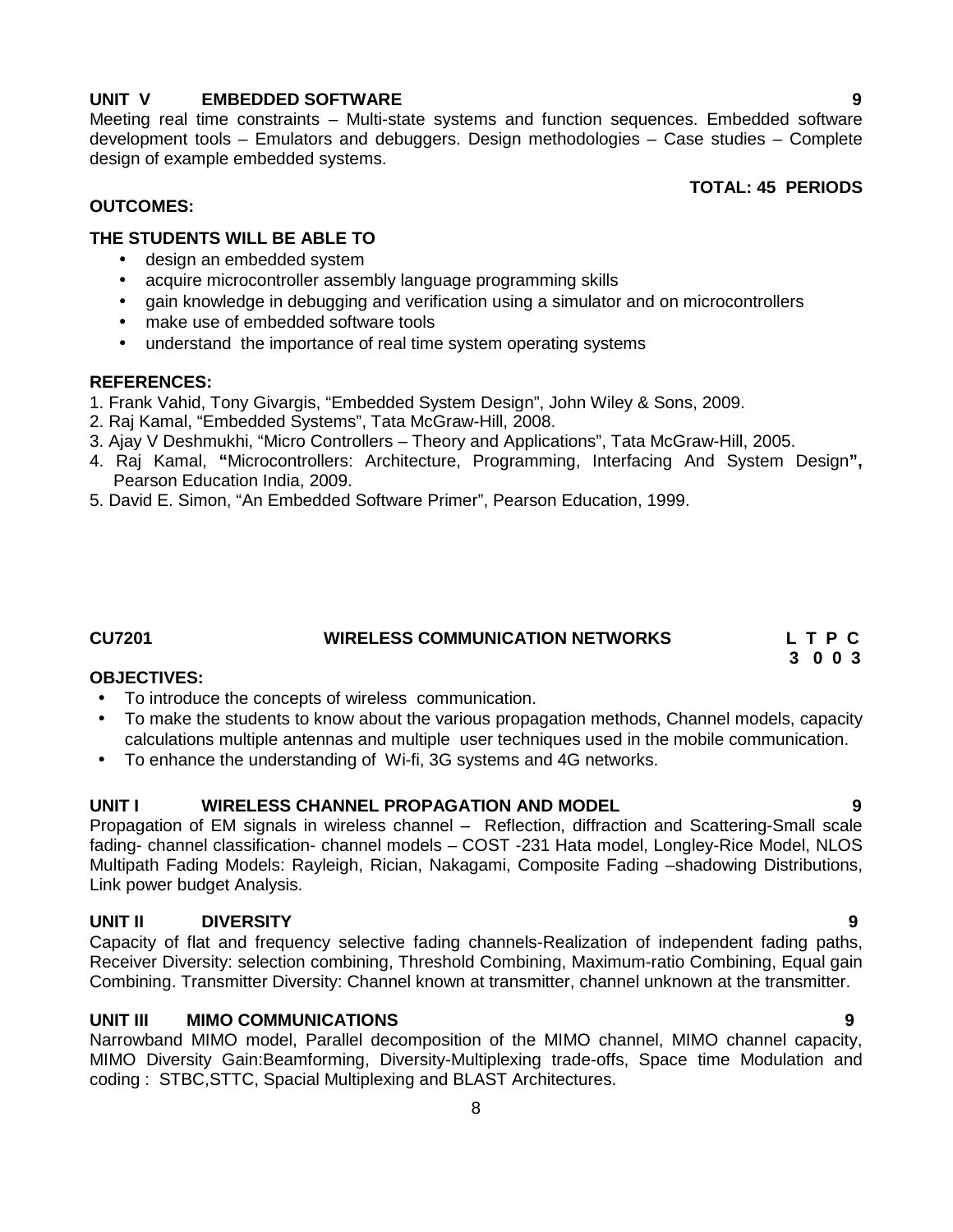# **UNIT V EMBEDDED SOFTWARE 9**

Meeting real time constraints – Multi-state systems and function sequences. Embedded software development tools – Emulators and debuggers. Design methodologies – Case studies – Complete design of example embedded systems.

### **TOTAL: 45 PERIODS**

## **OUTCOMES:**

# **THE STUDENTS WILL BE ABLE TO**

- design an embedded system
- acquire microcontroller assembly language programming skills
- gain knowledge in debugging and verification using a simulator and on microcontrollers
- make use of embedded software tools
- understand the importance of real time system operating systems

### **REFERENCES:**

- 1. Frank Vahid, Tony Givargis, "Embedded System Design", John Wiley & Sons, 2009.
- 2. Raj Kamal, "Embedded Systems", Tata McGraw-Hill, 2008.
- 3. Ajay V Deshmukhi, "Micro Controllers Theory and Applications", Tata McGraw-Hill, 2005.
- 4. Raj Kamal, **"**Microcontrollers: Architecture, Programming, Interfacing And System Design**",** Pearson Education India, 2009.
- 5. David E. Simon, "An Embedded Software Primer", Pearson Education, 1999.

# **CU7201 WIRELESS COMMUNICATION NETWORKS L T P C**

### **OBJECTIVES:**

- To introduce the concepts of wireless communication.
- To make the students to know about the various propagation methods, Channel models, capacity calculations multiple antennas and multiple user techniques used in the mobile communication.
- To enhance the understanding of Wi-fi, 3G systems and 4G networks.

### **UNIT I WIRELESS CHANNEL PROPAGATION AND MODEL 9**

Propagation of EM signals in wireless channel – Reflection, diffraction and Scattering-Small scale fading- channel classification- channel models – COST -231 Hata model, Longley-Rice Model, NLOS Multipath Fading Models: Rayleigh, Rician, Nakagami, Composite Fading –shadowing Distributions, Link power budget Analysis.

### **UNIT II DIVERSITY 9**

Capacity of flat and frequency selective fading channels-Realization of independent fading paths, Receiver Diversity: selection combining, Threshold Combining, Maximum-ratio Combining, Equal gain Combining. Transmitter Diversity: Channel known at transmitter, channel unknown at the transmitter.

# **UNIT III MIMO COMMUNICATIONS 9**

Narrowband MIMO model, Parallel decomposition of the MIMO channel, MIMO channel capacity, MIMO Diversity Gain:Beamforming, Diversity-Multiplexing trade-offs, Space time Modulation and coding : STBC,STTC, Spacial Multiplexing and BLAST Architectures.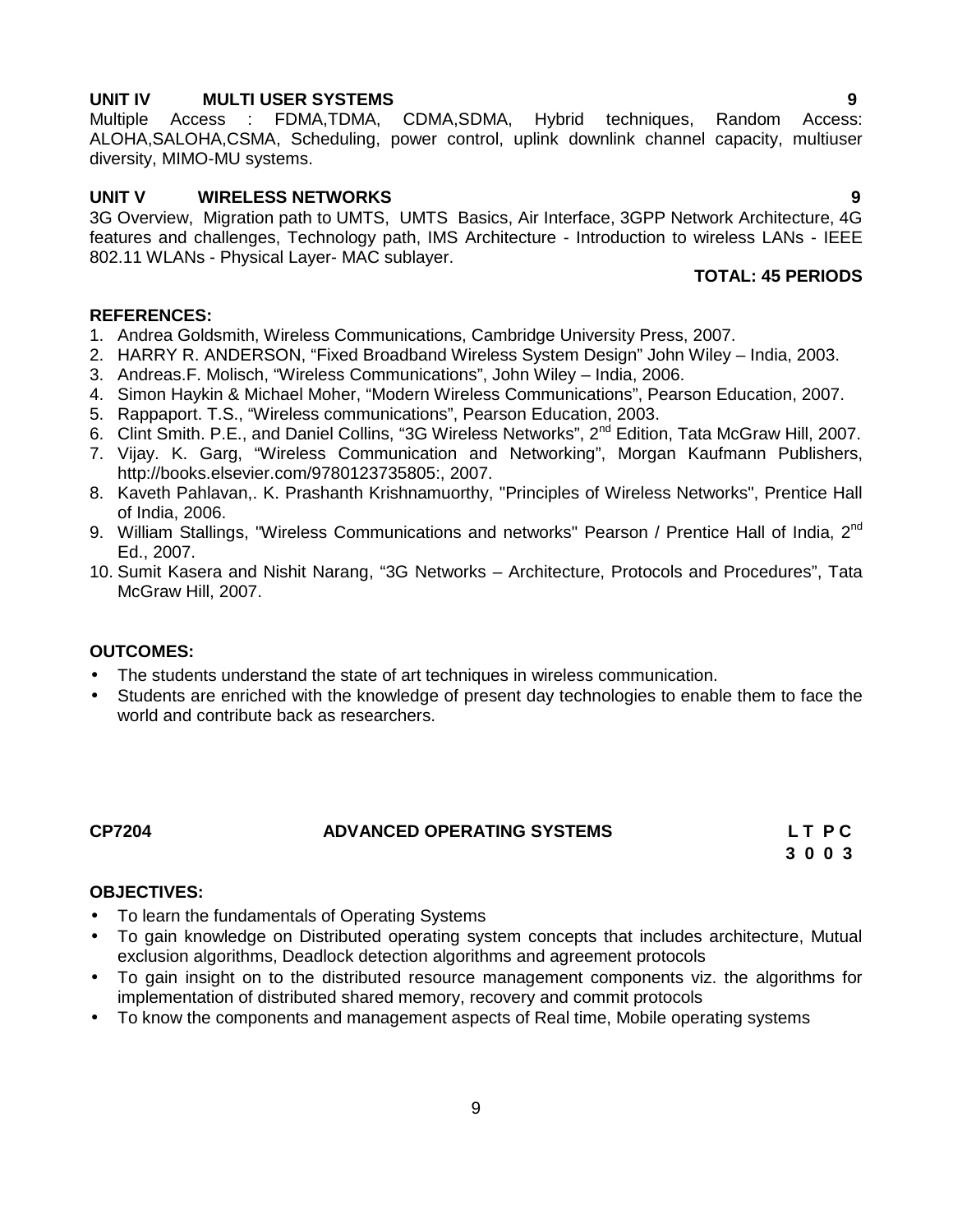**UNIT IV MULTI USER SYSTEMS**<br>
Multiple Access : FDMA.TDMA. CDMA.SDMA. Hvbrid techniques. Random Access: Multiple Access : FDMA,TDMA, CDMA,SDMA, Hybrid techniques, Random Access: ALOHA,SALOHA,CSMA, Scheduling, power control, uplink downlink channel capacity, multiuser diversity, MIMO-MU systems.

### **UNIT V WIRELESS NETWORKS 9**

3G Overview, Migration path to UMTS, UMTS Basics, Air Interface, 3GPP Network Architecture, 4G features and challenges, Technology path, IMS Architecture - Introduction to wireless LANs - IEEE 802.11 WLANs - Physical Layer- MAC sublayer.

# **TOTAL: 45 PERIODS**

#### **REFERENCES:**

- 1. Andrea Goldsmith, Wireless Communications, Cambridge University Press, 2007.
- 2. HARRY R. ANDERSON, "Fixed Broadband Wireless System Design" John Wiley India, 2003.
- 3. Andreas.F. Molisch, "Wireless Communications", John Wiley India, 2006.
- 4. Simon Haykin & Michael Moher, "Modern Wireless Communications", Pearson Education, 2007.
- 5. Rappaport. T.S., "Wireless communications", Pearson Education, 2003.
- 6. Clint Smith. P.E., and Daniel Collins, "3G Wireless Networks", 2<sup>nd</sup> Edition, Tata McGraw Hill, 2007.
- 7. Vijay. K. Garg, "Wireless Communication and Networking", Morgan Kaufmann Publishers, http://books.elsevier.com/9780123735805:, 2007.
- 8. Kaveth Pahlavan,. K. Prashanth Krishnamuorthy, "Principles of Wireless Networks", Prentice Hall of India, 2006.
- 9. William Stallings, "Wireless Communications and networks" Pearson / Prentice Hall of India, 2<sup>nd</sup> Ed., 2007.
- 10. Sumit Kasera and Nishit Narang, "3G Networks Architecture, Protocols and Procedures", Tata McGraw Hill, 2007.

# **OUTCOMES:**

- The students understand the state of art techniques in wireless communication.
- Students are enriched with the knowledge of present day technologies to enable them to face the world and contribute back as researchers.

# **CP7204 ADVANCED OPERATING SYSTEMS L T P C**

**3 0 0 3**

### **OBJECTIVES:**

- To learn the fundamentals of Operating Systems
- To gain knowledge on Distributed operating system concepts that includes architecture, Mutual exclusion algorithms, Deadlock detection algorithms and agreement protocols
- To gain insight on to the distributed resource management components viz. the algorithms for implementation of distributed shared memory, recovery and commit protocols
- To know the components and management aspects of Real time, Mobile operating systems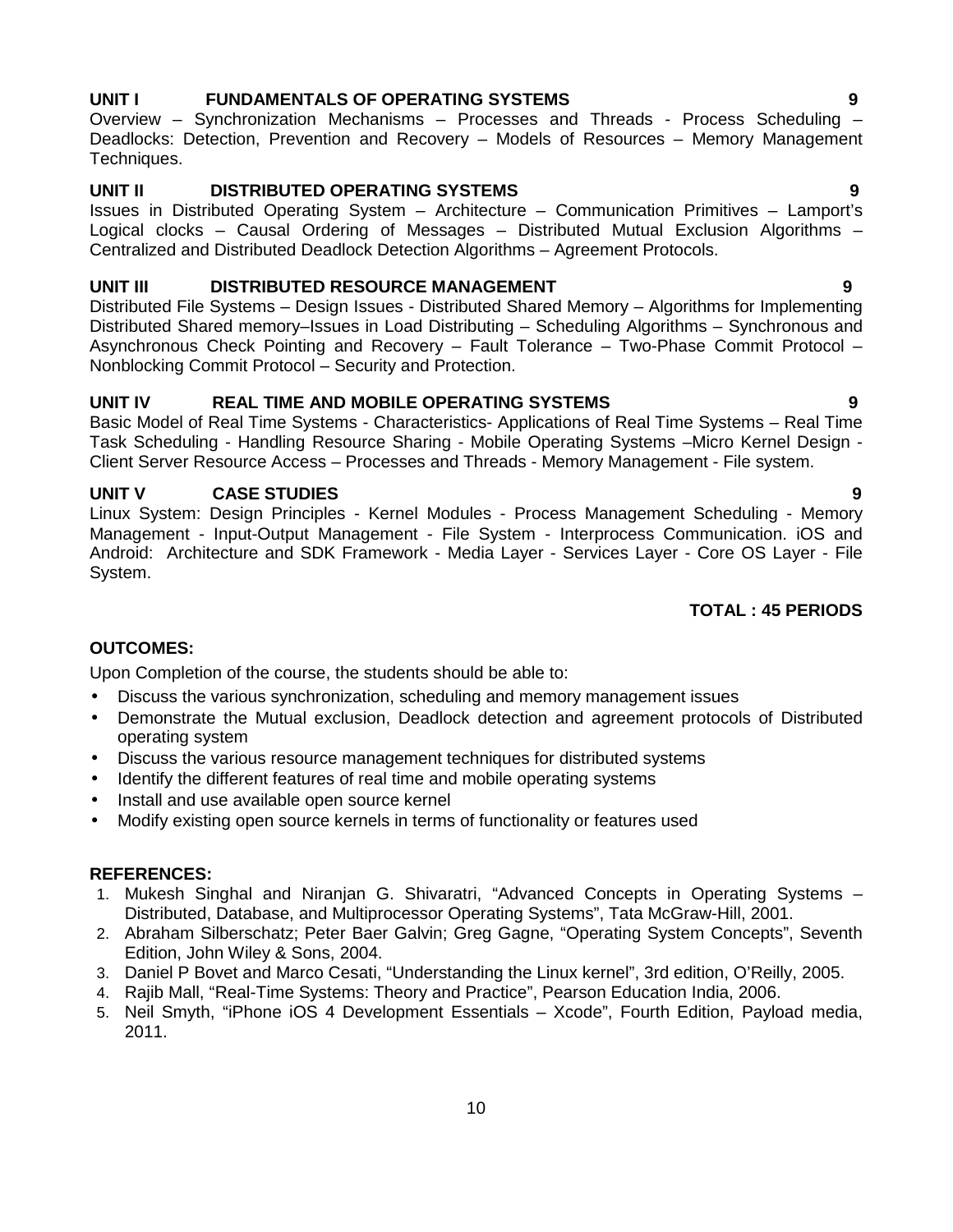# **UNIT I FUNDAMENTALS OF OPERATING SYSTEMS 9**

Overview – Synchronization Mechanisms – Processes and Threads - Process Scheduling – Deadlocks: Detection, Prevention and Recovery – Models of Resources – Memory Management Techniques.

# **UNIT II DISTRIBUTED OPERATING SYSTEMS 9**

Issues in Distributed Operating System – Architecture – Communication Primitives – Lamport's Logical clocks – Causal Ordering of Messages – Distributed Mutual Exclusion Algorithms – Centralized and Distributed Deadlock Detection Algorithms – Agreement Protocols.

# **UNIT III DISTRIBUTED RESOURCE MANAGEMENT 9**

Distributed File Systems – Design Issues - Distributed Shared Memory – Algorithms for Implementing Distributed Shared memory–Issues in Load Distributing – Scheduling Algorithms – Synchronous and Asynchronous Check Pointing and Recovery – Fault Tolerance – Two-Phase Commit Protocol – Nonblocking Commit Protocol – Security and Protection.

# **UNIT IV REAL TIME AND MOBILE OPERATING SYSTEMS 9**

Basic Model of Real Time Systems - Characteristics- Applications of Real Time Systems – Real Time Task Scheduling - Handling Resource Sharing - Mobile Operating Systems –Micro Kernel Design - Client Server Resource Access – Processes and Threads - Memory Management - File system.

# **UNIT V CASE STUDIES 9**

Linux System: Design Principles - Kernel Modules - Process Management Scheduling - Memory Management - Input-Output Management - File System - Interprocess Communication. iOS and Android: Architecture and SDK Framework - Media Layer - Services Layer - Core OS Layer - File System.

# **TOTAL : 45 PERIODS**

# **OUTCOMES:**

Upon Completion of the course, the students should be able to:

- Discuss the various synchronization, scheduling and memory management issues
- Demonstrate the Mutual exclusion, Deadlock detection and agreement protocols of Distributed operating system
- Discuss the various resource management techniques for distributed systems
- Identify the different features of real time and mobile operating systems
- Install and use available open source kernel
- Modify existing open source kernels in terms of functionality or features used

### **REFERENCES:**

- 1. Mukesh Singhal and Niranjan G. Shivaratri, "Advanced Concepts in Operating Systems Distributed, Database, and Multiprocessor Operating Systems", Tata McGraw-Hill, 2001.
- 2. Abraham Silberschatz; Peter Baer Galvin; Greg Gagne, "Operating System Concepts", Seventh Edition, John Wiley & Sons, 2004.
- 3. Daniel P Bovet and Marco Cesati, "Understanding the Linux kernel", 3rd edition, O'Reilly, 2005.
- 4. Rajib Mall, "Real-Time Systems: Theory and Practice", Pearson Education India, 2006.
- 5. Neil Smyth, "iPhone iOS 4 Development Essentials Xcode", Fourth Edition, Payload media, 2011.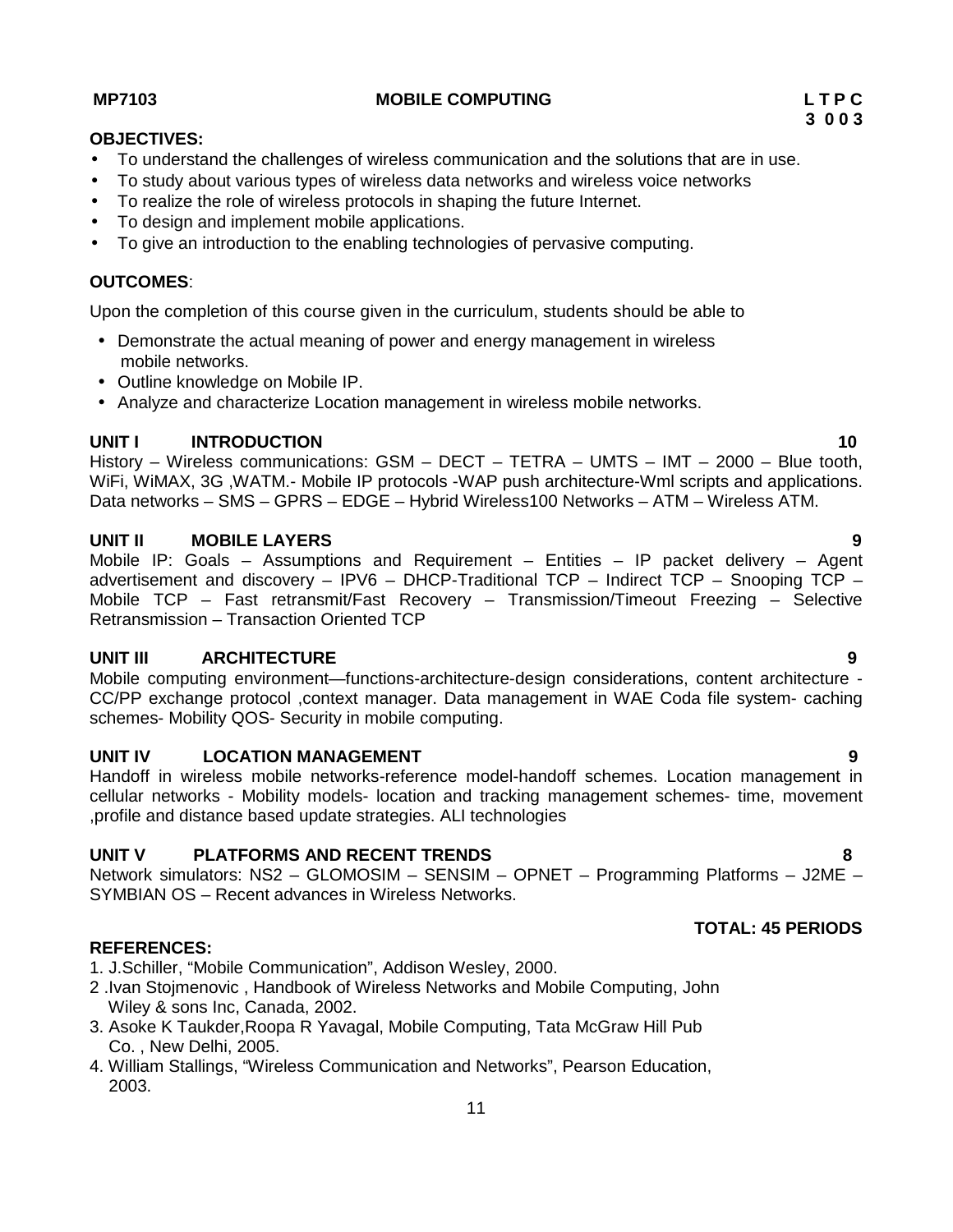To understand the challenges of wireless communication and the solutions that are in use.

To study about various types of wireless data networks and wireless voice networks

To realize the role of wireless protocols in shaping the future Internet.

Upon the completion of this course given in the curriculum, students should be able to

• Demonstrate the actual meaning of power and energy management in wireless mobile networks.

To give an introduction to the enabling technologies of pervasive computing.

• Outline knowledge on Mobile IP.

• To design and implement mobile applications.

Analyze and characterize Location management in wireless mobile networks.

#### **UNIT I INTRODUCTION 10**

History – Wireless communications: GSM – DECT – TETRA – UMTS – IMT – 2000 – Blue tooth, WiFi, WiMAX, 3G ,WATM.- Mobile IP protocols -WAP push architecture-Wml scripts and applications. Data networks – SMS – GPRS – EDGE – Hybrid Wireless100 Networks – ATM – Wireless ATM.

### **UNIT II MOBILE LAYERS 9**

Mobile IP: Goals – Assumptions and Requirement – Entities – IP packet delivery – Agent advertisement and discovery – IPV6 – DHCP-Traditional TCP – Indirect TCP – Snooping TCP – Mobile TCP – Fast retransmit/Fast Recovery – Transmission/Timeout Freezing – Selective Retransmission – Transaction Oriented TCP

### **UNIT III ARCHITECTURE 9**

Mobile computing environment—functions-architecture-design considerations, content architecture - CC/PP exchange protocol ,context manager. Data management in WAE Coda file system- caching schemes- Mobility QOS- Security in mobile computing.

#### **UNIT IV LOCATION MANAGEMENT 9**

Handoff in wireless mobile networks-reference model-handoff schemes. Location management in cellular networks - Mobility models- location and tracking management schemes- time, movement ,profile and distance based update strategies. ALI technologies

#### **UNIT V PLATFORMS AND RECENT TRENDS 8**

Network simulators: NS2 – GLOMOSIM – SENSIM – OPNET – Programming Platforms – J2ME – SYMBIAN OS – Recent advances in Wireless Networks.

#### **REFERENCES:**

- 1. J.Schiller, "Mobile Communication", Addison Wesley, 2000.
- 2 .Ivan Stojmenovic , Handbook of Wireless Networks and Mobile Computing, John Wiley & sons Inc, Canada, 2002.
- 3. Asoke K Taukder,Roopa R Yavagal, Mobile Computing, Tata McGraw Hill Pub Co. , New Delhi, 2005.
- 4. William Stallings, "Wireless Communication and Networks", Pearson Education, 2003.

**OBJECTIVES:**

**OUTCOMES**:

- 
- 

**TOTAL: 45 PERIODS**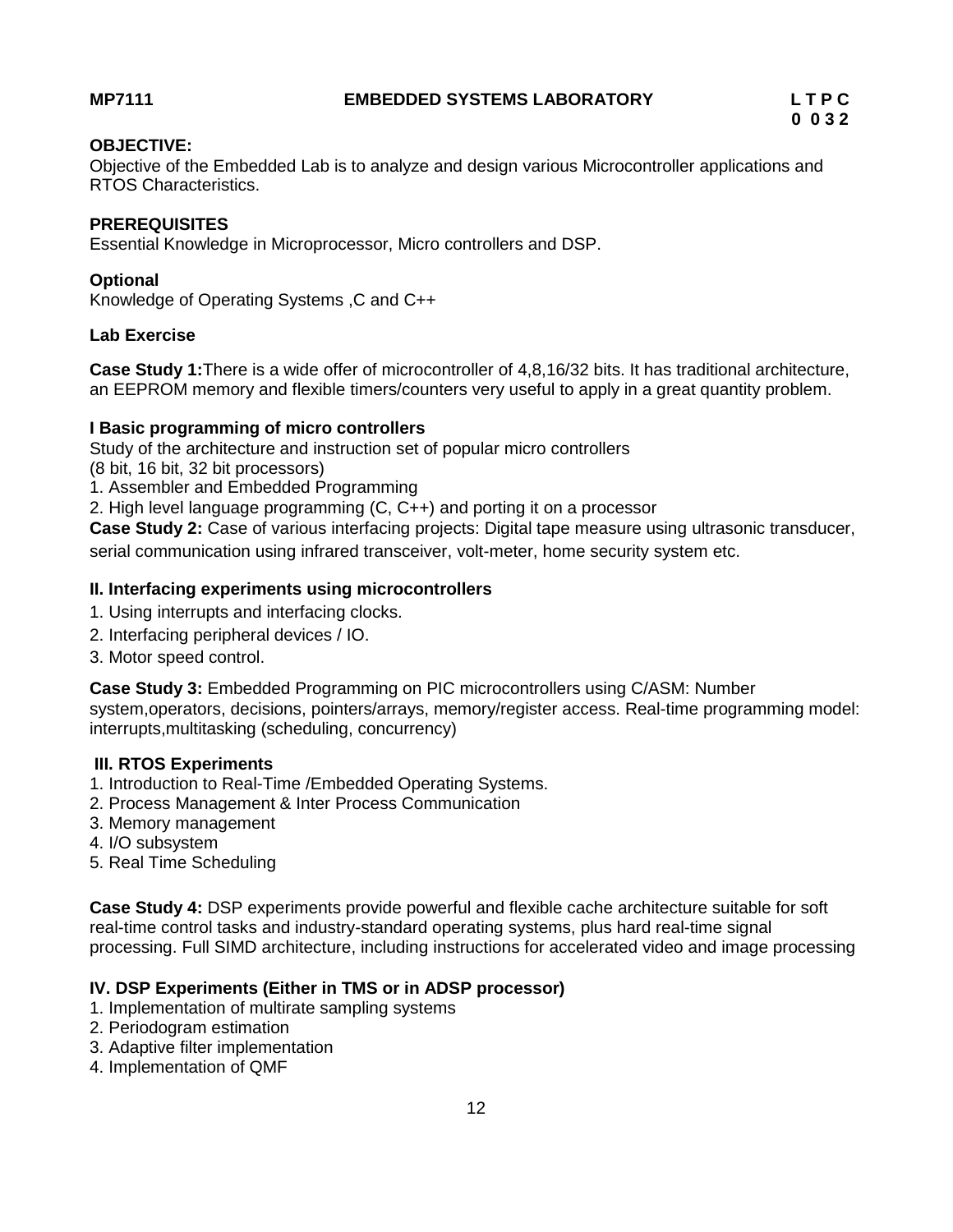# **OBJECTIVE:**

Objective of the Embedded Lab is to analyze and design various Microcontroller applications and RTOS Characteristics.

# **PREREQUISITES**

Essential Knowledge in Microprocessor, Micro controllers and DSP.

# **Optional**

Knowledge of Operating Systems ,C and C++

## **Lab Exercise**

**Case Study 1:**There is a wide offer of microcontroller of 4,8,16/32 bits. It has traditional architecture, an EEPROM memory and flexible timers/counters very useful to apply in a great quantity problem.

## **I Basic programming of micro controllers**

Study of the architecture and instruction set of popular micro controllers

- (8 bit, 16 bit, 32 bit processors)
- 1. Assembler and Embedded Programming
- 2. High level language programming (C, C++) and porting it on a processor

**Case Study 2:** Case of various interfacing projects: Digital tape measure using ultrasonic transducer, serial communication using infrared transceiver, volt-meter, home security system etc.

## **II. Interfacing experiments using microcontrollers**

- 1. Using interrupts and interfacing clocks.
- 2. Interfacing peripheral devices / IO.
- 3. Motor speed control.

**Case Study 3:** Embedded Programming on PIC microcontrollers using C/ASM: Number system,operators, decisions, pointers/arrays, memory/register access. Real-time programming model: interrupts,multitasking (scheduling, concurrency)

# **III. RTOS Experiments**

- 1. Introduction to Real-Time /Embedded Operating Systems.
- 2. Process Management & Inter Process Communication
- 3. Memory management
- 4. I/O subsystem
- 5. Real Time Scheduling

**Case Study 4:** DSP experiments provide powerful and flexible cache architecture suitable for soft real-time control tasks and industry-standard operating systems, plus hard real-time signal processing. Full SIMD architecture, including instructions for accelerated video and image processing

# **IV. DSP Experiments (Either in TMS or in ADSP processor)**

- 1. Implementation of multirate sampling systems
- 2. Periodogram estimation
- 3. Adaptive filter implementation
- 4. Implementation of QMF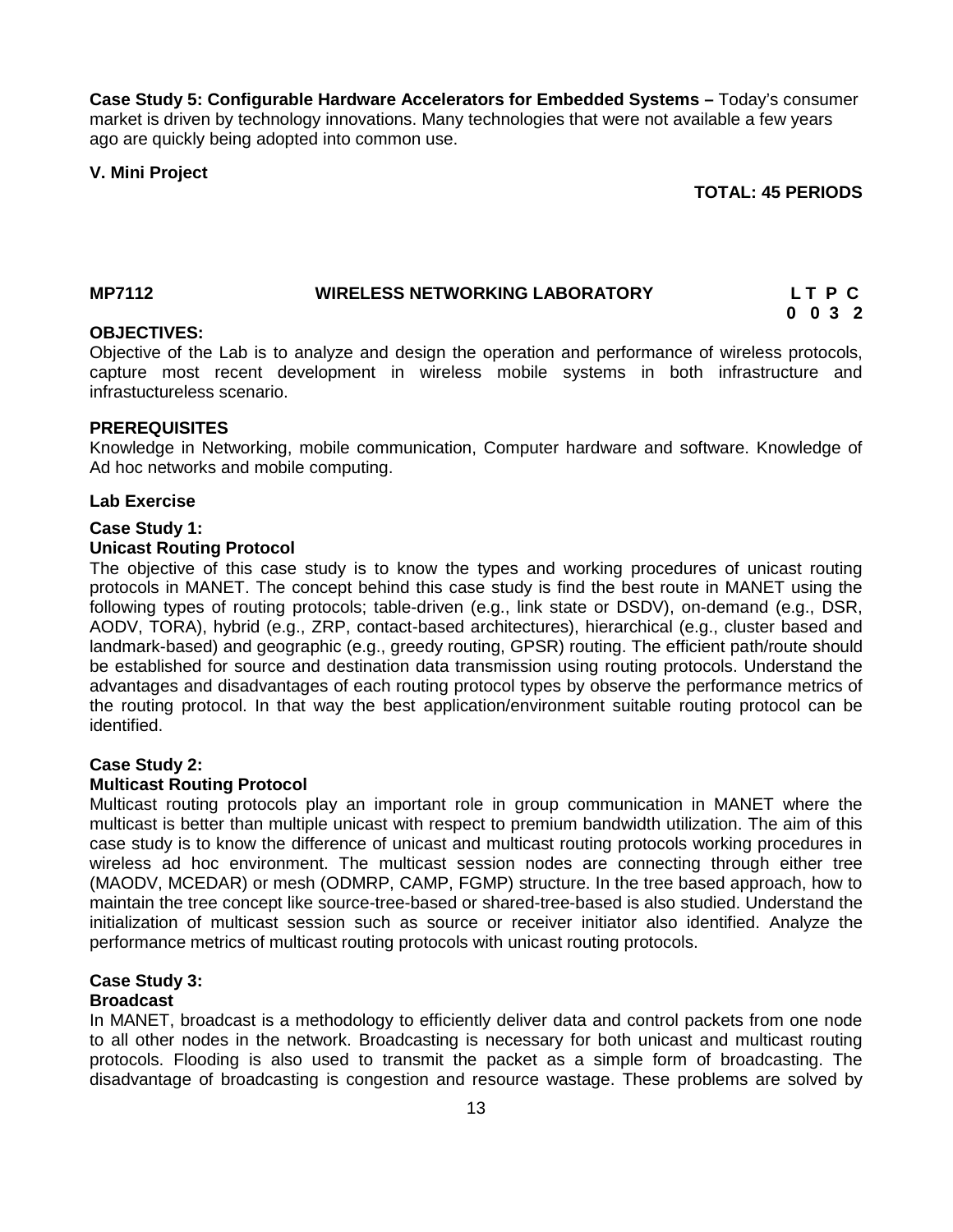**Case Study 5: Configurable Hardware Accelerators for Embedded Systems –** Today's consumer market is driven by technology innovations. Many technologies that were not available a few years ago are quickly being adopted into common use.

### **V. Mini Project**

**TOTAL: 45 PERIODS**

#### **MP7112 WIRELESS NETWORKING LABORATORY L T P C 0 0 3 2**

#### **OBJECTIVES:**

Objective of the Lab is to analyze and design the operation and performance of wireless protocols, capture most recent development in wireless mobile systems in both infrastructure and infrastuctureless scenario.

### **PREREQUISITES**

Knowledge in Networking, mobile communication, Computer hardware and software. Knowledge of Ad hoc networks and mobile computing.

#### **Lab Exercise**

#### **Case Study 1:**

#### **Unicast Routing Protocol**

The objective of this case study is to know the types and working procedures of unicast routing protocols in MANET. The concept behind this case study is find the best route in MANET using the following types of routing protocols; table-driven (e.g., link state or DSDV), on-demand (e.g., DSR, AODV, TORA), hybrid (e.g., ZRP, contact-based architectures), hierarchical (e.g., cluster based and landmark-based) and geographic (e.g., greedy routing, GPSR) routing. The efficient path/route should be established for source and destination data transmission using routing protocols. Understand the advantages and disadvantages of each routing protocol types by observe the performance metrics of the routing protocol. In that way the best application/environment suitable routing protocol can be identified.

### **Case Study 2:**

#### **Multicast Routing Protocol**

Multicast routing protocols play an important role in group communication in MANET where the multicast is better than multiple unicast with respect to premium bandwidth utilization. The aim of this case study is to know the difference of unicast and multicast routing protocols working procedures in wireless ad hoc environment. The multicast session nodes are connecting through either tree (MAODV, MCEDAR) or mesh (ODMRP, CAMP, FGMP) structure. In the tree based approach, how to maintain the tree concept like source-tree-based or shared-tree-based is also studied. Understand the initialization of multicast session such as source or receiver initiator also identified. Analyze the performance metrics of multicast routing protocols with unicast routing protocols.

# **Case Study 3:**

# **Broadcast**

In MANET, broadcast is a methodology to efficiently deliver data and control packets from one node to all other nodes in the network. Broadcasting is necessary for both unicast and multicast routing protocols. Flooding is also used to transmit the packet as a simple form of broadcasting. The disadvantage of broadcasting is congestion and resource wastage. These problems are solved by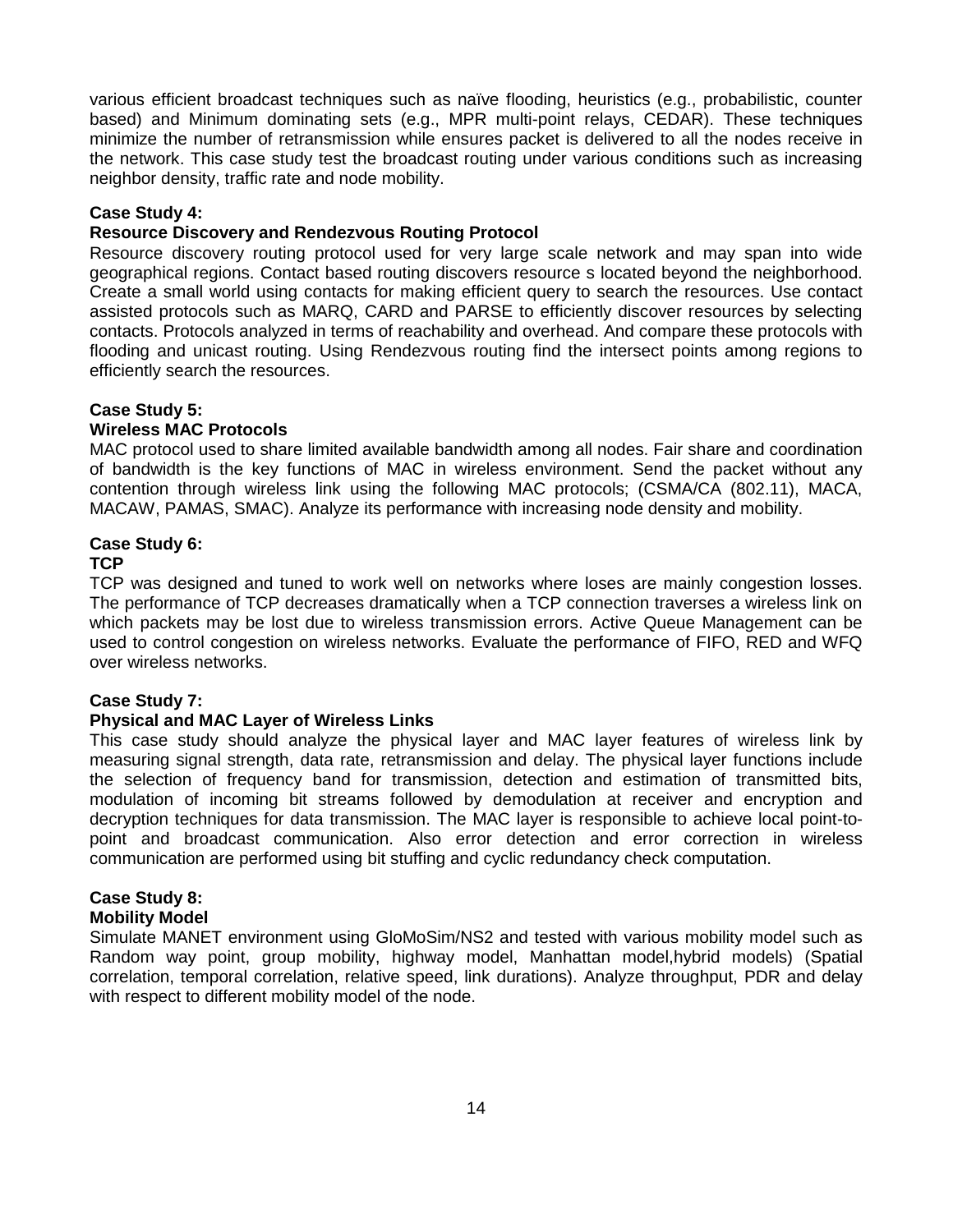various efficient broadcast techniques such as naïve flooding, heuristics (e.g., probabilistic, counter based) and Minimum dominating sets (e.g., MPR multi-point relays, CEDAR). These techniques minimize the number of retransmission while ensures packet is delivered to all the nodes receive in the network. This case study test the broadcast routing under various conditions such as increasing neighbor density, traffic rate and node mobility.

### **Case Study 4:**

### **Resource Discovery and Rendezvous Routing Protocol**

Resource discovery routing protocol used for very large scale network and may span into wide geographical regions. Contact based routing discovers resource s located beyond the neighborhood. Create a small world using contacts for making efficient query to search the resources. Use contact assisted protocols such as MARQ, CARD and PARSE to efficiently discover resources by selecting contacts. Protocols analyzed in terms of reachability and overhead. And compare these protocols with flooding and unicast routing. Using Rendezvous routing find the intersect points among regions to efficiently search the resources.

## **Case Study 5:**

### **Wireless MAC Protocols**

MAC protocol used to share limited available bandwidth among all nodes. Fair share and coordination of bandwidth is the key functions of MAC in wireless environment. Send the packet without any contention through wireless link using the following MAC protocols; (CSMA/CA (802.11), MACA, MACAW, PAMAS, SMAC). Analyze its performance with increasing node density and mobility.

## **Case Study 6:**

### **TCP**

TCP was designed and tuned to work well on networks where loses are mainly congestion losses. The performance of TCP decreases dramatically when a TCP connection traverses a wireless link on which packets may be lost due to wireless transmission errors. Active Queue Management can be used to control congestion on wireless networks. Evaluate the performance of FIFO, RED and WFQ over wireless networks.

### **Case Study 7:**

### **Physical and MAC Layer of Wireless Links**

This case study should analyze the physical layer and MAC layer features of wireless link by measuring signal strength, data rate, retransmission and delay. The physical layer functions include the selection of frequency band for transmission, detection and estimation of transmitted bits, modulation of incoming bit streams followed by demodulation at receiver and encryption and decryption techniques for data transmission. The MAC layer is responsible to achieve local point-to point and broadcast communication. Also error detection and error correction in wireless communication are performed using bit stuffing and cyclic redundancy check computation.

# **Case Study 8:**

### **Mobility Model**

Simulate MANET environment using GloMoSim/NS2 and tested with various mobility model such as Random way point, group mobility, highway model, Manhattan model,hybrid models) (Spatial correlation, temporal correlation, relative speed, link durations). Analyze throughput, PDR and delay with respect to different mobility model of the node.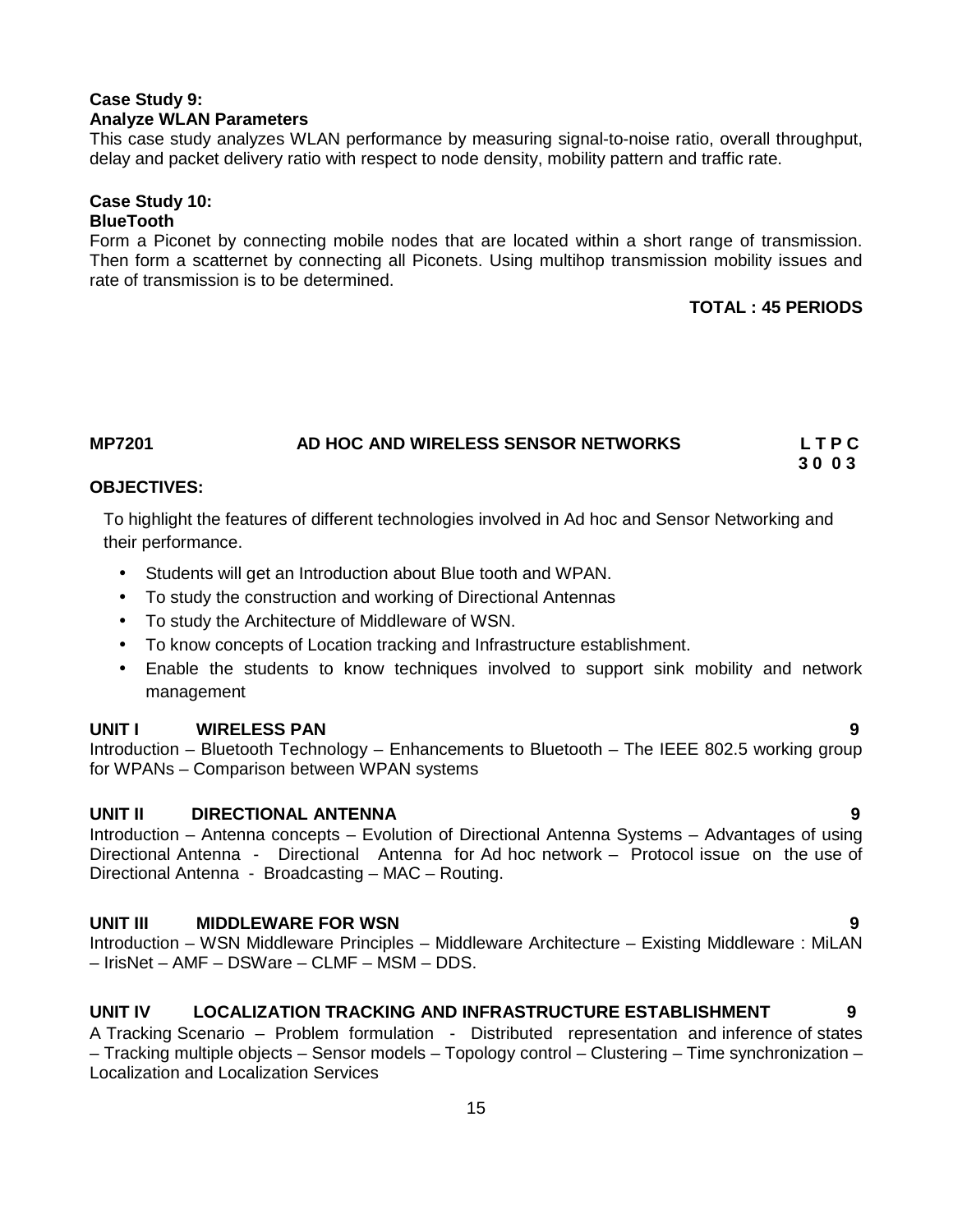# **Case Study 9: Analyze WLAN Parameters**

This case study analyzes WLAN performance by measuring signal-to-noise ratio, overall throughput, delay and packet delivery ratio with respect to node density, mobility pattern and traffic rate.

#### **Case Study 10: BlueTooth**

Form a Piconet by connecting mobile nodes that are located within a short range of transmission. Then form a scatternet by connecting all Piconets. Using multihop transmission mobility issues and rate of transmission is to be determined.

# **TOTAL : 45 PERIODS**

#### **MP7201 AD HOC AND WIRELESS SENSOR NETWORKS L T P C 3 0 0 3**

# **OBJECTIVES:**

To highlight the features of different technologies involved in Ad hoc and Sensor Networking and their performance.

- Students will get an Introduction about Blue tooth and WPAN.
- To study the construction and working of Directional Antennas
- To study the Architecture of Middleware of WSN.
- To know concepts of Location tracking and Infrastructure establishment.
- Enable the students to know techniques involved to support sink mobility and network management

### **UNIT I WIRELESS PAN 9**

Introduction – Bluetooth Technology – Enhancements to Bluetooth – The IEEE 802.5 working group for WPANs – Comparison between WPAN systems

### **UNIT II DIRECTIONAL ANTENNA 9**

Introduction – Antenna concepts – Evolution of Directional Antenna Systems – Advantages of using Directional Antenna - Directional Antenna for Ad hoc network – Protocol issue on the use of Directional Antenna - Broadcasting – MAC – Routing.

# **UNIT III MIDDLEWARE FOR WSN 9**

Introduction – WSN Middleware Principles – Middleware Architecture – Existing Middleware : MiLAN – IrisNet – AMF – DSWare – CLMF – MSM – DDS.

# **UNIT IV LOCALIZATION TRACKING AND INFRASTRUCTURE ESTABLISHMENT 9**

A Tracking Scenario – Problem formulation - Distributed representation and inference of states – Tracking multiple objects – Sensor models – Topology control – Clustering – Time synchronization – Localization and Localization Services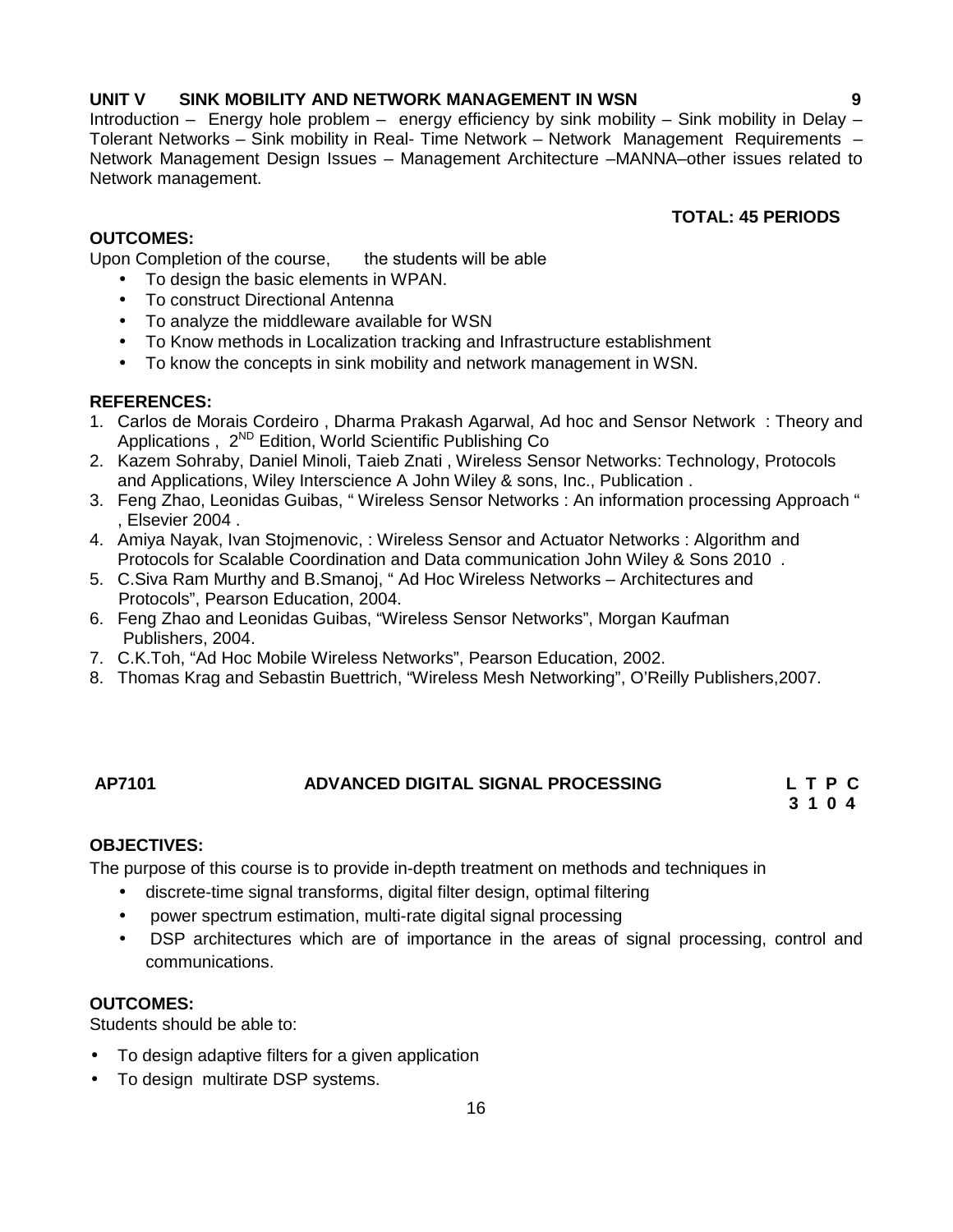# **UNIT V SINK MOBILITY AND NETWORK MANAGEMENT IN WSN 9**

Introduction – Energy hole problem – energy efficiency by sink mobility – Sink mobility in Delay – Tolerant Networks – Sink mobility in Real- Time Network – Network Management Requirements – Network Management Design Issues – Management Architecture –MANNA–other issues related to Network management.

# **TOTAL: 45 PERIODS**

# **OUTCOMES:**

Upon Completion of the course, the students will be able

- To design the basic elements in WPAN.
- To construct Directional Antenna
- To analyze the middleware available for WSN
- To Know methods in Localization tracking and Infrastructure establishment
- To know the concepts in sink mobility and network management in WSN.

## **REFERENCES:**

- 1. Carlos de Morais Cordeiro , Dharma Prakash Agarwal, Ad hoc and Sensor Network : Theory and Applications, 2<sup>ND</sup> Edition, World Scientific Publishing Co
- 2. Kazem Sohraby, Daniel Minoli, Taieb Znati , Wireless Sensor Networks: Technology, Protocols and Applications, Wiley Interscience A John Wiley & sons, Inc., Publication .
- 3. Feng Zhao, Leonidas Guibas, " Wireless Sensor Networks : An information processing Approach " , Elsevier 2004 .
- 4. Amiya Nayak, Ivan Stojmenovic, : Wireless Sensor and Actuator Networks : Algorithm and Protocols for Scalable Coordination and Data communication John Wiley & Sons 2010 .
- 5. C.Siva Ram Murthy and B.Smanoj, " Ad Hoc Wireless Networks Architectures and Protocols", Pearson Education, 2004.
- 6. Feng Zhao and Leonidas Guibas, "Wireless Sensor Networks", Morgan Kaufman Publishers, 2004.
- 7. C.K.Toh, "Ad Hoc Mobile Wireless Networks", Pearson Education, 2002.
- 8. Thomas Krag and Sebastin Buettrich, "Wireless Mesh Networking", O'Reilly Publishers,2007.

### **AP7101 ADVANCED DIGITAL SIGNAL PROCESSING L T P C**

**3 1 0 4**

### **OBJECTIVES:**

The purpose of this course is to provide in-depth treatment on methods and techniques in

- discrete-time signal transforms, digital filter design, optimal filtering
- power spectrum estimation, multi-rate digital signal processing
- DSP architectures which are of importance in the areas of signal processing, control and communications.

### **OUTCOMES:**

Students should be able to:

- To design adaptive filters for a given application
- To design multirate DSP systems.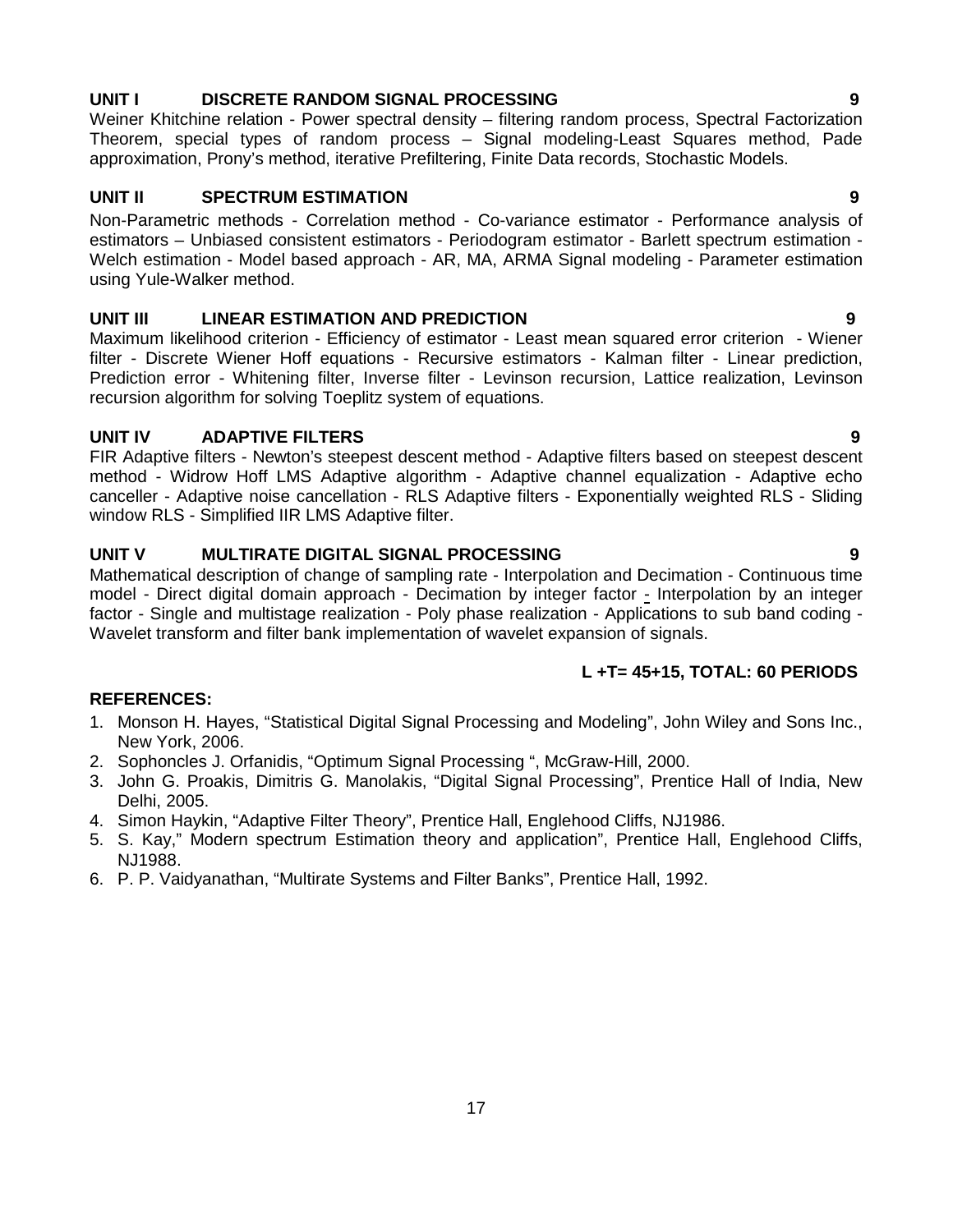# **UNIT III LINEAR ESTIMATION AND PREDICTION 9**

Maximum likelihood criterion - Efficiency of estimator - Least mean squared error criterion - Wiener filter - Discrete Wiener Hoff equations - Recursive estimators - Kalman filter - Linear prediction, Prediction error - Whitening filter, Inverse filter - Levinson recursion, Lattice realization, Levinson recursion algorithm for solving Toeplitz system of equations.

### **UNIT IV ADAPTIVE FILTERS 9**

using Yule-Walker method.

FIR Adaptive filters - Newton's steepest descent method - Adaptive filters based on steepest descent method - Widrow Hoff LMS Adaptive algorithm - Adaptive channel equalization - Adaptive echo canceller - Adaptive noise cancellation - RLS Adaptive filters - Exponentially weighted RLS - Sliding window RLS - Simplified IIR LMS Adaptive filter.

#### **UNIT V MULTIRATE DIGITAL SIGNAL PROCESSING 9**

Mathematical description of change of sampling rate - Interpolation and Decimation - Continuous time model - Direct digital domain approach - Decimation by integer factor - Interpolation by an integer factor - Single and multistage realization - Poly phase realization - Applications to sub band coding - Wavelet transform and filter bank implementation of wavelet expansion of signals.

### **L +T= 45+15, TOTAL: 60 PERIODS**

#### **REFERENCES:**

- 1. Monson H. Hayes, "Statistical Digital Signal Processing and Modeling", John Wiley and Sons Inc., New York, 2006.
- 2. Sophoncles J. Orfanidis, "Optimum Signal Processing ", McGraw-Hill, 2000.
- 3. John G. Proakis, Dimitris G. Manolakis, "Digital Signal Processing", Prentice Hall of India, New Delhi, 2005.
- 4. Simon Haykin, "Adaptive Filter Theory", Prentice Hall, Englehood Cliffs, NJ1986.
- 5. S. Kay," Modern spectrum Estimation theory and application", Prentice Hall, Englehood Cliffs, NJ1988.
- 6. P. P. Vaidyanathan, "Multirate Systems and Filter Banks", Prentice Hall, 1992.

Weiner Khitchine relation - Power spectral density – filtering random process, Spectral Factorization Theorem, special types of random process – Signal modeling-Least Squares method, Pade approximation, Prony's method, iterative Prefiltering, Finite Data records, Stochastic Models.

**UNIT II SPECTRUM ESTIMATION 9** Non-Parametric methods - Correlation method - Co-variance estimator - Performance analysis of estimators – Unbiased consistent estimators - Periodogram estimator - Barlett spectrum estimation - Welch estimation - Model based approach - AR, MA, ARMA Signal modeling - Parameter estimation

17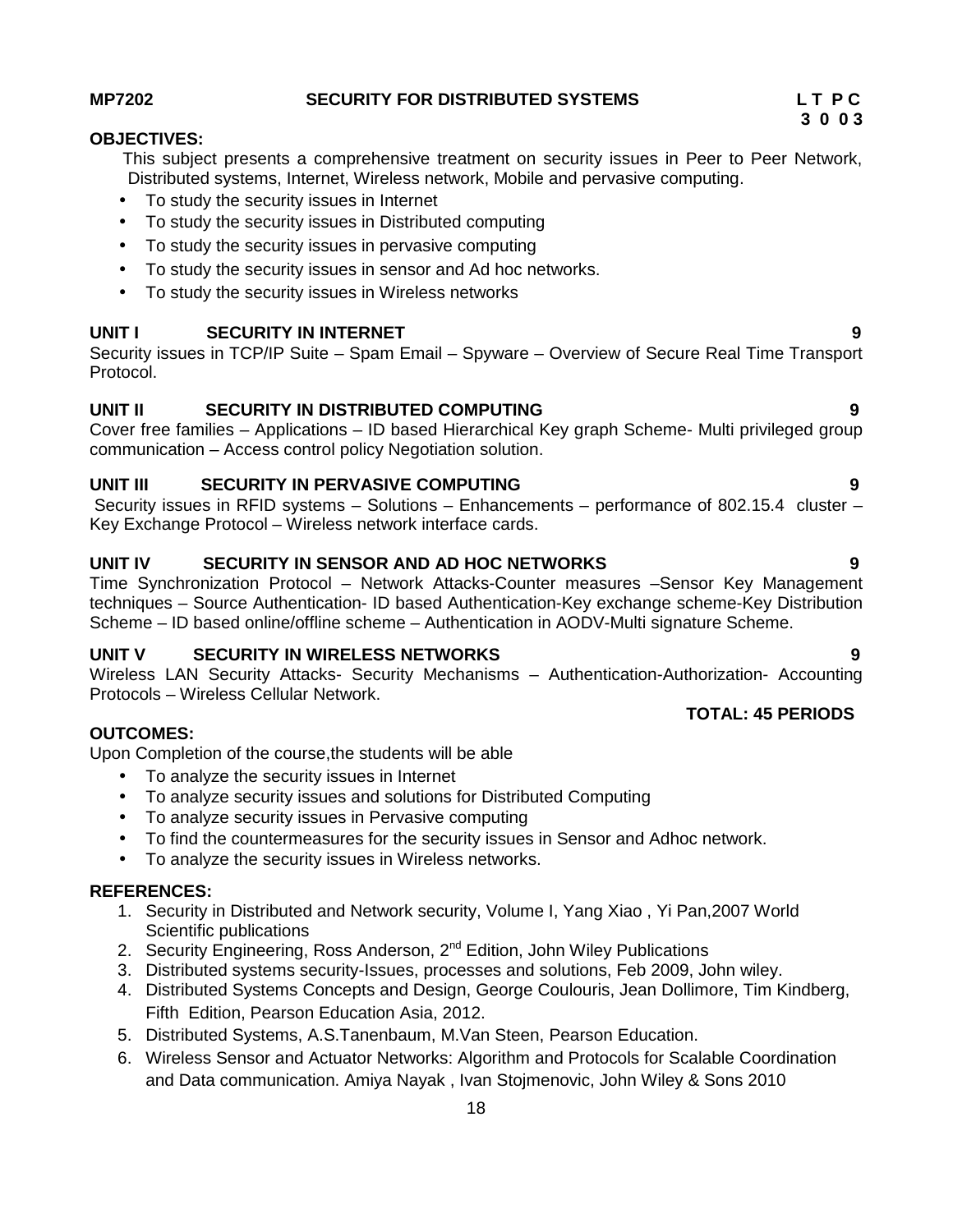# **MP7202 SECURITY FOR DISTRIBUTED SYSTEMS L T P C**

# **OBJECTIVES:**

This subject presents a comprehensive treatment on security issues in Peer to Peer Network, Distributed systems, Internet, Wireless network, Mobile and pervasive computing.

- To study the security issues in Internet
- To study the security issues in Distributed computing
- To study the security issues in pervasive computing
- To study the security issues in sensor and Ad hoc networks.
- To study the security issues in Wireless networks

# **UNIT I SECURITY IN INTERNET 9**

Security issues in TCP/IP Suite – Spam Email – Spyware – Overview of Secure Real Time Transport Protocol.

# **UNIT II SECURITY IN DISTRIBUTED COMPUTING 9**

Cover free families – Applications – ID based Hierarchical Key graph Scheme- Multi privileged group communication – Access control policy Negotiation solution.

# **UNIT III SECURITY IN PERVASIVE COMPUTING 9**

Security issues in RFID systems – Solutions – Enhancements – performance of 802.15.4 cluster – Key Exchange Protocol – Wireless network interface cards.

# **UNIT IV SECURITY IN SENSOR AND AD HOC NETWORKS 9**

Time Synchronization Protocol – Network Attacks-Counter measures –Sensor Key Management techniques – Source Authentication- ID based Authentication-Key exchange scheme-Key Distribution Scheme – ID based online/offline scheme – Authentication in AODV-Multi signature Scheme.

# **UNIT V SECURITY IN WIRELESS NETWORKS 9**

Wireless LAN Security Attacks- Security Mechanisms – Authentication-Authorization- Accounting Protocols – Wireless Cellular Network.

# **OUTCOMES:**

Upon Completion of the course,the students will be able

- To analyze the security issues in Internet
- To analyze security issues and solutions for Distributed Computing
- To analyze security issues in Pervasive computing
- To find the countermeasures for the security issues in Sensor and Adhoc network.
- To analyze the security issues in Wireless networks.

# **REFERENCES:**

- 1. Security in Distributed and Network security, Volume I, Yang Xiao , Yi Pan,2007 World Scientific publications
- 2. Security Engineering, Ross Anderson, 2<sup>nd</sup> Edition, John Wiley Publications
- 3. Distributed systems security-Issues, processes and solutions, Feb 2009, John wiley.
- 4. Distributed Systems Concepts and Design, George Coulouris, Jean Dollimore, Tim Kindberg, Fifth Edition, Pearson Education Asia, 2012.
- 5. Distributed Systems, A.S.Tanenbaum, M.Van Steen, Pearson Education.
- 6. Wireless Sensor and Actuator Networks: Algorithm and Protocols for Scalable Coordination and Data communication. Amiya Nayak , Ivan Stojmenovic, John Wiley & Sons 2010

# **3 0 0 3**

**TOTAL: 45 PERIODS**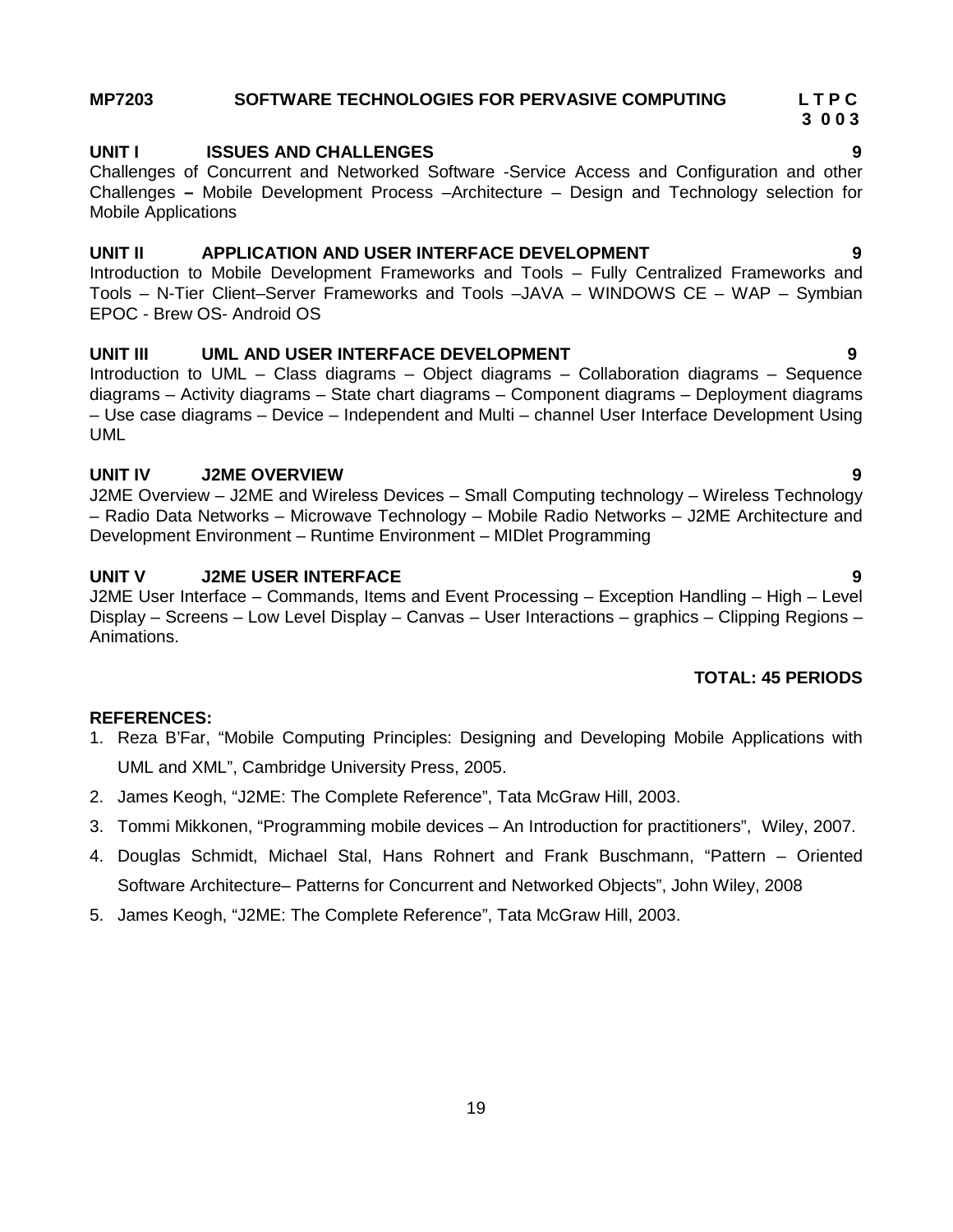J2ME Overview – J2ME and Wireless Devices – Small Computing technology – Wireless Technology – Radio Data Networks – Microwave Technology – Mobile Radio Networks – J2ME Architecture and Development Environment – Runtime Environment – MIDlet Programming

### **UNIT V J2ME USER INTERFACE 9**

J2ME User Interface – Commands, Items and Event Processing – Exception Handling – High – Level Display – Screens – Low Level Display – Canvas – User Interactions – graphics – Clipping Regions – Animations.

### **TOTAL: 45 PERIODS**

### **REFERENCES:**

UML

- 1. Reza B'Far, "Mobile Computing Principles: Designing and Developing Mobile Applications with UML and XML", Cambridge University Press, 2005.
- 2. James Keogh, "J2ME: The Complete Reference", Tata McGraw Hill, 2003.
- 3. Tommi Mikkonen, "Programming mobile devices An Introduction for practitioners", Wiley, 2007.
- 4. Douglas Schmidt, Michael Stal, Hans Rohnert and Frank Buschmann, "Pattern Oriented Software Architecture– Patterns for Concurrent and Networked Objects", John Wiley, 2008
- 5. James Keogh, "J2ME: The Complete Reference", Tata McGraw Hill, 2003.

# **MP7203 SOFTWARE TECHNOLOGIES FOR PERVASIVE COMPUTING L T P C**

# **UNIT I ISSUES AND CHALLENGES 9**

Challenges of Concurrent and Networked Software -Service Access and Configuration and other Challenges **–** Mobile Development Process –Architecture – Design and Technology selection for Mobile Applications

### **UNIT II APPLICATION AND USER INTERFACE DEVELOPMENT 9**

Introduction to Mobile Development Frameworks and Tools – Fully Centralized Frameworks and Tools – N-Tier Client–Server Frameworks and Tools –JAVA – WINDOWS CE – WAP – Symbian EPOC - Brew OS- Android OS

#### **UNIT III UML AND USER INTERFACE DEVELOPMENT 9** Introduction to UML – Class diagrams – Object diagrams – Collaboration diagrams – Sequence

– Use case diagrams – Device – Independent and Multi – channel User Interface Development Using **UNIT IV J2ME OVERVIEW 9**

# diagrams – Activity diagrams – State chart diagrams – Component diagrams – Deployment diagrams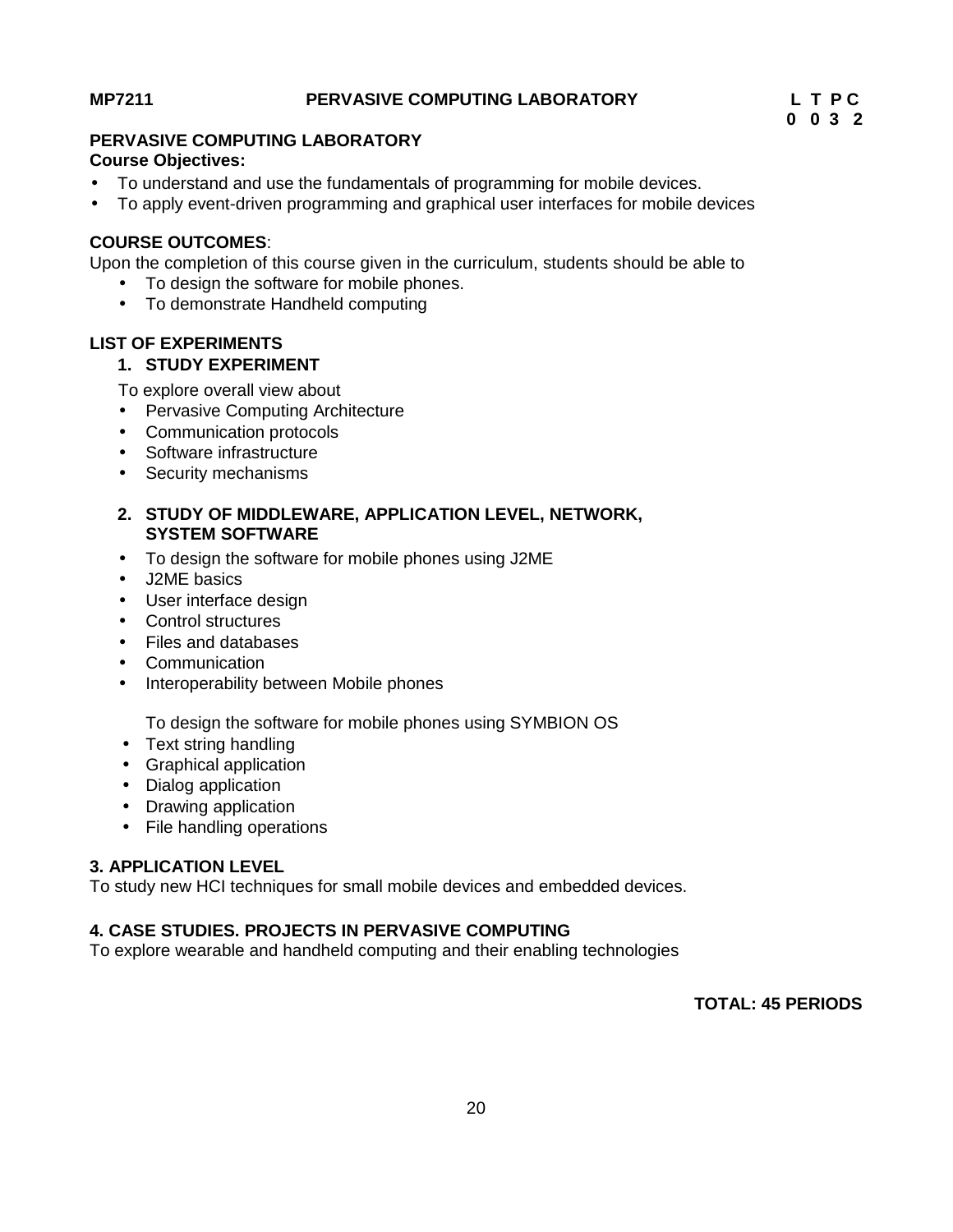### **MP7211 PERVASIVE COMPUTING LABORATORY L T P C**

# **0 0 3 2**

# **PERVASIVE COMPUTING LABORATORY**

## **Course Objectives:**

- To understand and use the fundamentals of programming for mobile devices.
- To apply event-driven programming and graphical user interfaces for mobile devices

# **COURSE OUTCOMES**:

Upon the completion of this course given in the curriculum, students should be able to

- To design the software for mobile phones.
- To demonstrate Handheld computing

# **LIST OF EXPERIMENTS**

## **1. STUDY EXPERIMENT**

To explore overall view about

- Pervasive Computing Architecture
- Communication protocols
- Software infrastructure
- Security mechanisms
- **2. STUDY OF MIDDLEWARE, APPLICATION LEVEL, NETWORK, SYSTEM SOFTWARE**
- To design the software for mobile phones using J2ME
- J2ME basics
- User interface design
- Control structures
- Files and databases
- Communication
- Interoperability between Mobile phones

To design the software for mobile phones using SYMBION OS

- Text string handling
- Graphical application
- Dialog application
- Drawing application
- File handling operations

# **3. APPLICATION LEVEL**

To study new HCI techniques for small mobile devices and embedded devices.

# **4. CASE STUDIES. PROJECTS IN PERVASIVE COMPUTING**

To explore wearable and handheld computing and their enabling technologies

**TOTAL: 45 PERIODS**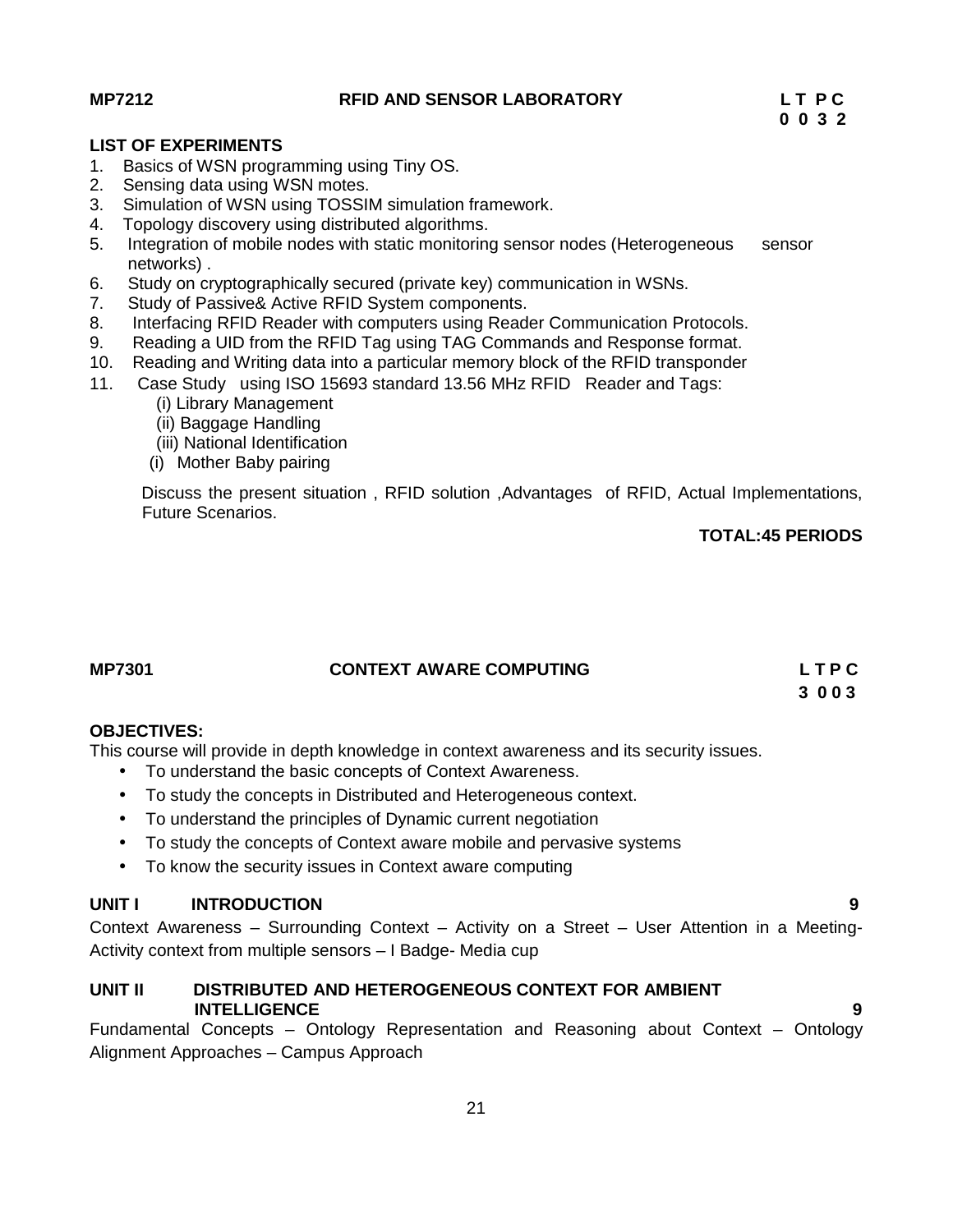### **MP7212 RFID AND SENSOR LABORATORY L T P C**

### **LIST OF EXPERIMENTS**

- 1. Basics of WSN programming using Tiny OS.
- 2. Sensing data using WSN motes.
- 3. Simulation of WSN using TOSSIM simulation framework.
- 4. Topology discovery using distributed algorithms.
- 5. Integration of mobile nodes with static monitoring sensor nodes (Heterogeneous sensor networks) .
- 6. Study on cryptographically secured (private key) communication in WSNs.
- 7. Study of Passive& Active RFID System components.
- 8. Interfacing RFID Reader with computers using Reader Communication Protocols.
- 9. Reading a UID from the RFID Tag using TAG Commands and Response format.
- 10. Reading and Writing data into a particular memory block of the RFID transponder
- 11. Case Study using ISO 15693 standard 13.56 MHz RFID Reader and Tags:
	- (i) Library Management
	- (ii) Baggage Handling
	- (iii) National Identification
	- (i) Mother Baby pairing

Discuss the present situation , RFID solution ,Advantages of RFID, Actual Implementations, Future Scenarios.

# **TOTAL:45 PERIODS**

# **MP7301 CONTEXT AWARE COMPUTING L T P C**

### **3 0 0 3**

### **OBJECTIVES:**

This course will provide in depth knowledge in context awareness and its security issues.

- To understand the basic concepts of Context Awareness.
- To study the concepts in Distributed and Heterogeneous context.
- To understand the principles of Dynamic current negotiation
- To study the concepts of Context aware mobile and pervasive systems
- To know the security issues in Context aware computing

# **UNIT I INTRODUCTION 9**

Context Awareness – Surrounding Context – Activity on a Street – User Attention in a Meeting- Activity context from multiple sensors – I Badge- Media cup

#### **UNIT II DISTRIBUTED AND HETEROGENEOUS CONTEXT FOR AMBIENT INTELLIGENCE 9**

Fundamental Concepts – Ontology Representation and Reasoning about Context – Ontology Alignment Approaches – Campus Approach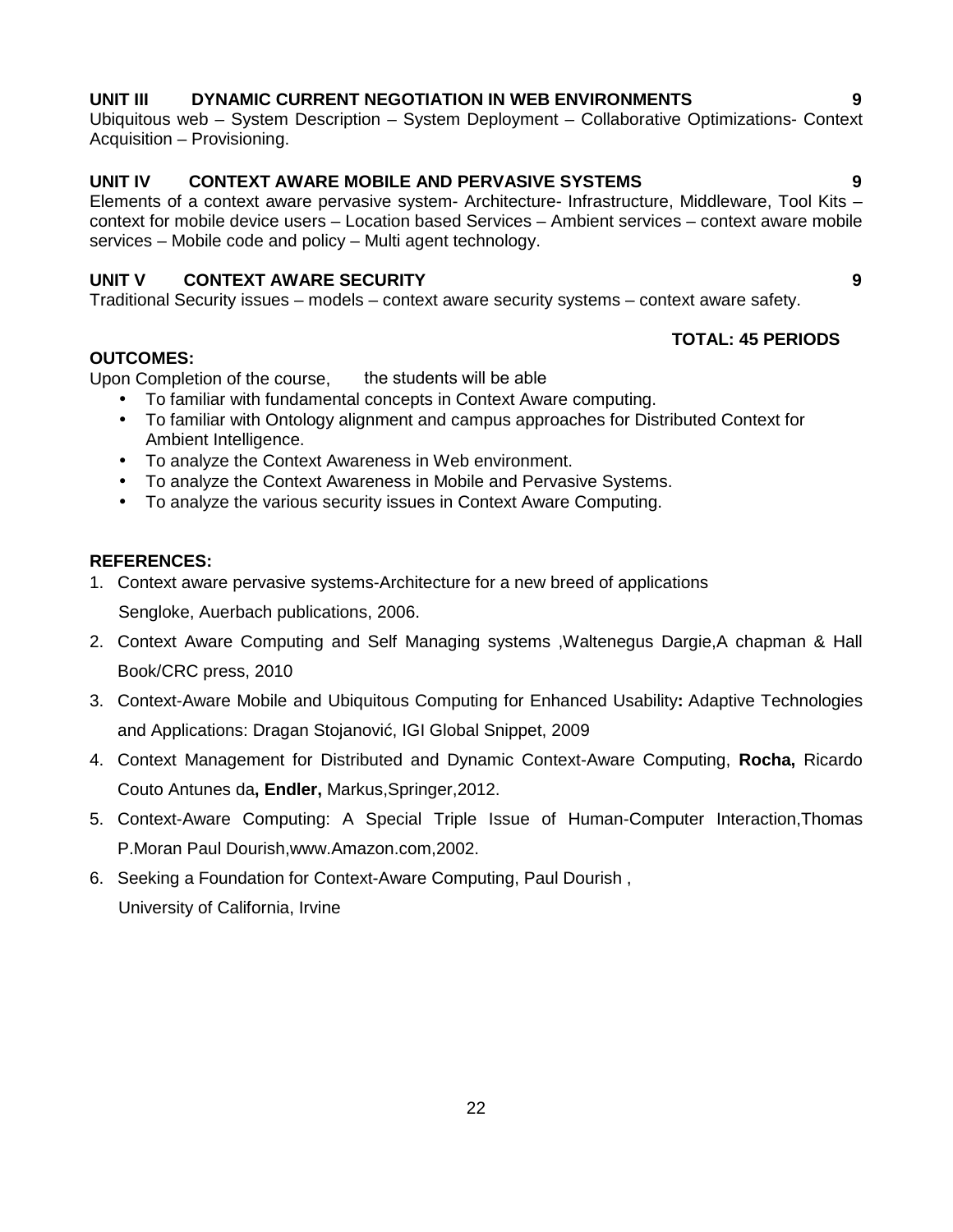# **UNIT III DYNAMIC CURRENT NEGOTIATION IN WEB ENVIRONMENTS 9**

Ubiquitous web – System Description – System Deployment – Collaborative Optimizations- Context Acquisition – Provisioning.

# **UNIT IV CONTEXT AWARE MOBILE AND PERVASIVE SYSTEMS 9**

Elements of a context aware pervasive system- Architecture- Infrastructure, Middleware, Tool Kits – context for mobile device users – Location based Services – Ambient services – context aware mobile services – Mobile code and policy – Multi agent technology.

# **UNIT V CONTEXT AWARE SECURITY 9**

Traditional Security issues – models – context aware security systems – context aware safety.

# **OUTCOMES:**

Upon Completion of the course, the students will be able

- To familiar with fundamental concepts in Context Aware computing.
- To familiar with Ontology alignment and campus approaches for Distributed Context for Ambient Intelligence.
- To analyze the Context Awareness in Web environment.
- To analyze the Context Awareness in Mobile and Pervasive Systems.
- To analyze the various security issues in Context Aware Computing.

# **REFERENCES:**

1. Context aware pervasive systems-Architecture for a new breed of applications

Sengloke, Auerbach publications, 2006.

- 2. Context Aware Computing and Self Managing systems ,Waltenegus Dargie,A chapman & Hall Book/CRC press, 2010
- 3. Context-Aware Mobile and Ubiquitous Computing for Enhanced Usability**:** Adaptive Technologies and Applications: Dragan Stojanovi, IGI Global Snippet, 2009
- 4. Context Management for Distributed and Dynamic Context-Aware Computing, **Rocha,** Ricardo Couto Antunes da**, Endler,** Markus,Springer,2012.
- 5. Context-Aware Computing: A Special Triple Issue of Human-Computer Interaction,Thomas P.Moran Paul Dourish,www.Amazon.com,2002.
- 6. Seeking a Foundation for Context-Aware Computing, Paul Dourish , University of California, Irvine

**TOTAL: 45 PERIODS**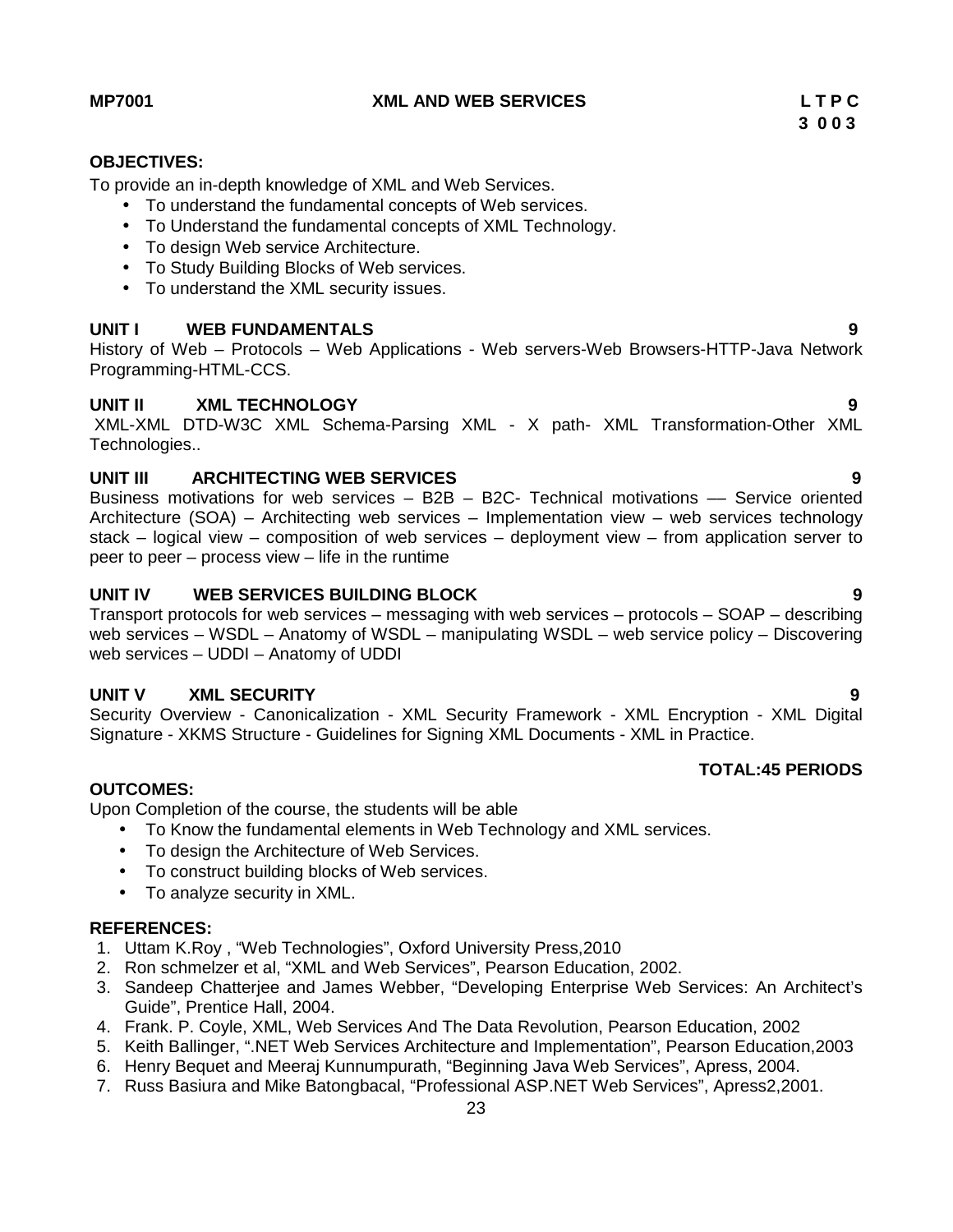**MP7001 XML AND WEB SERVICES L T P C**

# **OBJECTIVES:**

To provide an in-depth knowledge of XML and Web Services.

- To understand the fundamental concepts of Web services.
- To Understand the fundamental concepts of XML Technology.
- To design Web service Architecture.
- To Study Building Blocks of Web services.
- To understand the XML security issues.

## **UNIT I WEB FUNDAMENTALS 9**

History of Web – Protocols – Web Applications - Web servers-Web Browsers-HTTP-Java Network Programming-HTML-CCS.

## **UNIT II XML TECHNOLOGY 9**

XML-XML DTD-W3C XML Schema-Parsing XML - X path- XML Transformation-Other XML Technologies..

# **UNIT III ARCHITECTING WEB SERVICES 9**

Business motivations for web services – B2B – B2C- Technical motivations –– Service oriented Architecture (SOA) – Architecting web services – Implementation view – web services technology stack – logical view – composition of web services – deployment view – from application server to peer to peer – process view – life in the runtime

## **UNIT IV WEB SERVICES BUILDING BLOCK 9**

Transport protocols for web services – messaging with web services – protocols –  $SORP$  – describing web services – WSDL – Anatomy of WSDL – manipulating WSDL – web service policy – Discovering web services – UDDI – Anatomy of UDDI

### **UNIT V XML SECURITY 9**

Security Overview - Canonicalization - XML Security Framework - XML Encryption - XML Digital Signature - XKMS Structure - Guidelines for Signing XML Documents - XML in Practice.

# **TOTAL:45 PERIODS**

# **OUTCOMES:**

Upon Completion of the course, the students will be able

- To Know the fundamental elements in Web Technology and XML services.
- To design the Architecture of Web Services.
- To construct building blocks of Web services.
- To analyze security in XML.

### **REFERENCES:**

- 1. Uttam K.Roy , "Web Technologies", Oxford University Press,2010
- 2. Ron schmelzer et al, "XML and Web Services", Pearson Education, 2002.
- 3. Sandeep Chatterjee and James Webber, "Developing Enterprise Web Services: An Architect's Guide", Prentice Hall, 2004.
- 4. Frank. P. Coyle, XML, Web Services And The Data Revolution, Pearson Education, 2002
- 5. Keith Ballinger, ".NET Web Services Architecture and Implementation", Pearson Education,2003
- 6. Henry Bequet and Meeraj Kunnumpurath, "Beginning Java Web Services", Apress, 2004.
- 7. Russ Basiura and Mike Batongbacal, "Professional ASP.NET Web Services", Apress2,2001.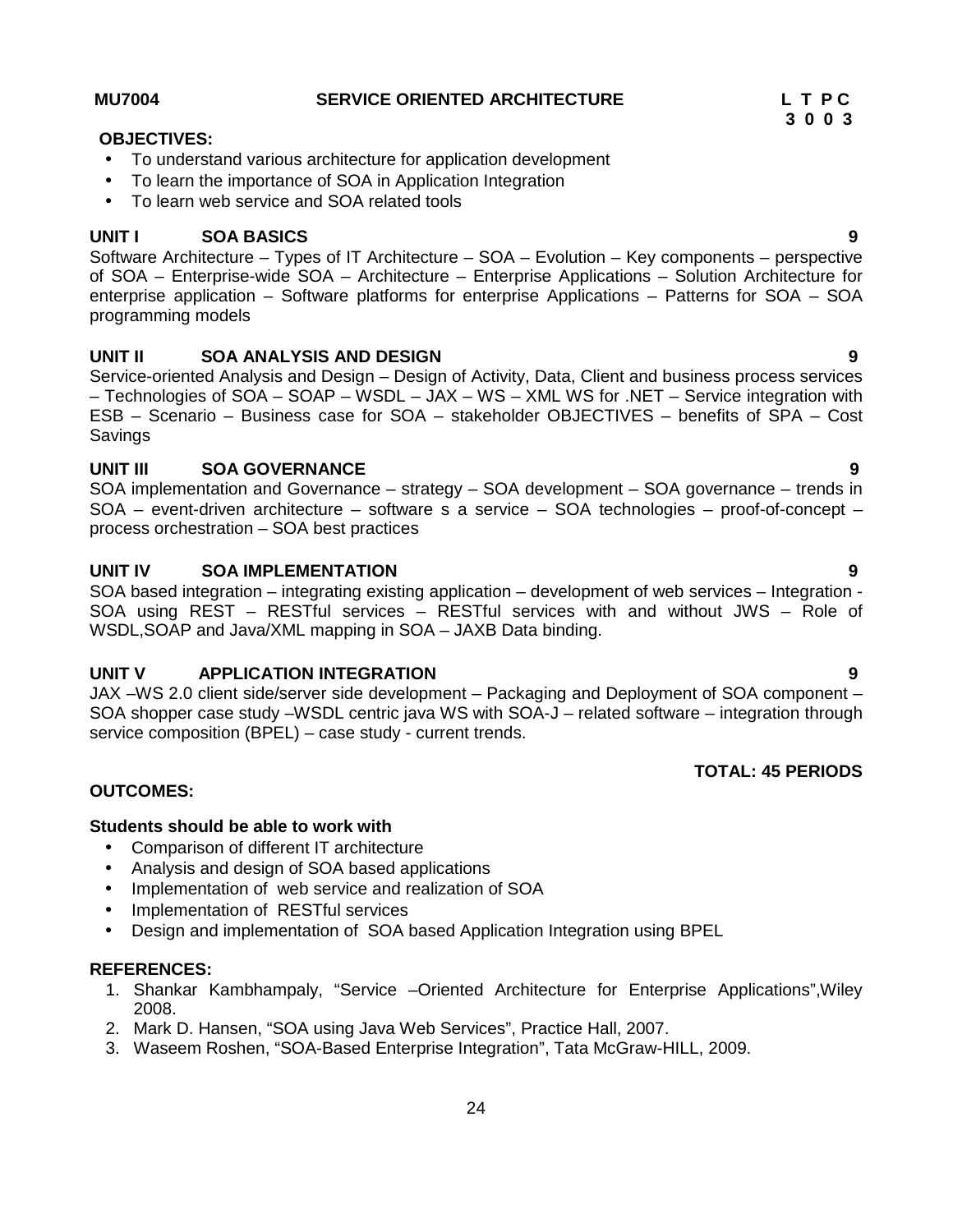- To understand various architecture for application development
- To learn the importance of SOA in Application Integration
- To learn web service and SOA related tools

# **UNIT I SOA BASICS 9**

Software Architecture – Types of IT Architecture – SOA – Evolution – Key components – perspective of SOA – Enterprise-wide SOA – Architecture – Enterprise Applications – Solution Architecture for enterprise application – Software platforms for enterprise Applications – Patterns for SOA – SOA programming models

# **UNIT II SOA ANALYSIS AND DESIGN 9**

Service-oriented Analysis and Design – Design of Activity, Data, Client and business process services – Technologies of SOA – SOAP –WSDL – JAX – WS – XML WS for .NET – Service integration with ESB – Scenario – Business case for SOA – stakeholder OBJECTIVES – benefits of SPA – Cost Savings

# **UNIT III SOA GOVERNANCE 9**

SOA implementation and Governance – strategy – SOA development – SOA governance – trends in SOA – event-driven architecture – software s a service – SOA technologies – proof-of-concept – process orchestration – SOA best practices

# **UNIT IV SOA IMPLEMENTATION 9**

SOA based integration – integrating existing application – development of web services – Integration - SOA using REST – RESTful services – RESTful services with and without JWS – Role of WSDL, SOAP and Java/XML mapping in SOA – JAXB Data binding.

# **UNIT V APPLICATION INTEGRATION 9**

JAX –WS 2.0 client side/server side development – Packaging and Deployment of SOA component – SOA shopper case study –WSDL centric java WS with SOA-J – related software – integration through service composition (BPEL) – case study - current trends.

# **TOTAL: 45 PERIODS**

# **OUTCOMES:**

# **Students should be able to work with**

- Comparison of different IT architecture
- Analysis and design of SOA based applications
- Implementation of web service and realization of SOA
- Implementation of RESTful services
- Design and implementation of SOA based Application Integration using BPEL

# **REFERENCES:**

- 1. Shankar Kambhampaly, "Service –Oriented Architecture for Enterprise Applications",Wiley 2008.
- 2. Mark D. Hansen, "SOA using Java Web Services", Practice Hall, 2007.
- 3. Waseem Roshen, "SOA-Based Enterprise Integration", Tata McGraw-HILL, 2009.

**OBJECTIVES:**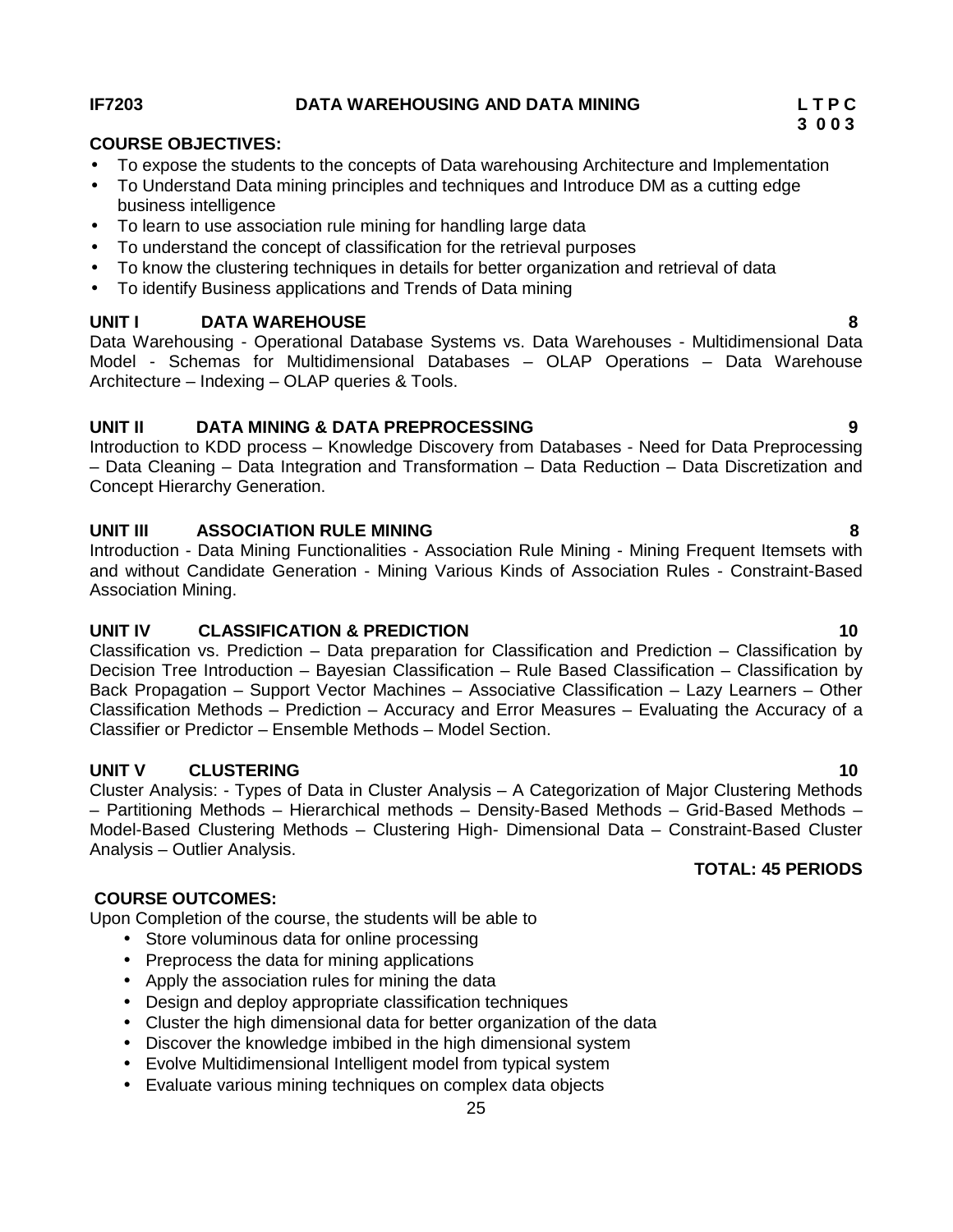### **IF7203 DATA WAREHOUSING AND DATA MINING L T P C**

# **COURSE OBJECTIVES:**

- To expose the students to the concepts of Data warehousing Architecture and Implementation
- To Understand Data mining principles and techniques and Introduce DM as a cutting edge business intelligence
- To learn to use association rule mining for handling large data
- To understand the concept of classification for the retrieval purposes
- To know the clustering techniques in details for better organization and retrieval of data
- To identify Business applications and Trends of Data mining

# **UNIT I DATA WAREHOUSE 8**

Data Warehousing - Operational Database Systems vs. Data Warehouses - Multidimensional Data Model - Schemas for Multidimensional Databases – OLAP Operations – Data Warehouse Architecture – Indexing – OLAP queries & Tools.

## **UNIT II DATA MINING & DATA PREPROCESSING 9**

Introduction to KDD process – Knowledge Discovery from Databases - Need for Data Preprocessing – Data Cleaning – Data Integration and Transformation – Data Reduction – Data Discretization and Concept Hierarchy Generation.

# **UNIT III ASSOCIATION RULE MINING 8**

Introduction - Data Mining Functionalities - Association Rule Mining - Mining Frequent Itemsets with and without Candidate Generation - Mining Various Kinds of Association Rules - Constraint-Based Association Mining.

# **UNIT IV CLASSIFICATION & PREDICTION 10**

Classification vs. Prediction – Data preparation for Classification and Prediction – Classification by Decision Tree Introduction – Bayesian Classification – Rule Based Classification – Classification by Back Propagation – Support Vector Machines – Associative Classification – Lazy Learners – Other Classification Methods – Prediction – Accuracy and Error Measures – Evaluating the Accuracy of a Classifier or Predictor – Ensemble Methods – Model Section.

# **UNIT V CLUSTERING 10**

Cluster Analysis: - Types of Data in Cluster Analysis – A Categorization of Major Clustering Methods – Partitioning Methods – Hierarchical methods – Density-Based Methods – Grid-Based Methods – Model-Based Clustering Methods – Clustering High- Dimensional Data – Constraint-Based Cluster Analysis – Outlier Analysis.

# **COURSE OUTCOMES:**

Upon Completion of the course, the students will be able to

- Store voluminous data for online processing
- Preprocess the data for mining applications
- Apply the association rules for mining the data
- Design and deploy appropriate classification techniques
- Cluster the high dimensional data for better organization of the data
- Discover the knowledge imbibed in the high dimensional system
- Evolve Multidimensional Intelligent model from typical system
- Evaluate various mining techniques on complex data objects

**3 0 0 3**

# **TOTAL: 45 PERIODS**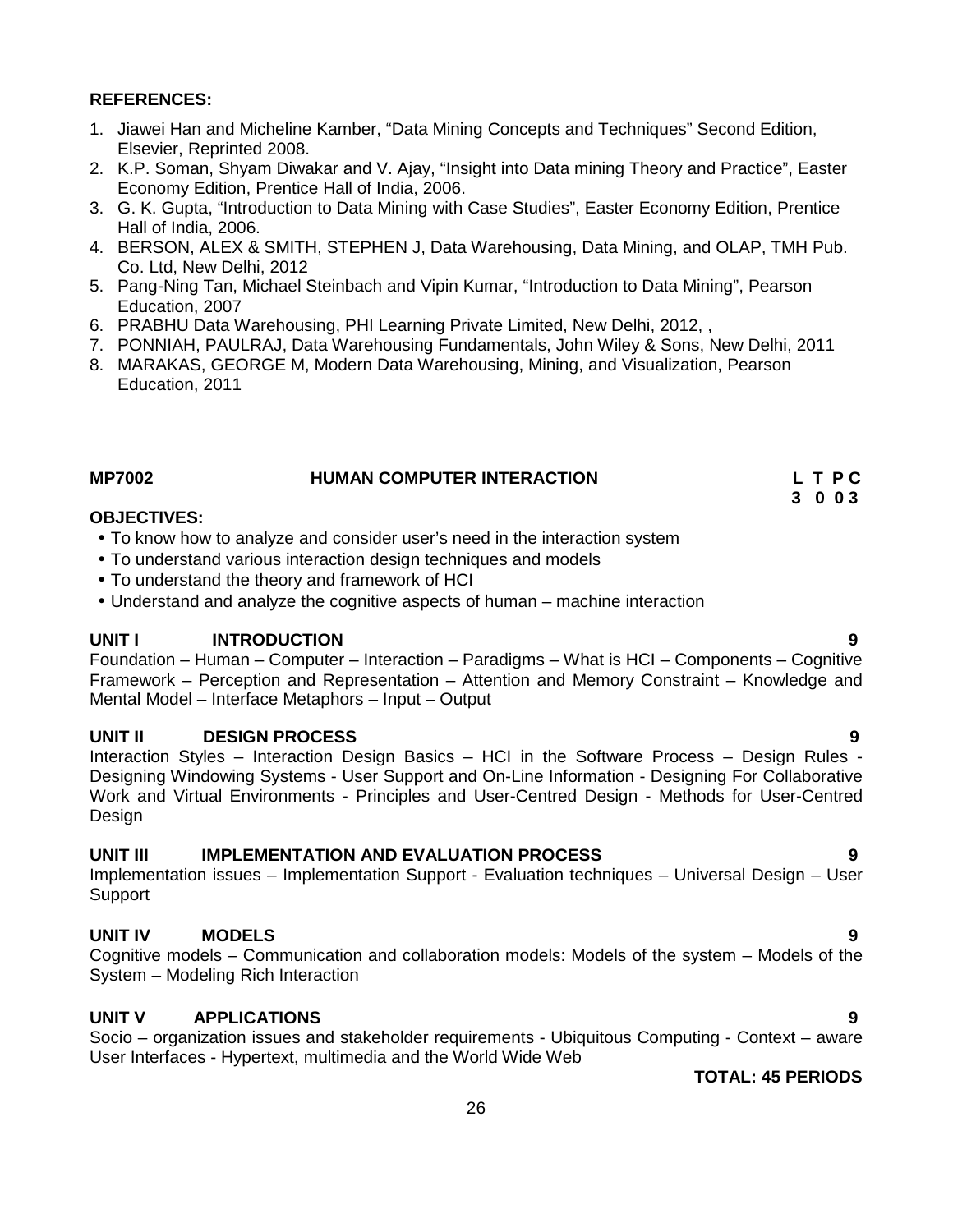#### **REFERENCES:**

- 1. Jiawei Han and Micheline Kamber, "Data Mining Concepts and Techniques" Second Edition, Elsevier, Reprinted 2008.
- 2. K.P. Soman, Shyam Diwakar and V. Ajay, "Insight into Data mining Theory and Practice", Easter Economy Edition, Prentice Hall of India, 2006.
- 3. G. K. Gupta, "Introduction to Data Mining with Case Studies", Easter Economy Edition, Prentice Hall of India, 2006.
- 4. BERSON, ALEX & SMITH, STEPHEN J, Data Warehousing, Data Mining, and OLAP, TMH Pub. Co. Ltd, New Delhi, 2012
- 5. Pang-Ning Tan, Michael Steinbach and Vipin Kumar, "Introduction to Data Mining", Pearson Education, 2007
- 6. PRABHU Data Warehousing, PHI Learning Private Limited, New Delhi, 2012, ,
- 7. PONNIAH, PAULRAJ, Data Warehousing Fundamentals, John Wiley & Sons, New Delhi, 2011
- 8. MARAKAS, GEORGE M, Modern Data Warehousing, Mining, and Visualization, Pearson Education, 2011

#### **MP7002 HUMAN COMPUTER INTERACTION L T P C 3 0 0 3**

#### **OBJECTIVES:**

- To know how to analyze and consider user's need in the interaction system
- To understand various interaction design techniques and models
- To understand the theory and framework of HCI
- Understand and analyze the cognitive aspects of human machine interaction

#### **UNIT I INTRODUCTION 9**

Foundation – Human – Computer – Interaction – Paradigms – What is HCI – Components – Cognitive Framework – Perception and Representation – Attention and Memory Constraint – Knowledge and Mental Model – Interface Metaphors – Input – Output

### **UNIT II DESIGN PROCESS 9**

Interaction Styles – Interaction Design Basics – HCI in the Software Process – Design Rules - Designing Windowing Systems - User Support and On-Line Information - Designing For Collaborative Work and Virtual Environments - Principles and User-Centred Design - Methods for User-Centred Design

#### **UNIT III IMPLEMENTATION AND EVALUATION PROCESS 9**

Implementation issues – Implementation Support - Evaluation techniques – Universal Design – User Support

# **UNIT IV MODELS 9**

Cognitive models – Communication and collaboration models: Models of the system – Models of the System – Modeling Rich Interaction

#### **UNIT V APPLICATIONS 9**

Socio – organization issues and stakeholder requirements - Ubiquitous Computing - Context – aware User Interfaces - Hypertext, multimedia and the World Wide Web

**TOTAL: 45 PERIODS**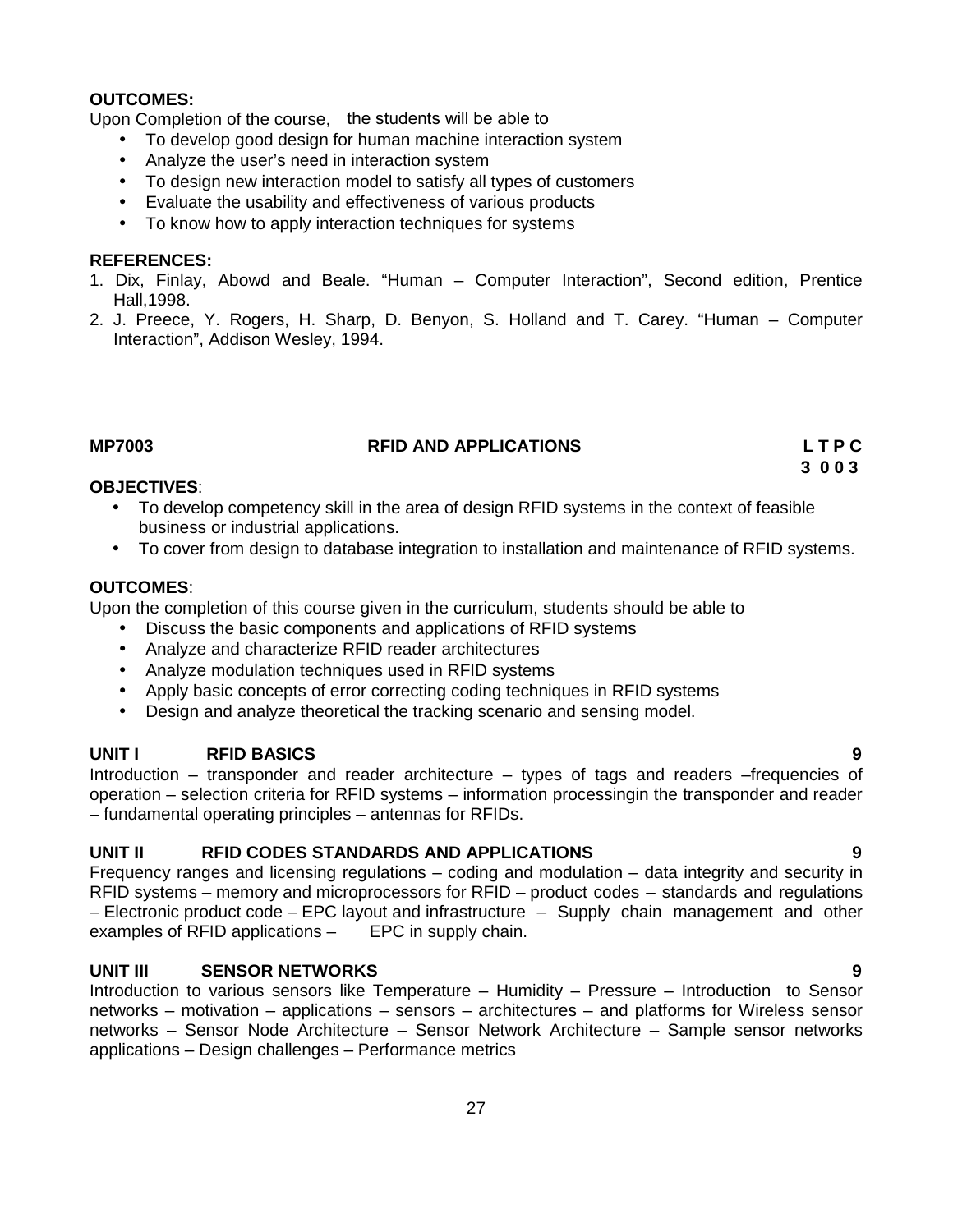# **OUTCOMES:**

Upon Completion of the course, the students will be able to

- To develop good design for human machine interaction system
- Analyze the user's need in interaction system
- To design new interaction model to satisfy all types of customers
- Evaluate the usability and effectiveness of various products
- To know how to apply interaction techniques for systems

### **REFERENCES:**

- 1. Dix, Finlay, Abowd and Beale. "Human Computer Interaction", Second edition, Prentice Hall,1998.
- 2. J. Preece, Y. Rogers, H. Sharp, D. Benyon, S. Holland and T. Carey. "Human Computer Interaction", Addison Wesley, 1994.

## **MP7003 RFID AND APPLICATIONS L T P C**

**3 0 0 3**

### **OBJECTIVES**:

- To develop competency skill in the area of design RFID systems in the context of feasible business or industrial applications.
- To cover from design to database integration to installation and maintenance of RFID systems.

## **OUTCOMES**:

Upon the completion of this course given in the curriculum, students should be able to

- Discuss the basic components and applications of RFID systems
- Analyze and characterize RFID reader architectures
- Analyze modulation techniques used in RFID systems
- Apply basic concepts of error correcting coding techniques in RFID systems
- Design and analyze theoretical the tracking scenario and sensing model.

# **UNIT I RFID BASICS 9**

Introduction – transponder and reader architecture – types of tags and readers –frequencies of operation – selection criteria for RFID systems – information processingin the transponder and reader – fundamental operating principles – antennas for RFIDs.

# **UNIT II RFID CODES STANDARDS AND APPLICATIONS 9**

Frequency ranges and licensing regulations – coding and modulation – data integrity and security in RFID systems – memory and microprocessors for RFID – product codes – standards and regulations – Electronic product code – EPC layout and infrastructure – Supply chain management and other examples of RFID applications – EPC in supply chain.

# **UNIT III SENSOR NETWORKS 9**

Introduction to various sensors like Temperature – Humidity – Pressure – Introduction to Sensor networks – motivation – applications – sensors – architectures – and platforms for Wireless sensor networks – Sensor Node Architecture – Sensor Network Architecture – Sample sensor networks applications – Design challenges – Performance metrics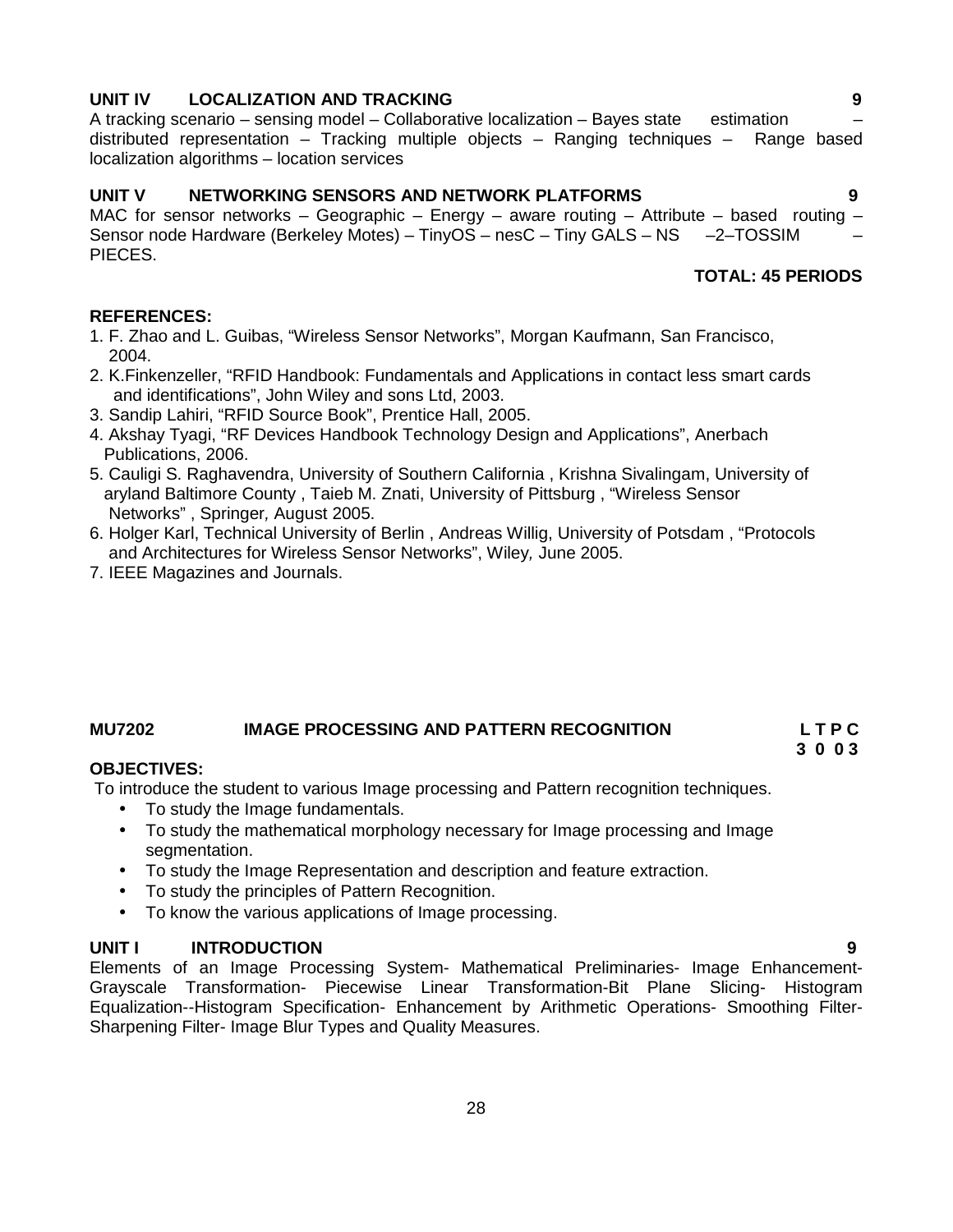# **UNIT IV LOCALIZATION AND TRACKING 9**

A tracking scenario – sensing model – Collaborative localization – Bayes state estimation – distributed representation – Tracking multiple objects – Ranging techniques – Range based localization algorithms – location services

#### **UNIT V NETWORKING SENSORS AND NETWORK PLATFORMS 9**

MAC for sensor networks – Geographic – Energy – aware routing – Attribute – based routing – Sensor node Hardware (Berkeley Motes) – TinyOS – nesC – Tiny GALS – NS –2–TOSSIM PIECES.

# **TOTAL: 45 PERIODS**

### **REFERENCES:**

- 1. F. Zhao and L. Guibas, "Wireless Sensor Networks", Morgan Kaufmann, San Francisco, 2004.
- 2. K.Finkenzeller, "RFID Handbook: Fundamentals and Applications in contact less smart cards and identifications", John Wiley and sons Ltd, 2003.
- 3. Sandip Lahiri, "RFID Source Book", Prentice Hall, 2005.
- 4. Akshay Tyagi, "RF Devices Handbook Technology Design and Applications", Anerbach Publications, 2006.
- 5. Cauligi S. Raghavendra, University of Southern California , Krishna Sivalingam, University of aryland Baltimore County , Taieb M. Znati, University of Pittsburg , "Wireless Sensor Networks" , Springer*,* August 2005.
- 6. Holger Karl, Technical University of Berlin , Andreas Willig, University of Potsdam , "Protocols and Architectures for Wireless Sensor Networks", Wiley*,* June 2005.
- 7. IEEE Magazines and Journals.

# **MU7202 IMAGE PROCESSING AND PATTERN RECOGNITION L T P C**

# **3 0 0 3**

### **OBJECTIVES:**

To introduce the student to various Image processing and Pattern recognition techniques.

- To study the Image fundamentals.
- To study the mathematical morphology necessary for Image processing and Image segmentation.
- To study the Image Representation and description and feature extraction.
- To study the principles of Pattern Recognition.
- To know the various applications of Image processing.

### **UNIT I INTRODUCTION 9**

Elements of an Image Processing System- Mathematical Preliminaries- Image Enhancement- Grayscale Transformation- Piecewise Linear Transformation-Bit Plane Slicing- Histogram Equalization--Histogram Specification- Enhancement by Arithmetic Operations- Smoothing Filter- Sharpening Filter- Image Blur Types and Quality Measures.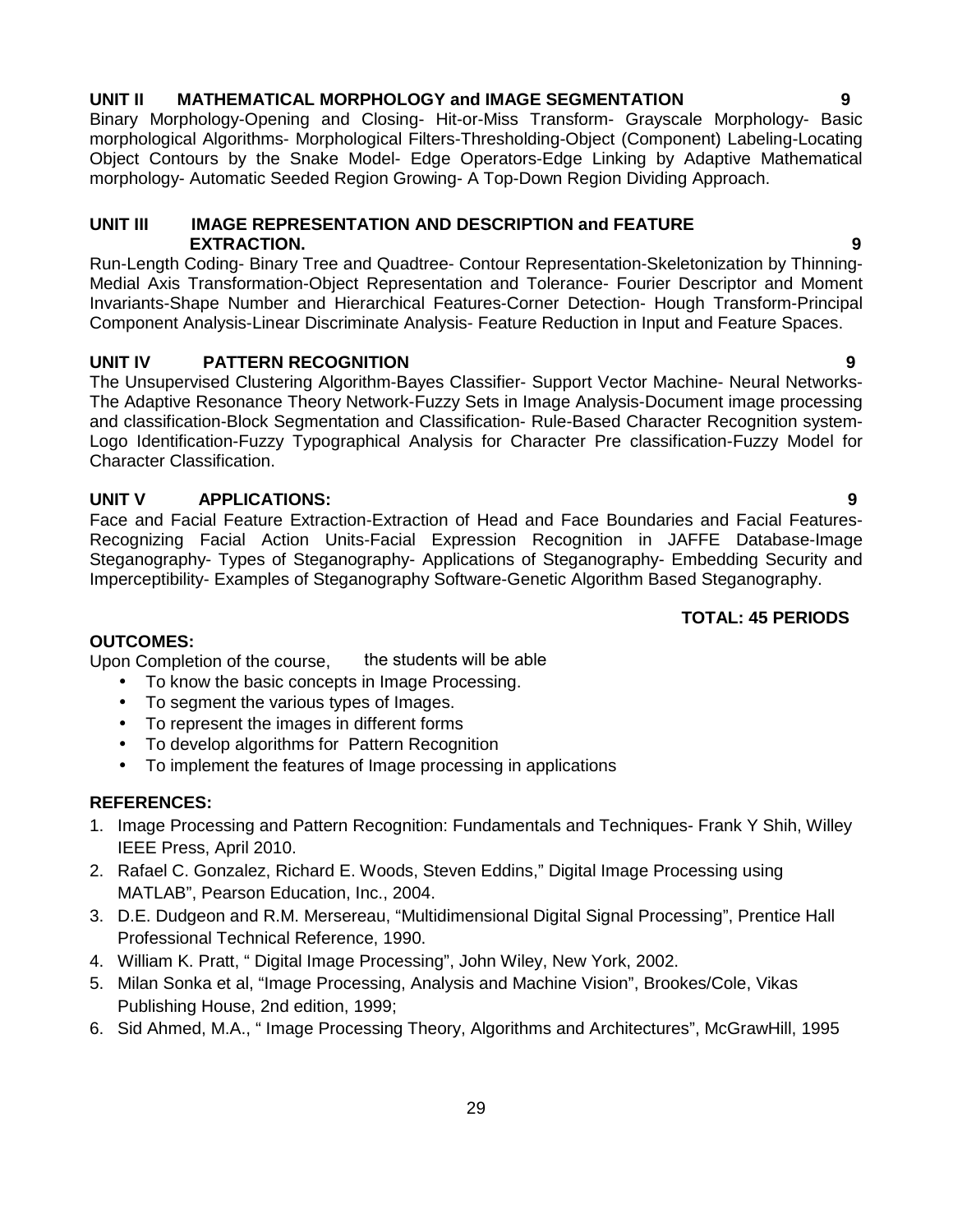# **UNIT II MATHEMATICAL MORPHOLOGY and IMAGE SEGMENTATION 9**

Binary Morphology-Opening and Closing- Hit-or-Miss Transform- Grayscale Morphology- Basic morphological Algorithms- Morphological Filters-Thresholding-Object (Component) Labeling-Locating Object Contours by the Snake Model- Edge Operators-Edge Linking by Adaptive Mathematical morphology- Automatic Seeded Region Growing- A Top-Down Region Dividing Approach.

### **UNIT III IMAGE REPRESENTATION AND DESCRIPTION and FEATURE EXTRACTION. 9**

Run-Length Coding- Binary Tree and Quadtree- Contour Representation-Skeletonization by Thinning- Medial Axis Transformation-Object Representation and Tolerance- Fourier Descriptor and Moment Invariants-Shape Number and Hierarchical Features-Corner Detection- Hough Transform-Principal Component Analysis-Linear Discriminate Analysis- Feature Reduction in Input and Feature Spaces.

# **UNIT IV PATTERN RECOGNITION 9**

The Unsupervised Clustering Algorithm-Bayes Classifier- Support Vector Machine- Neural Networks- The Adaptive Resonance Theory Network-Fuzzy Sets in Image Analysis-Document image processing and classification-Block Segmentation and Classification- Rule-Based Character Recognition system- Logo Identification-Fuzzy Typographical Analysis for Character Pre classification-Fuzzy Model for Character Classification.

# **UNIT V APPLICATIONS: 9**

Face and Facial Feature Extraction-Extraction of Head and Face Boundaries and Facial Features- Recognizing Facial Action Units-Facial Expression Recognition in JAFFE Database-Image Steganography- Types of Steganography- Applications of Steganography- Embedding Security and Imperceptibility- Examples of Steganography Software-Genetic Algorithm Based Steganography.

# **TOTAL: 45 PERIODS**

# **OUTCOMES:**

Upon Completion of the course, the students will be able

- To know the basic concepts in Image Processing.
- To segment the various types of Images.
- To represent the images in different forms
- To develop algorithms for Pattern Recognition
- To implement the features of Image processing in applications

# **REFERENCES:**

- 1. Image Processing and Pattern Recognition: Fundamentals and Techniques- Frank Y Shih, Willey IEEE Press, April 2010.
- 2. Rafael C. Gonzalez, Richard E. Woods, Steven Eddins," Digital Image Processing using MATLAB", Pearson Education, Inc., 2004.
- 3. D.E. Dudgeon and R.M. Mersereau, "Multidimensional Digital Signal Processing", Prentice Hall Professional Technical Reference, 1990.
- 4. William K. Pratt, " Digital Image Processing", John Wiley, New York, 2002.
- 5. Milan Sonka et al, "Image Processing, Analysis and Machine Vision", Brookes/Cole, Vikas Publishing House, 2nd edition, 1999;
- 6. Sid Ahmed, M.A., " Image Processing Theory, Algorithms and Architectures", McGrawHill, 1995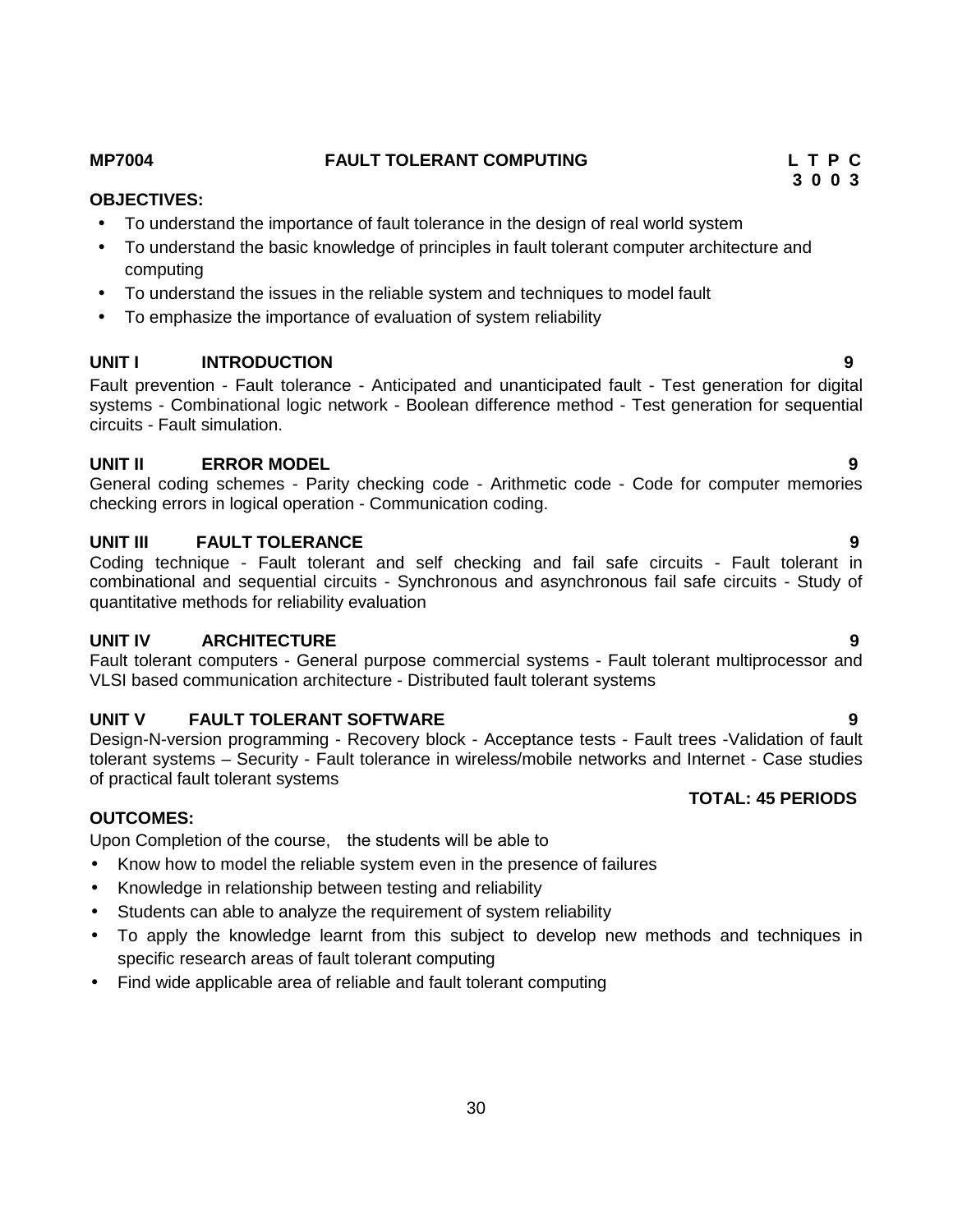# 30

# **UNIT V FAULT TOLERANT SOFTWARE 9**

Design-N-version programming - Recovery block - Acceptance tests - Fault trees -Validation of fault tolerant systems – Security - Fault tolerance in wireless/mobile networks and Internet - Case studies of practical fault tolerant systems **TOTAL: 45 PERIODS**

# **OUTCOMES:**

Upon Completion of the course, the students will be able to

- Know how to model the reliable system even in the presence of failures
- Knowledge in relationship between testing and reliability
- Students can able to analyze the requirement of system reliability
- To apply the knowledge learnt from this subject to develop new methods and techniques in specific research areas of fault tolerant computing
- Find wide applicable area of reliable and fault tolerant computing

### To understand the basic knowledge of principles in fault tolerant computer architecture and computing

**OBJECTIVES:**

To understand the issues in the reliable system and techniques to model fault

To understand the importance of fault tolerance in the design of real world system

• To emphasize the importance of evaluation of system reliability

# **UNIT I INTRODUCTION 9**

Fault prevention - Fault tolerance - Anticipated and unanticipated fault - Test generation for digital systems - Combinational logic network - Boolean difference method - Test generation for sequential circuits - Fault simulation.

# **UNIT II ERROR MODEL 9**

General coding schemes - Parity checking code - Arithmetic code - Code for computer memories checking errors in logical operation - Communication coding.

# **UNIT III FAULT TOLERANCE 9**

Coding technique - Fault tolerant and self checking and fail safe circuits - Fault tolerant in combinational and sequential circuits - Synchronous and asynchronous fail safe circuits - Study of quantitative methods for reliability evaluation

# **UNIT IV ARCHITECTURE 9**

Fault tolerant computers - General purpose commercial systems - Fault tolerant multiprocessor and VLSI based communication architecture - Distributed fault tolerant systems

# **MP7004 FAULT TOLERANT COMPUTING L T P C 3 0 0 3**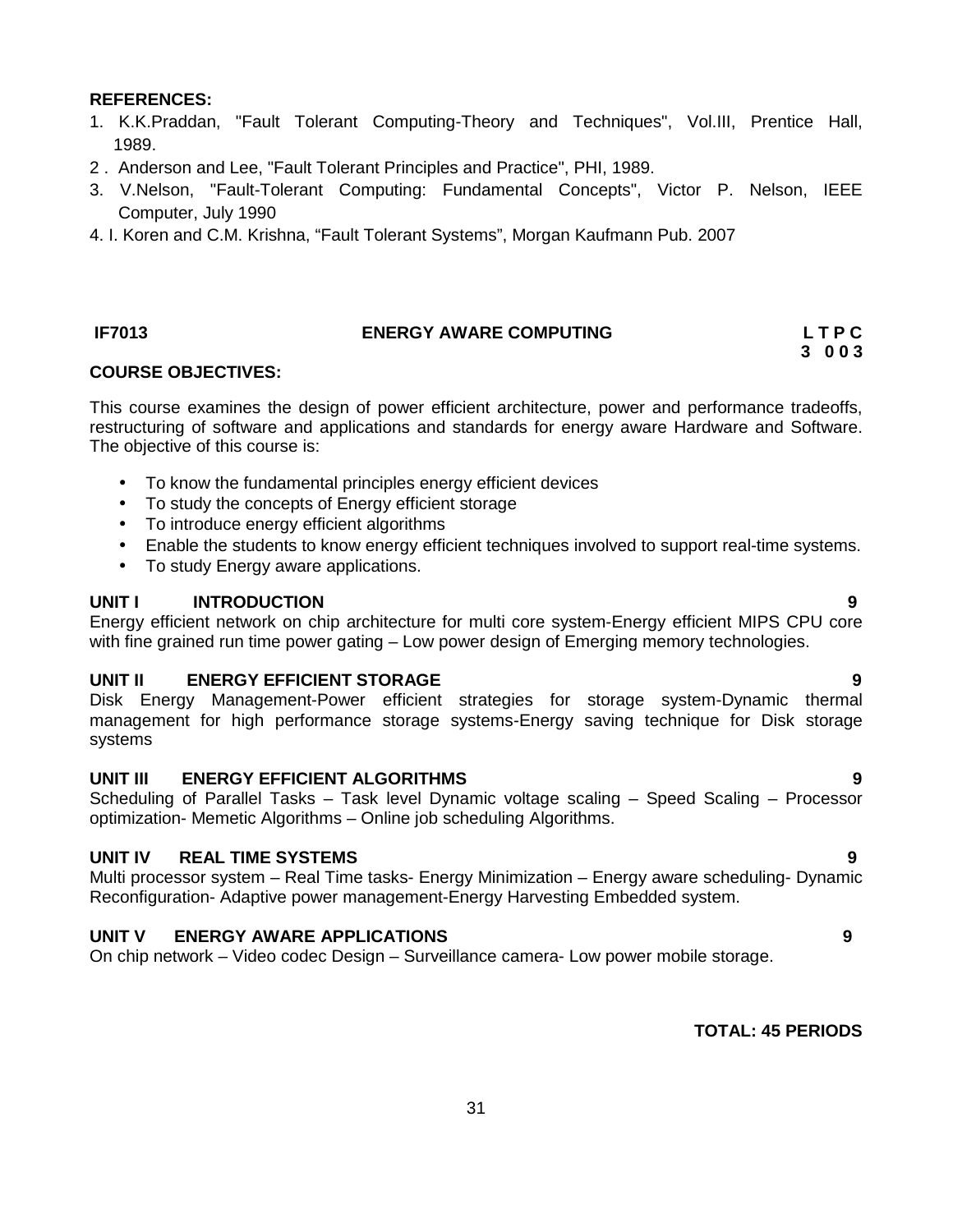### **REFERENCES:**

- 1. K.K.Praddan, "Fault Tolerant Computing-Theory and Techniques", Vol.III, Prentice Hall, 1989.
- 2 . Anderson and Lee, "Fault Tolerant Principles and Practice", PHI, 1989.
- 3. V.Nelson, "Fault-Tolerant Computing: Fundamental Concepts", Victor P. Nelson, IEEE Computer, July 1990
- 4. I. Koren and C.M. Krishna, "Fault Tolerant Systems", Morgan Kaufmann Pub. 2007

# **IF7013 ENERGY AWARE COMPUTING L T P C**

## **COURSE OBJECTIVES:**

This course examines the design of power efficient architecture, power and performance tradeoffs, restructuring of software and applications and standards for energy aware Hardware and Software. The objective of this course is:

- To know the fundamental principles energy efficient devices
- To study the concepts of Energy efficient storage
- To introduce energy efficient algorithms
- Enable the students to know energy efficient techniques involved to support real-time systems.
- To study Energy aware applications.

# **UNIT I INTRODUCTION 9**

Energy efficient network on chip architecture for multi core system-Energy efficient MIPS CPU core with fine grained run time power gating – Low power design of Emerging memory technologies.

# **UNIT II ENERGY EFFICIENT STORAGE 9**

Disk Energy Management-Power efficient strategies for storage system-Dynamic thermal management for high performance storage systems-Energy saving technique for Disk storage systems

# **UNIT III ENERGY EFFICIENT ALGORITHMS 9**

Scheduling of Parallel Tasks – Task level Dynamic voltage scaling – Speed Scaling – Processor optimization- Memetic Algorithms – Online job scheduling Algorithms.

# **UNIT IV REAL TIME SYSTEMS 9**

Multi processor system – Real Time tasks- Energy Minimization – Energy aware scheduling- Dynamic Reconfiguration- Adaptive power management-Energy Harvesting Embedded system.

# **UNIT V ENERGY AWARE APPLICATIONS 9**

On chip network – Video codec Design – Surveillance camera- Low power mobile storage.

# **TOTAL: 45 PERIODS**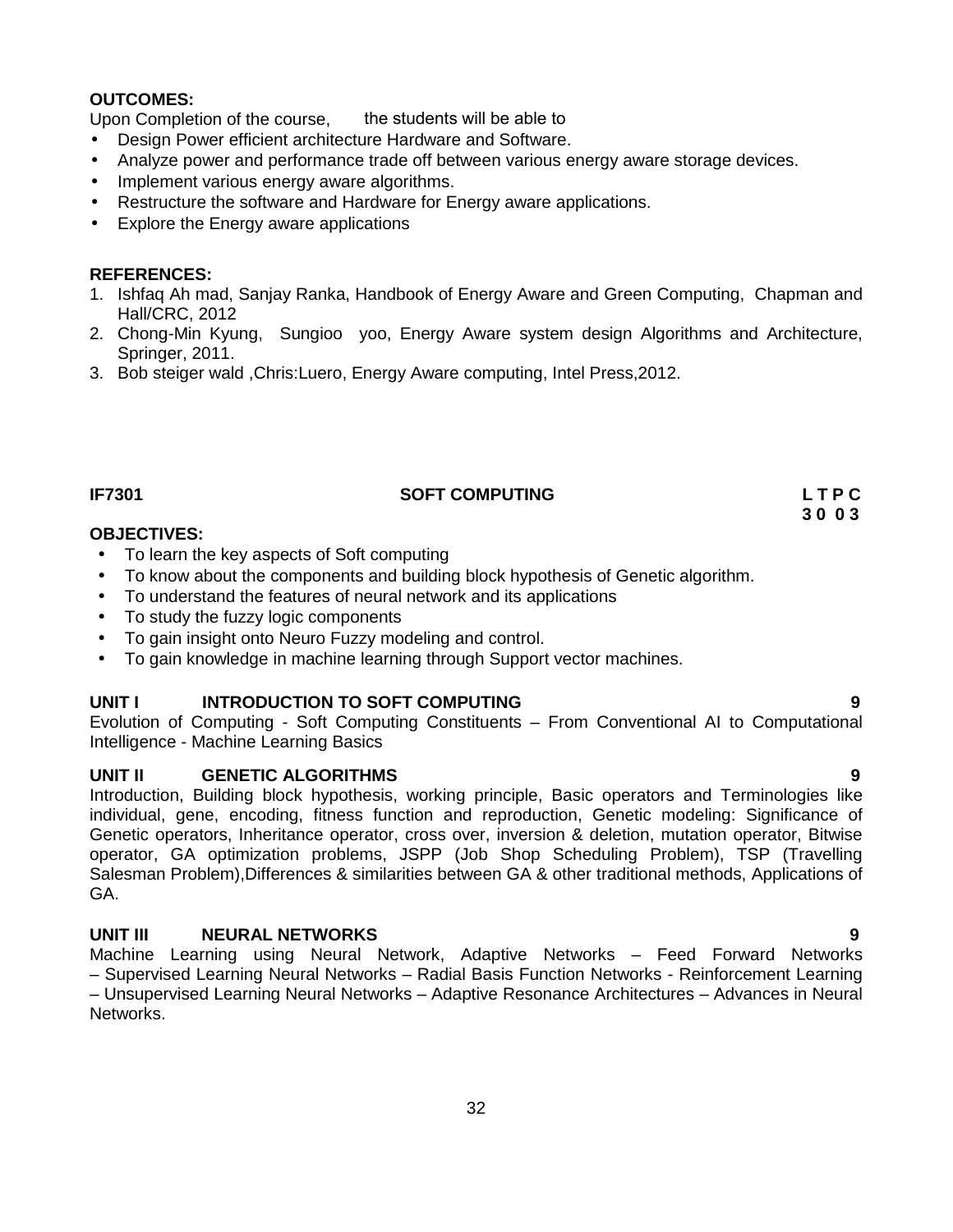# **OUTCOMES:**

Upon Completion of the course, the students will be able to

- Design Power efficient architecture Hardware and Software.
- Analyze power and performance trade off between various energy aware storage devices.
- Implement various energy aware algorithms.
- Restructure the software and Hardware for Energy aware applications.
- Explore the Energy aware applications

### **REFERENCES:**

- 1. Ishfaq Ah mad, Sanjay Ranka, Handbook of Energy Aware and Green Computing, Chapman and Hall/CRC, 2012
- 2. Chong-Min Kyung, Sungioo yoo, Energy Aware system design Algorithms and Architecture, Springer, 2011.
- 3. Bob steiger wald ,Chris:Luero, Energy Aware computing, Intel Press,2012.

## **IF7301 SOFT COMPUTING L T P C**

## **OBJECTIVES:**

- To learn the key aspects of Soft computing
- To know about the components and building block hypothesis of Genetic algorithm.
- To understand the features of neural network and its applications
- To study the fuzzy logic components
- To gain insight onto Neuro Fuzzy modeling and control.
- To gain knowledge in machine learning through Support vector machines.

# **UNIT I INTRODUCTION TO SOFT COMPUTING 9**

Evolution of Computing - Soft Computing Constituents – From Conventional AI to Computational Intelligence - Machine Learning Basics

# **UNIT II GENETIC ALGORITHMS 9**

Introduction, Building block hypothesis, working principle, Basic operators and Terminologies like individual, gene, encoding, fitness function and reproduction, Genetic modeling: Significance of Genetic operators, Inheritance operator, cross over, inversion & deletion, mutation operator, Bitwise operator, GA optimization problems, JSPP (Job Shop Scheduling Problem), TSP (Travelling Salesman Problem),Differences & similarities between GA & other traditional methods, Applications of GA.

# **UNIT III NEURAL NETWORKS 9**

Machine Learning using Neural Network, Adaptive Networks – Feed Forward Networks – Supervised Learning Neural Networks – Radial Basis Function Networks - Reinforcement Learning – Unsupervised Learning Neural Networks – Adaptive Resonance Architectures – Advances in Neural Networks.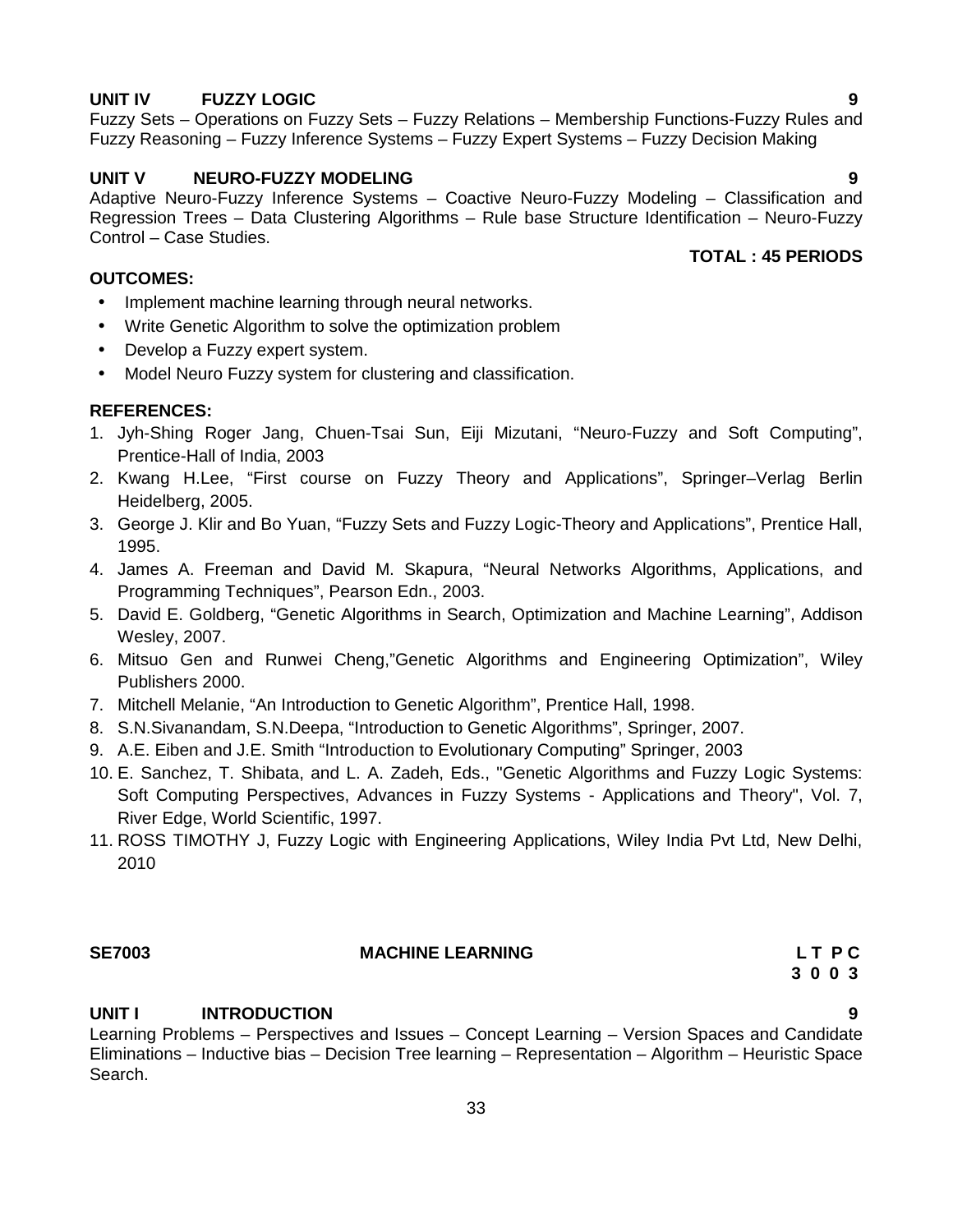Learning Problems – Perspectives and Issues – Concept Learning – Version Spaces and Candidate Eliminations – Inductive bias – Decision Tree learning – Representation – Algorithm – Heuristic Space Search.

33

# **UNIT V NEURO-FUZZY MODELING 9**

Adaptive Neuro-Fuzzy Inference Systems – Coactive Neuro-Fuzzy Modeling – Classification and Regression Trees – Data Clustering Algorithms – Rule base Structure Identification – Neuro-Fuzzy Control – Case Studies. **TOTAL : 45 PERIODS**

#### **OUTCOMES:**

- Implement machine learning through neural networks.
- Write Genetic Algorithm to solve the optimization problem
- Develop a Fuzzy expert system.
- Model Neuro Fuzzy system for clustering and classification.

# **REFERENCES:**

- 1. Jyh-Shing Roger Jang, Chuen-Tsai Sun, Eiji Mizutani, "Neuro-Fuzzy and Soft Computing", Prentice-Hall of India, 2003
- 2. Kwang H.Lee, "First course on Fuzzy Theory and Applications", Springer–Verlag Berlin Heidelberg, 2005.
- 3. George J. Klir and Bo Yuan, "Fuzzy Sets and Fuzzy Logic-Theory and Applications", Prentice Hall, 1995.
- 4. James A. Freeman and David M. Skapura, "Neural Networks Algorithms, Applications, and Programming Techniques", Pearson Edn., 2003.
- 5. David E. Goldberg, "Genetic Algorithms in Search, Optimization and Machine Learning", Addison Wesley, 2007.
- 6. Mitsuo Gen and Runwei Cheng,"Genetic Algorithms and Engineering Optimization", Wiley Publishers 2000.
- 7. Mitchell Melanie, "An Introduction to Genetic Algorithm", Prentice Hall, 1998.
- 8. S.N.Sivanandam, S.N.Deepa, "Introduction to Genetic Algorithms", Springer, 2007.
- 9. A.E. Eiben and J.E. Smith "Introduction to Evolutionary Computing" Springer, 2003
- 10. E. Sanchez, T. Shibata, and L. A. Zadeh, Eds., "Genetic Algorithms and Fuzzy Logic Systems: Soft Computing Perspectives, Advances in Fuzzy Systems - Applications and Theory", Vol. 7, River Edge, World Scientific, 1997.
- 11. ROSS TIMOTHY J, Fuzzy Logic with Engineering Applications, Wiley India Pvt Ltd, New Delhi, 2010

### **SE7003 MACHINE LEARNING L T P C**

**UNIT I INTRODUCTION 9**

**UNIT IV FUZZY LOGIC 9** Fuzzy Sets – Operations on Fuzzy Sets – Fuzzy Relations – Membership Functions-Fuzzy Rules and Fuzzy Reasoning – Fuzzy Inference Systems – Fuzzy Expert Systems – Fuzzy Decision Making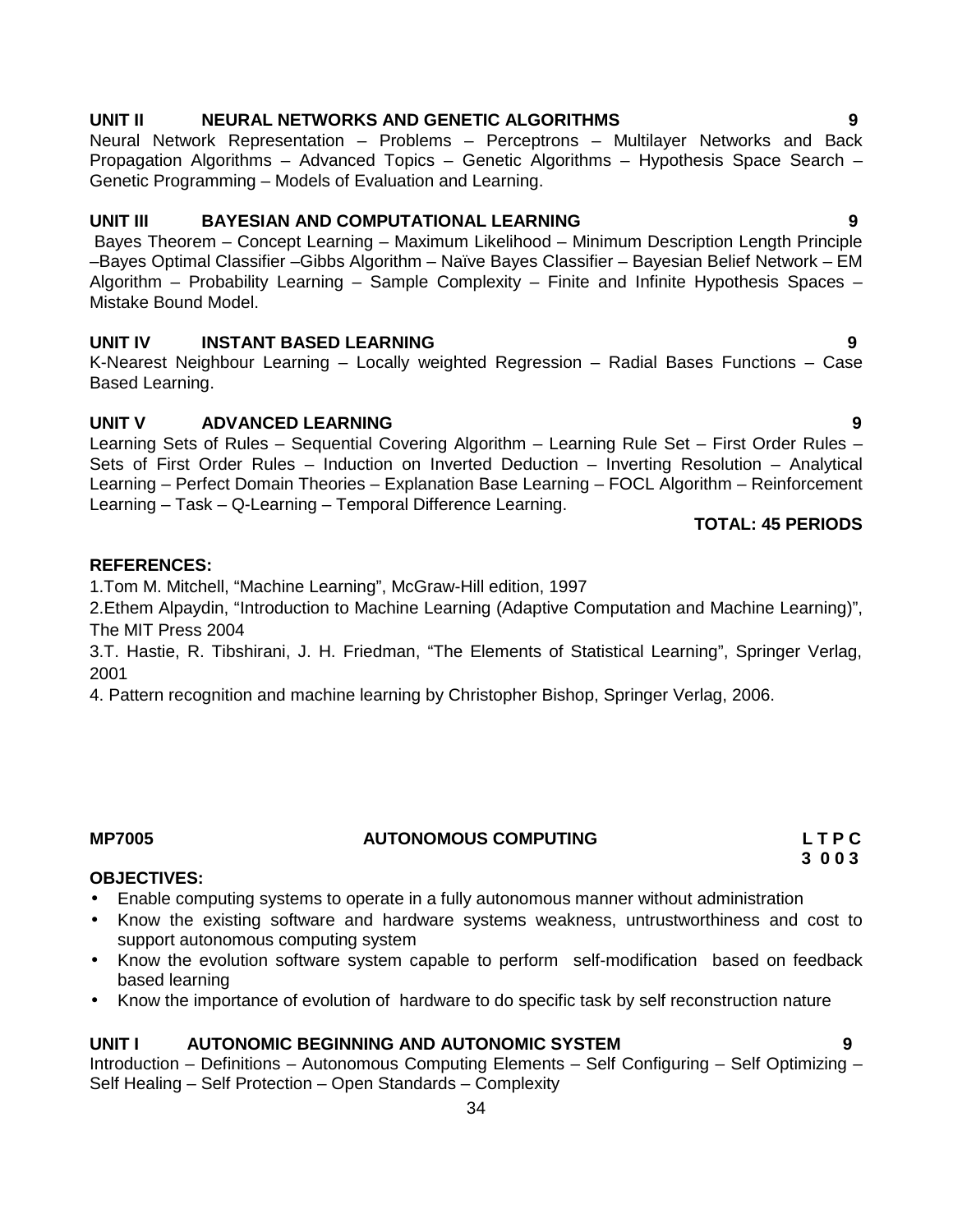1.Tom M. Mitchell, "Machine Learning", McGraw-Hill edition, 1997

3.T. Hastie, R. Tibshirani, J. H. Friedman, "The Elements of Statistical Learning", Springer Verlag, 2001

2.Ethem Alpaydin, "Introduction to Machine Learning (Adaptive Computation and Machine Learning)",

4. Pattern recognition and machine learning by Christopher Bishop, Springer Verlag, 2006.

**MP7005 AUTONOMOUS COMPUTING L T P C**

### **OBJECTIVES:**

**REFERENCES:**

The MIT Press 2004

- Enable computing systems to operate in a fully autonomous manner without administration
- Know the existing software and hardware systems weakness, untrustworthiness and cost to support autonomous computing system
- Know the evolution software system capable to perform self-modification based on feedback based learning
- Know the importance of evolution of hardware to do specific task by self reconstruction nature

#### **UNIT I AUTONOMIC BEGINNING AND AUTONOMIC SYSTEM 9**

Introduction – Definitions – Autonomous Computing Elements – Self Configuring – Self Optimizing – Self Healing – Self Protection – Open Standards – Complexity

# **UNIT II NEURAL NETWORKS AND GENETIC ALGORITHMS 9**

Neural Network Representation – Problems – Perceptrons – Multilayer Networks and Back Propagation Algorithms – Advanced Topics – Genetic Algorithms – Hypothesis Space Search – Genetic Programming – Models of Evaluation and Learning.

# **UNIT III BAYESIAN AND COMPUTATIONAL LEARNING 9**

Bayes Theorem – Concept Learning – Maximum Likelihood – Minimum Description Length Principle –Bayes Optimal Classifier –Gibbs Algorithm – Naïve Bayes Classifier – Bayesian Belief Network – EM Algorithm – Probability Learning – Sample Complexity – Finite and Infinite Hypothesis Spaces – Mistake Bound Model.

# **UNIT IV INSTANT BASED LEARNING 9**

K-Nearest Neighbour Learning – Locally weighted Regression – Radial Bases Functions – Case Based Learning.

# **UNIT V ADVANCED LEARNING 9**

Learning Sets of Rules – Sequential Covering Algorithm – Learning Rule Set – First Order Rules – Sets of First Order Rules – Induction on Inverted Deduction – Inverting Resolution – Analytical Learning – Perfect Domain Theories – Explanation Base Learning – FOCL Algorithm – Reinforcement Learning – Task – Q-Learning – Temporal Difference Learning.

## **TOTAL: 45 PERIODS**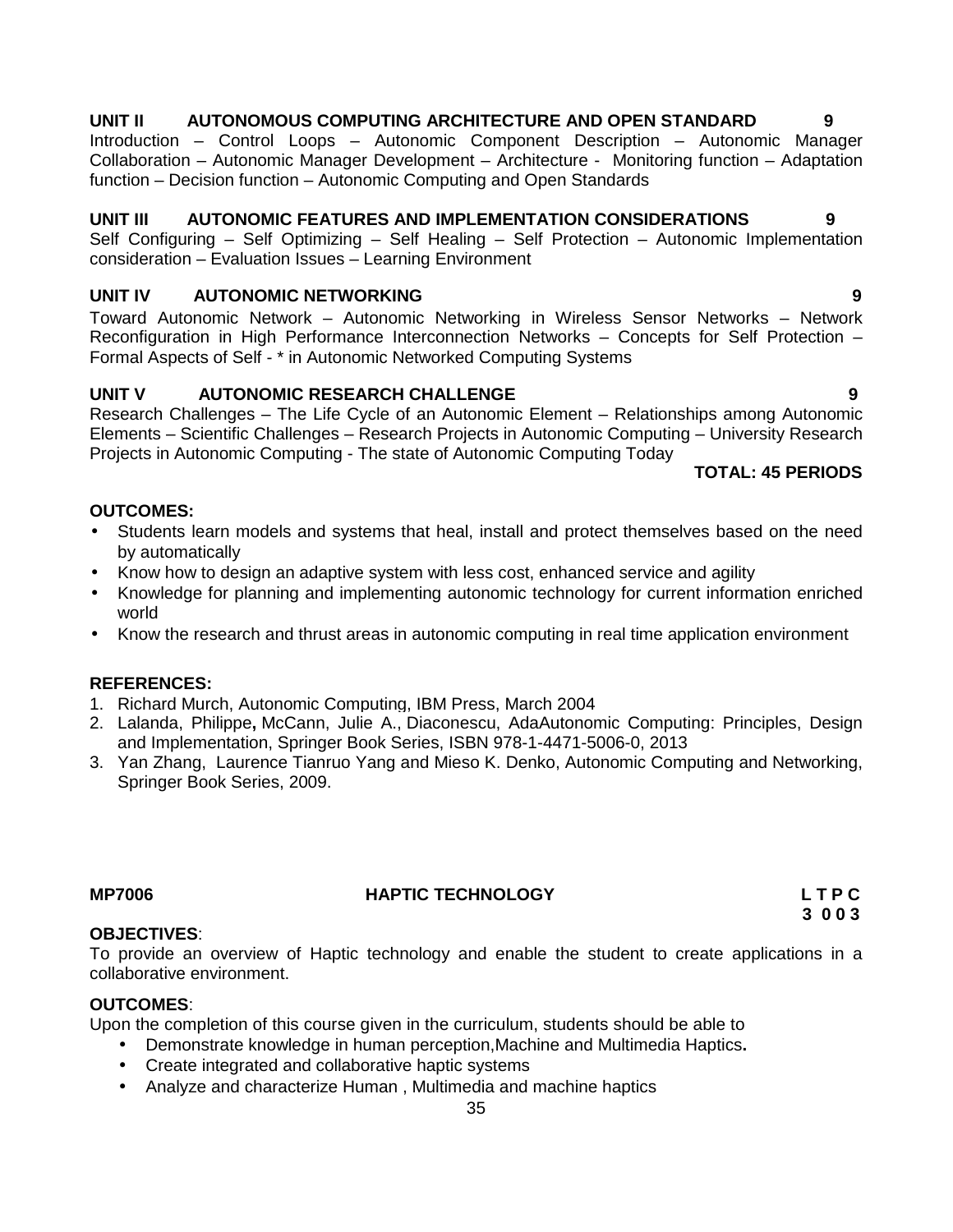# **UNIT II AUTONOMOUS COMPUTING ARCHITECTURE AND OPEN STANDARD 9**

Introduction – Control Loops – Autonomic Component Description – Autonomic Manager Collaboration – Autonomic Manager Development – Architecture - Monitoring function – Adaptation function – Decision function – Autonomic Computing and Open Standards

## **UNIT III AUTONOMIC FEATURES AND IMPLEMENTATION CONSIDERATIONS 9**

Self Configuring – Self Optimizing – Self Healing – Self Protection – Autonomic Implementation consideration – Evaluation Issues – Learning Environment

# **UNIT IV AUTONOMIC NETWORKING 9**

Toward Autonomic Network – Autonomic Networking in Wireless Sensor Networks – Network Reconfiguration in High Performance Interconnection Networks – Concepts for Self Protection – Formal Aspects of Self - \* in Autonomic Networked Computing Systems

# **UNIT V AUTONOMIC RESEARCH CHALLENGE 9**

Research Challenges – The Life Cycle of an Autonomic Element – Relationships among Autonomic Elements – Scientific Challenges – Research Projects in Autonomic Computing – University Research Projects in Autonomic Computing - The state of Autonomic Computing Today

### **TOTAL: 45 PERIODS**

## **OUTCOMES:**

- Students learn models and systems that heal, install and protect themselves based on the need by automatically
- Know how to design an adaptive system with less cost, enhanced service and agility
- Knowledge for planning and implementing autonomic technology for current information enriched world
- Know the research and thrust areas in autonomic computing in real time application environment

### **REFERENCES:**

- 1. Richard Murch, Autonomic Computing, IBM Press, March 2004
- 2. Lalanda, Philippe**,** McCann, Julie A., Diaconescu, AdaAutonomic Computing: Principles, Design and Implementation, Springer Book Series, ISBN 978-1-4471-5006-0, 2013
- 3. Yan Zhang, Laurence Tianruo Yang and Mieso K. Denko, Autonomic Computing and Networking, Springer Book Series, 2009.

# **MP7006 HAPTIC TECHNOLOGY L T P C**

**3 0 0 3**

# **OBJECTIVES**:

To provide an overview of Haptic technology and enable the student to create applications in a collaborative environment.

### **OUTCOMES**:

Upon the completion of this course given in the curriculum, students should be able to

- Demonstrate knowledge in human perception,Machine and Multimedia Haptics**.**
- Create integrated and collaborative haptic systems
- Analyze and characterize Human , Multimedia and machine haptics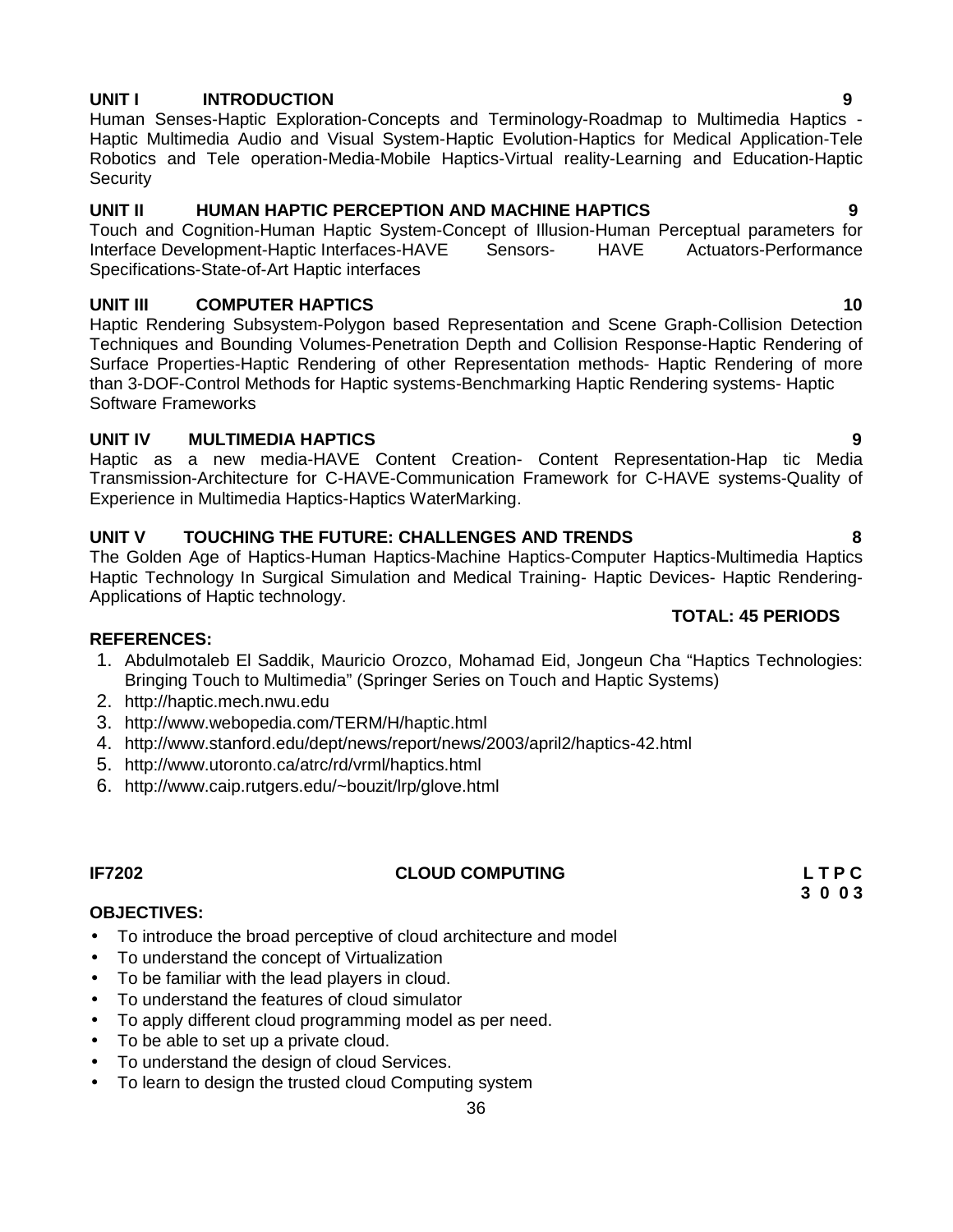# **UNIT I INTRODUCTION 9**

Human Senses-Haptic Exploration-Concepts and Terminology-Roadmap to Multimedia Haptics - Haptic Multimedia Audio and Visual System-Haptic Evolution-Haptics for Medical Application-Tele Robotics and Tele operation-Media-Mobile Haptics-Virtual reality-Learning and Education-Haptic **Security** 

# **UNIT II HUMAN HAPTIC PERCEPTION AND MACHINE HAPTICS 9**

Touch and Cognition-Human Haptic System-Concept of Illusion-Human Perceptual parameters for Interface Development-Haptic Interfaces-HAVE Sensors- HAVE Specifications-State-of-Art Haptic interfaces

# **UNIT III COMPUTER HAPTICS 10**

Haptic Rendering Subsystem-Polygon based Representation and Scene Graph-Collision Detection Techniques and Bounding Volumes-Penetration Depth and Collision Response-Haptic Rendering of Surface Properties-Haptic Rendering of other Representation methods- Haptic Rendering of more than 3-DOF-Control Methods for Haptic systems-Benchmarking Haptic Rendering systems- Haptic Software Frameworks

# **UNIT IV MULTIMEDIA HAPTICS 9**

Haptic as a new media-HAVE Content Creation- Content Representation-Hap tic Media Transmission-Architecture for C-HAVE-Communication Framework for C-HAVE systems-Quality of Experience in Multimedia Haptics-Haptics WaterMarking.

# **UNIT V TOUCHING THE FUTURE: CHALLENGES AND TRENDS 8**

The Golden Age of Haptics-Human Haptics-Machine Haptics-Computer Haptics-Multimedia Haptics Haptic Technology In Surgical Simulation and Medical Training- Haptic Devices- Haptic Rendering- Applications of Haptic technology. **TOTAL: 45 PERIODS**

# **REFERENCES:**

- 1. Abdulmotaleb El Saddik, Mauricio Orozco, Mohamad Eid, Jongeun Cha "Haptics Technologies: Bringing Touch to Multimedia" (Springer Series on Touch and Haptic Systems)
- 2. http://haptic.mech.nwu.edu
- 3. http://www.webopedia.com/TERM/H/haptic.html
- 4. http://www.stanford.edu/dept/news/report/news/2003/april2/haptics-42.html
- 5. http://www.utoronto.ca/atrc/rd/vrml/haptics.html
- 6. http://www.caip.rutgers.edu/~bouzit/lrp/glove.html

# **IF7202 CLOUD COMPUTING L T P C**

**3 0 0 3**

# **OBJECTIVES:**

- To introduce the broad perceptive of cloud architecture and model
- To understand the concept of Virtualization
- To be familiar with the lead players in cloud.
- To understand the features of cloud simulator
- To apply different cloud programming model as per need.
- To be able to set up a private cloud.
- To understand the design of cloud Services.
- To learn to design the trusted cloud Computing system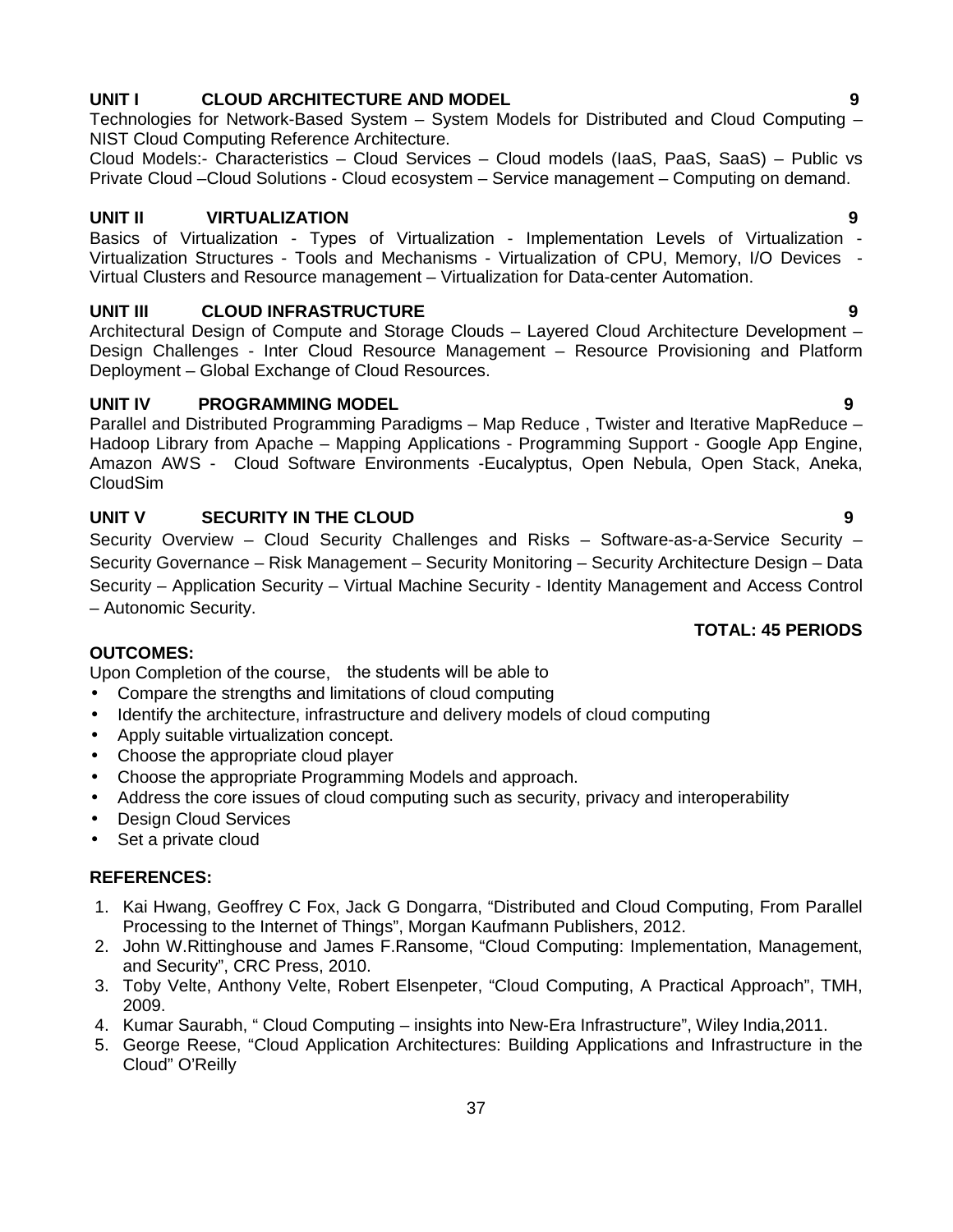# 37

# **UNIT I CLOUD ARCHITECTURE AND MODEL 9**

Technologies for Network-Based System – System Models for Distributed and Cloud Computing – NIST Cloud Computing Reference Architecture.

Cloud Models:- Characteristics – Cloud Services – Cloud models (IaaS, PaaS, SaaS) – Public vs Private Cloud –Cloud Solutions - Cloud ecosystem – Service management – Computing on demand.

# **UNIT II VIRTUALIZATION 9**

Basics of Virtualization - Types of Virtualization - Implementation Levels of Virtualization -<br>Virtualization Structures - Tools and Mechanisms - Virtualization of CPU, Memory, I/O Devices -Virtual Clusters and Resource management - Virtualization for Data-center Automation.

# **UNIT III CLOUD INFRASTRUCTURE 9**

Architectural Design of Compute and Storage Clouds – Layered Cloud Architecture Development – Design Challenges - Inter Cloud Resource Management – Resource Provisioning and Platform Deployment – Global Exchange of Cloud Resources.

# **UNIT IV PROGRAMMING MODEL 9**

Parallel and Distributed Programming Paradigms – Map Reduce , Twister and Iterative MapReduce – Hadoop Library from Apache – Mapping Applications - Programming Support - Google App Engine, Amazon AWS - Cloud Software Environments -Eucalyptus, Open Nebula, Open Stack, Aneka, CloudSim

# **UNIT V SECURITY IN THE CLOUD 9**

Security Overview –Cloud Security Challenges and Risks – Software-as-a-Service Security – Security Governance – Risk Management – Security Monitoring – Security Architecture Design – Data Security – Application Security – Virtual Machine Security - Identity Management and Access Control – Autonomic Security.

# **OUTCOMES:**

Upon Completion of the course, the students will be able to

- Compare the strengths and limitations of cloud computing
- Identify the architecture, infrastructure and delivery models of cloud computing
- Apply suitable virtualization concept.
- Choose the appropriate cloud player
- Choose the appropriate Programming Models and approach.
- Address the core issues of cloud computing such as security, privacy and interoperability
- Design Cloud Services
- Set a private cloud

# **REFERENCES:**

- 1. Kai Hwang, Geoffrey C Fox, Jack G Dongarra, "Distributed and Cloud Computing, From Parallel Processing to the Internet of Things", Morgan Kaufmann Publishers, 2012.
- 2. John W.Rittinghouse and James F.Ransome, "Cloud Computing: Implementation, Management, and Security", CRC Press, 2010.
- 3. Toby Velte, Anthony Velte, Robert Elsenpeter, "Cloud Computing, A Practical Approach", TMH, 2009.
- 4. Kumar Saurabh, " Cloud Computing insights into New-Era Infrastructure", Wiley India,2011.
- 5. George Reese, "Cloud Application Architectures: Building Applications and Infrastructure in the Cloud" O'Reilly

# **TOTAL: 45 PERIODS**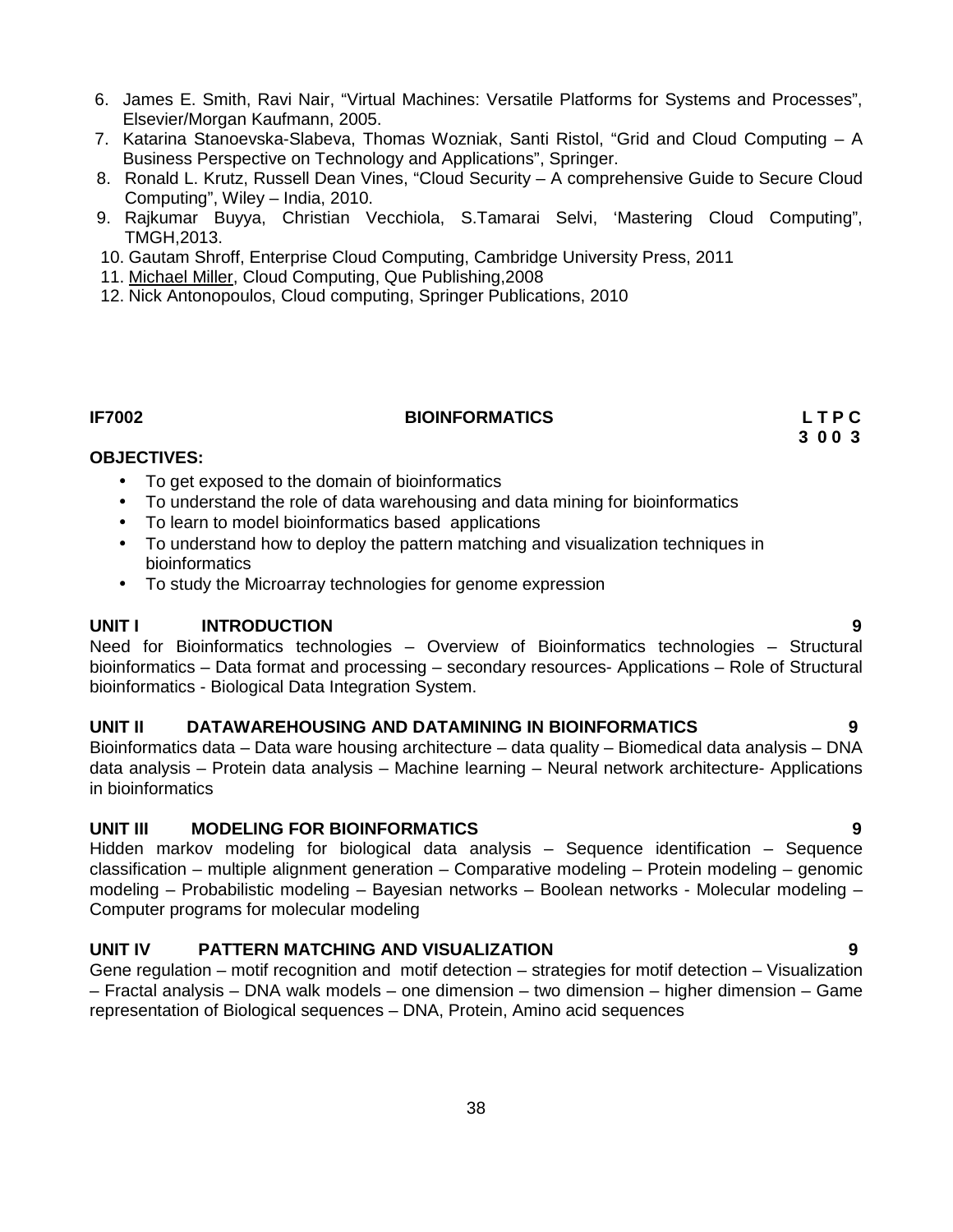- 6. James E. Smith, Ravi Nair, "Virtual Machines: Versatile Platforms for Systems and Processes", Elsevier/Morgan Kaufmann, 2005.
- 7. Katarina Stanoevska-Slabeva, Thomas Wozniak, Santi Ristol, "Grid and Cloud Computing A Business Perspective on Technology and Applications", Springer.
- 8. Ronald L. Krutz, Russell Dean Vines, "Cloud Security A comprehensive Guide to Secure Cloud Computing", Wiley – India, 2010.
- 9. Rajkumar Buyya, Christian Vecchiola, S.Tamarai Selvi, 'Mastering Cloud Computing", TMGH,2013.
- 10. Gautam Shroff, Enterprise Cloud Computing, Cambridge University Press, 2011
- 11. Michael Miller, Cloud Computing, Que Publishing,2008
- 12. Nick Antonopoulos, Cloud computing, Springer Publications, 2010

## **IF7002 BIOINFORMATICS L T P C**

**3 0 0 3**

## **OBJECTIVES:**

- To get exposed to the domain of bioinformatics
- To understand the role of data warehousing and data mining for bioinformatics
- To learn to model bioinformatics based applications
- To understand how to deploy the pattern matching and visualization techniques in bioinformatics
- To study the Microarray technologies for genome expression

# **UNIT I INTRODUCTION 9**

Need for Bioinformatics technologies – Overview of Bioinformatics technologies – Structural bioinformatics – Data format and processing – secondary resources- Applications – Role of Structural bioinformatics - Biological Data Integration System.

# **UNIT II DATAWAREHOUSING AND DATAMINING IN BIOINFORMATICS 9**

Bioinformatics data – Data ware housing architecture – data quality – Biomedical data analysis – DNA data analysis – Protein data analysis – Machine learning – Neural network architecture- Applications in bioinformatics

# **UNIT III MODELING FOR BIOINFORMATICS 9**

Hidden markov modeling for biological data analysis – Sequence identification – Sequence classification – multiple alignment generation – Comparative modeling – Protein modeling – genomic modeling – Probabilistic modeling – Bayesian networks – Boolean networks - Molecular modeling – Computer programs for molecular modeling

# **UNIT IV PATTERN MATCHING AND VISUALIZATION 9**

Gene regulation – motif recognition and motif detection – strategies for motif detection – Visualization – Fractal analysis – DNA walk models – one dimension – two dimension – higher dimension – Game representation of Biological sequences – DNA, Protein, Amino acid sequences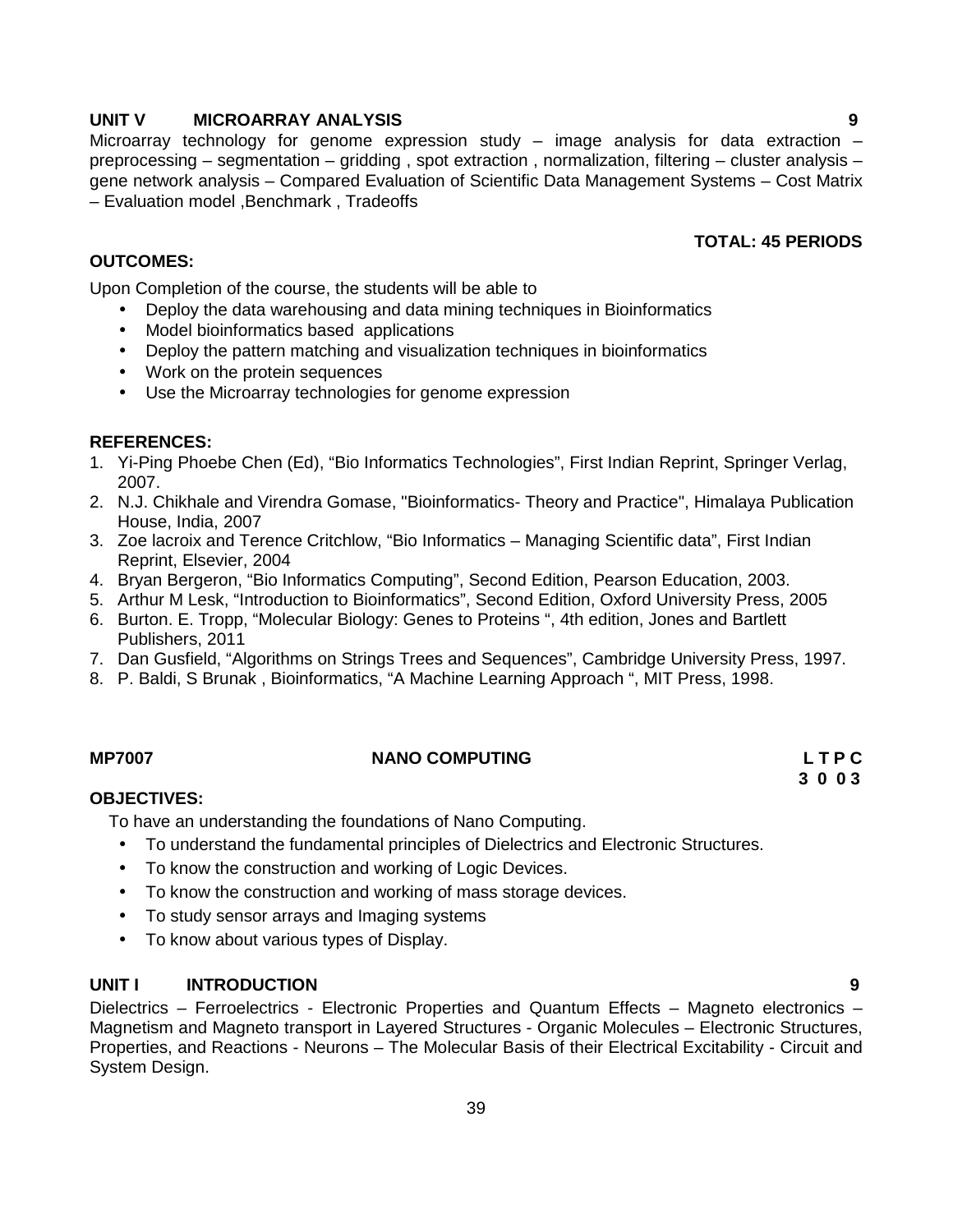## **UNIT V MICROARRAY ANALYSIS 9**

Microarray technology for genome expression study – image analysis for data extraction – preprocessing – segmentation – gridding , spot extraction , normalization, filtering – cluster analysis – gene network analysis – Compared Evaluation of Scientific Data Management Systems – Cost Matrix – Evaluation model ,Benchmark , Tradeoffs

# **TOTAL: 45 PERIODS**

### **OUTCOMES:**

Upon Completion of the course, the students will be able to

- Deploy the data warehousing and data mining techniques in Bioinformatics
- Model bioinformatics based applications
- Deploy the pattern matching and visualization techniques in bioinformatics
- Work on the protein sequences
- Use the Microarray technologies for genome expression

### **REFERENCES:**

- 1. Yi-Ping Phoebe Chen (Ed), "Bio Informatics Technologies", First Indian Reprint, Springer Verlag, 2007.
- 2. N.J. Chikhale and Virendra Gomase, "Bioinformatics- Theory and Practice", Himalaya Publication House, India, 2007
- 3. Zoe lacroix and Terence Critchlow, "Bio Informatics Managing Scientific data", First Indian Reprint, Elsevier, 2004
- 4. Bryan Bergeron, "Bio Informatics Computing", Second Edition, Pearson Education, 2003.
- 5. Arthur M Lesk, "Introduction to Bioinformatics", Second Edition, Oxford University Press, 2005
- 6. Burton. E. Tropp, "Molecular Biology: Genes to Proteins ", 4th edition, Jones and Bartlett Publishers, 2011
- 7. Dan Gusfield, "Algorithms on Strings Trees and Sequences", Cambridge University Press, 1997.
- 8. P. Baldi, S Brunak , Bioinformatics, "A Machine Learning Approach ", MIT Press, 1998.

### **MP7007 NANO COMPUTING L T P C**

**3 0 0 3**

### **OBJECTIVES:**

To have an understanding the foundations of Nano Computing.

- To understand the fundamental principles of Dielectrics and Electronic Structures.
- To know the construction and working of Logic Devices.
- To know the construction and working of mass storage devices.
- To study sensor arrays and Imaging systems
- To know about various types of Display.

# **UNIT I INTRODUCTION 9**

Dielectrics – Ferroelectrics - Electronic Properties and Quantum Effects – Magneto electronics – Magnetism and Magneto transport in Layered Structures - Organic Molecules – Electronic Structures, Properties, and Reactions - Neurons – The Molecular Basis of their Electrical Excitability - Circuit and System Design.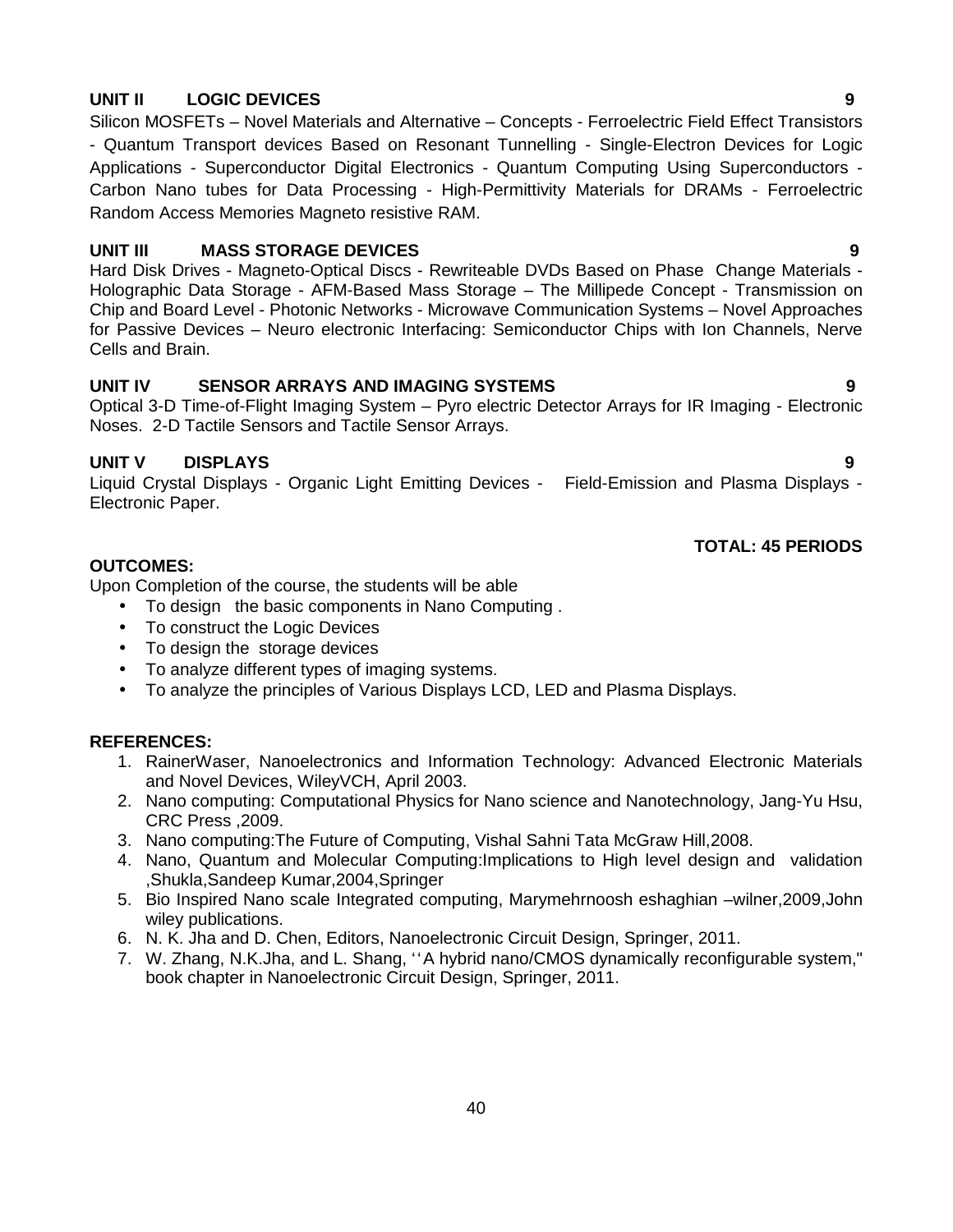# **UNIT II LOGIC DEVICES 9**

Silicon MOSFETs – Novel Materials and Alternative – Concepts - Ferroelectric Field Effect Transistors - Quantum Transport devices Based on Resonant Tunnelling - Single-Electron Devices for Logic Applications - Superconductor Digital Electronics - Quantum Computing Using Superconductors - Carbon Nano tubes for Data Processing - High-Permittivity Materials for DRAMs - Ferroelectric Random Access Memories Magneto resistive RAM.

# **UNIT III MASS STORAGE DEVICES 9**

Hard Disk Drives - Magneto-Optical Discs - Rewriteable DVDs Based on Phase Change Materials - Holographic Data Storage - AFM-Based Mass Storage – The Millipede Concept - Transmission on Chip and Board Level - Photonic Networks - Microwave Communication Systems – Novel Approaches for Passive Devices – Neuro electronic Interfacing: Semiconductor Chips with Ion Channels, Nerve Cells and Brain.

# **UNIT IV SENSOR ARRAYS AND IMAGING SYSTEMS 9**

Optical 3-D Time-of-Flight Imaging System – Pyro electric Detector Arrays for IR Imaging - Electronic Noses. 2-D Tactile Sensors and Tactile Sensor Arrays.

# **UNIT V DISPLAYS 9**

Liquid Crystal Displays - Organic Light Emitting Devices - Field-Emission and Plasma Displays - Electronic Paper.

## **TOTAL: 45 PERIODS**

## **OUTCOMES:**

Upon Completion of the course, the students will be able

- To design the basic components in Nano Computing .
- To construct the Logic Devices
- To design the storage devices
- To analyze different types of imaging systems.
- To analyze the principles of Various Displays LCD, LED and Plasma Displays.

### **REFERENCES:**

- 1. RainerWaser, Nanoelectronics and Information Technology: Advanced Electronic Materials and Novel Devices, WileyVCH, April 2003.
- 2. Nano computing: Computational Physics for Nano science and Nanotechnology, Jang-Yu Hsu, CRC Press ,2009.
- 3. Nano computing:The Future of Computing, Vishal Sahni Tata McGraw Hill,2008.
- 4. Nano, Quantum and Molecular Computing:Implications to High level design and validation ,Shukla,Sandeep Kumar,2004,Springer
- 5. Bio Inspired Nano scale Integrated computing, Marymehrnoosh eshaghian –wilner,2009,John wiley publications.
- 6. N. K. Jha and D. Chen, Editors, Nanoelectronic Circuit Design, Springer, 2011.
- 7. W. Zhang, N.K.Jha, and L. Shang, "A hybrid nano/CMOS dynamically reconfigurable system," book chapter in Nanoelectronic Circuit Design, Springer, 2011.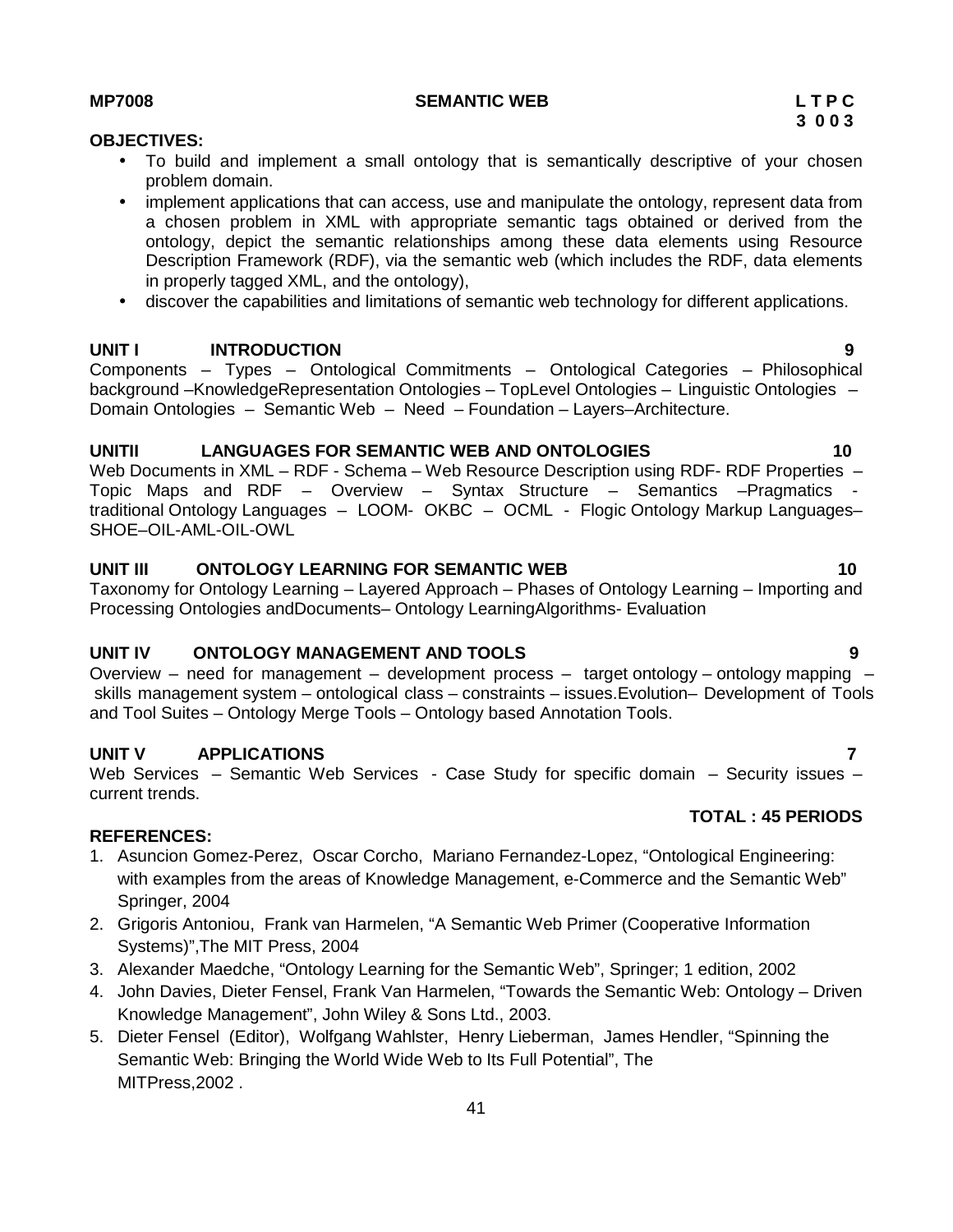discover the capabilities and limitations of semantic web technology for different applications.

### **UNIT I INTRODUCTION 9**

Components – Types – Ontological Commitments – Ontological Categories – Philosophical background –KnowledgeRepresentation Ontologies – TopLevel Ontologies – Linguistic Ontologies – Domain Ontologies – Semantic Web – Need – Foundation – Layers–Architecture.

#### **UNITII LANGUAGES FOR SEMANTIC WEB AND ONTOLOGIES 10**

Web Documents in XML – RDF - Schema – Web Resource Description using RDF- RDF Properties – Topic Maps and RDF – Overview – Syntax Structure – Semantics –Pragmatics traditional Ontology Languages - LOOM- OKBC - OCML - Flogic Ontology Markup Languages-SHOE–OIL-AML-OIL-OWL

### **UNIT III ONTOLOGY LEARNING FOR SEMANTIC WEB 10**

Taxonomy for Ontology Learning – Layered Approach – Phases of Ontology Learning – Importing and Processing Ontologies andDocuments– Ontology LearningAlgorithms- Evaluation

#### **UNIT IV ONTOLOGY MANAGEMENT AND TOOLS 9**

Overview – need for management – development process – target ontology – ontology mapping – skills management system – ontological class – constraints – issues.Evolution– Development of Tools and Tool Suites – Ontology Merge Tools – Ontology based Annotation Tools.

#### **UNIT V APPLICATIONS 7**

Web Services – Semantic Web Services - Case Study for specific domain – Security issues – current trends.

#### **REFERENCES:**

- 1. Asuncion Gomez-Perez, Oscar Corcho, Mariano Fernandez-Lopez, "Ontological Engineering: with examples from the areas of Knowledge Management, e-Commerce and the Semantic Web" Springer, 2004
- 2. Grigoris Antoniou, Frank van Harmelen, "A Semantic Web Primer (Cooperative Information Systems)",The MIT Press, 2004
- 3. Alexander Maedche, "Ontology Learning for the Semantic Web", Springer; 1 edition, 2002
- 4. John Davies, Dieter Fensel, Frank Van Harmelen, "Towards the Semantic Web: Ontology Driven Knowledge Management", John Wiley & Sons Ltd., 2003.
- 5. Dieter Fensel (Editor), Wolfgang Wahlster, Henry Lieberman, James Hendler, "Spinning the Semantic Web: Bringing the World Wide Web to Its Full Potential", The MITPress,2002 .

#### **MP7008 SEMANTIC WEB L T P C**

### **OBJECTIVES:**

- To build and implement a small ontology that is semantically descriptive of your chosen problem domain.
- implement applications that can access, use and manipulate the ontology, represent data from a chosen problem in XML with appropriate semantic tags obtained or derived from the ontology, depict the semantic relationships among these data elements using Resource Description Framework (RDF), via the semantic web (which includes the RDF, data elements in properly tagged XML, and the ontology),
- 

**TOTAL : 45 PERIODS**